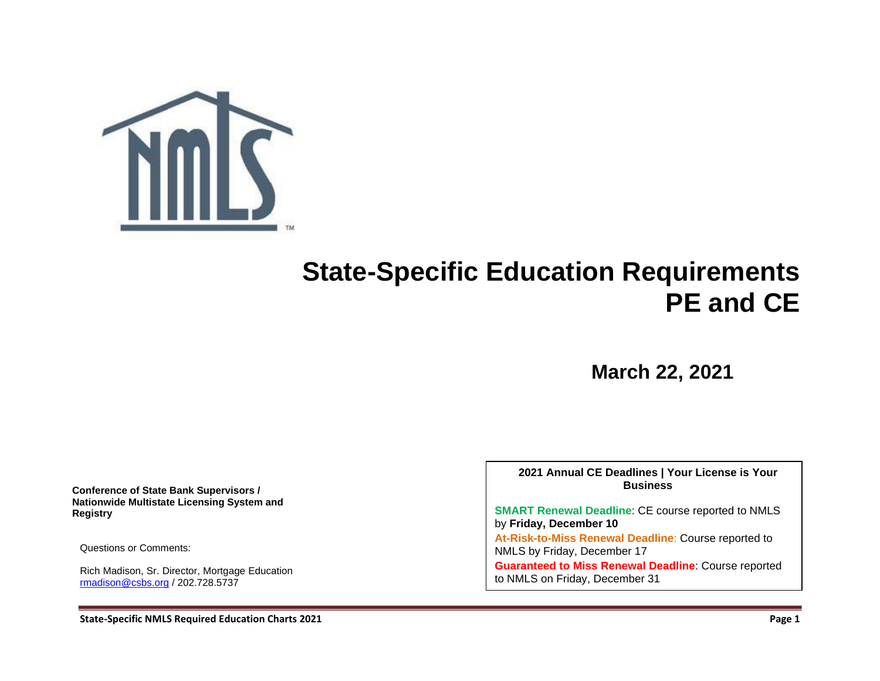

# **State-Specific Education Requirements PE and CE**

**March 22, 2021**

**Conference of State Bank Supervisors / Nationwide Multistate Licensing System and Registry**

Questions or Comments:

Rich Madison, Sr. Director, Mortgage Education [rmadison@csbs.org](mailto:rmadison@csbs.org) / 202.728.5737

**2021 Annual CE Deadlines | Your License is Your Business**

**SMART Renewal Deadline**: CE course reported to NMLS by **Friday, December 10 At-Risk-to-Miss Renewal Deadline**: Course reported to NMLS by Friday, December 17 **Guaranteed to Miss Renewal Deadline**: Course reported to NMLS on Friday, December 31

**State-Specific NMLS Required Education Charts 2021 Page 1**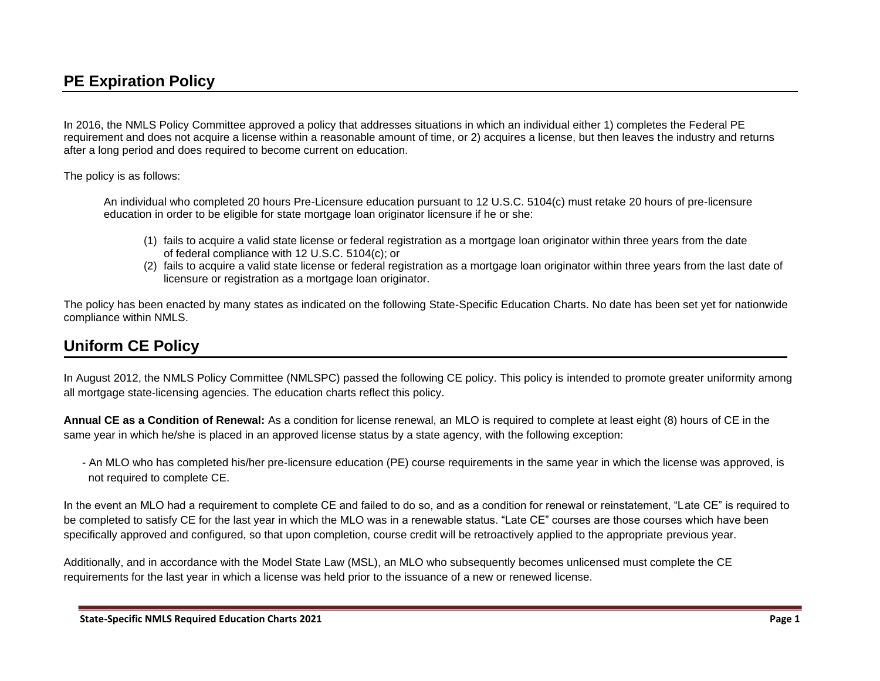## **PE Expiration Policy**

In 2016, the NMLS Policy Committee approved a policy that addresses situations in which an individual either 1) completes the Federal PE requirement and does not acquire a license within a reasonable amount of time, or 2) acquires a license, but then leaves the industry and returns after a long period and does required to become current on education.

The policy is as follows:

An individual who completed 20 hours Pre-Licensure education pursuant to 12 U.S.C. 5104(c) must retake 20 hours of pre-licensure education in order to be eligible for state mortgage loan originator licensure if he or she:

- (1) fails to acquire a valid state license or federal registration as a mortgage loan originator within three years from the date of federal compliance with 12 U.S.C. 5104(c); or
- (2) fails to acquire a valid state license or federal registration as a mortgage loan originator within three years from the last date of licensure or registration as a mortgage loan originator.

The policy has been enacted by many states as indicated on the following State-Specific Education Charts. No date has been set yet for nationwide compliance within NMLS.

## **Uniform CE Policy**

In August 2012, the NMLS Policy Committee (NMLSPC) passed the following CE policy. This policy is intended to promote greater uniformity among all mortgage state-licensing agencies. The education charts reflect this policy.

**Annual CE as a Condition of Renewal:** As a condition for license renewal, an MLO is required to complete at least eight (8) hours of CE in the same year in which he/she is placed in an approved license status by a state agency, with the following exception:

- An MLO who has completed his/her pre-licensure education (PE) course requirements in the same year in which the license was approved, is not required to complete CE.

In the event an MLO had a requirement to complete CE and failed to do so, and as a condition for renewal or reinstatement, "Late CE" is required to be completed to satisfy CE for the last year in which the MLO was in a renewable status. "Late CE" courses are those courses which have been specifically approved and configured, so that upon completion, course credit will be retroactively applied to the appropriate previous year.

Additionally, and in accordance with the Model State Law (MSL), an MLO who subsequently becomes unlicensed must complete the CE requirements for the last year in which a license was held prior to the issuance of a new or renewed license.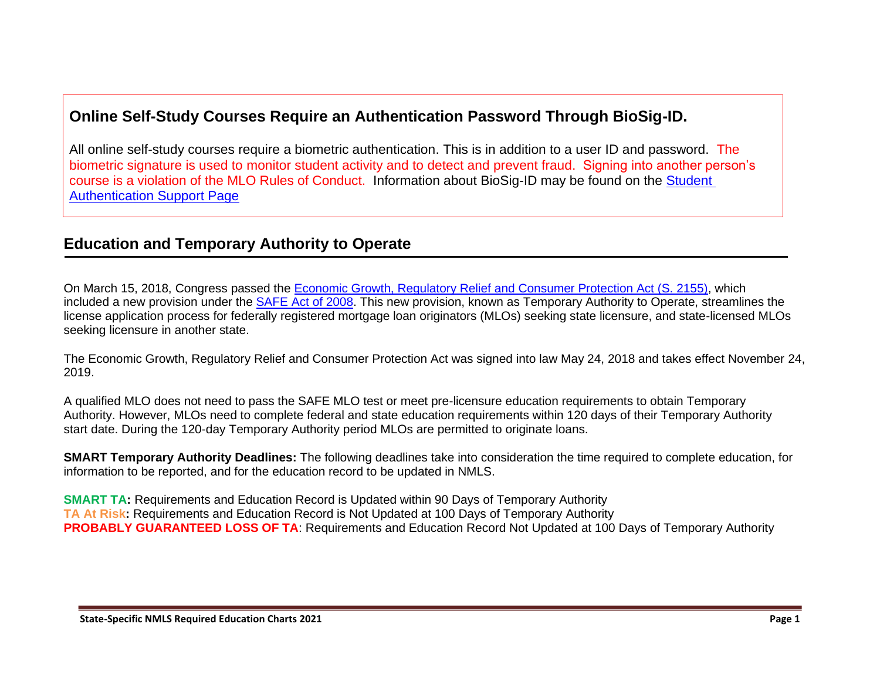## **Online Self-Study Courses Require an Authentication Password Through BioSig-ID.**

All online self-study courses require a biometric authentication. This is in addition to a user ID and password. The biometric signature is used to monitor student activity and to detect and prevent fraud. Signing into another person's course is a violation of the MLO Rules of Conduct. Information about BioSig-ID may be found on the [Student](https://mortgage.nationwidelicensingsystem.org/profreq/education/Pages/default.aspx)  [Authentication Support Page](https://mortgage.nationwidelicensingsystem.org/profreq/education/Pages/default.aspx)

## **Education and Temporary Authority to Operate**

On March 15, 2018, Congress passed the [Economic Growth, Regulatory Relief and Consumer Protection Act \(S. 2155\), w](https://mortgage.nationwidelicensingsystem.org/slr/common/Documents/BILLS-115s2155es.pdf)hich included a new provision under the [SAFE Act of 2008. T](https://mortgage.nationwidelicensingsystem.org/SAFE/Pages/default.aspx)his new provision, known as Temporary Authority to Operate, streamlines the license application process for federally registered mortgage loan originators (MLOs) seeking state licensure, and state-licensed MLOs seeking licensure in another state.

The Economic Growth, Regulatory Relief and Consumer Protection Act was signed into law May 24, 2018 and takes effect November 24, 2019.

A qualified MLO does not need to pass the SAFE MLO test or meet pre-licensure education requirements to obtain Temporary Authority. However, MLOs need to complete federal and state education requirements within 120 days of their Temporary Authority start date. During the 120-day Temporary Authority period MLOs are permitted to originate loans.

**SMART Temporary Authority Deadlines:** The following deadlines take into consideration the time required to complete education, for information to be reported, and for the education record to be updated in NMLS.

**SMART TA:** Requirements and Education Record is Updated within 90 Days of Temporary Authority **TA At Risk:** Requirements and Education Record is Not Updated at 100 Days of Temporary Authority **PROBABLY GUARANTEED LOSS OF TA**: Requirements and Education Record Not Updated at 100 Days of Temporary Authority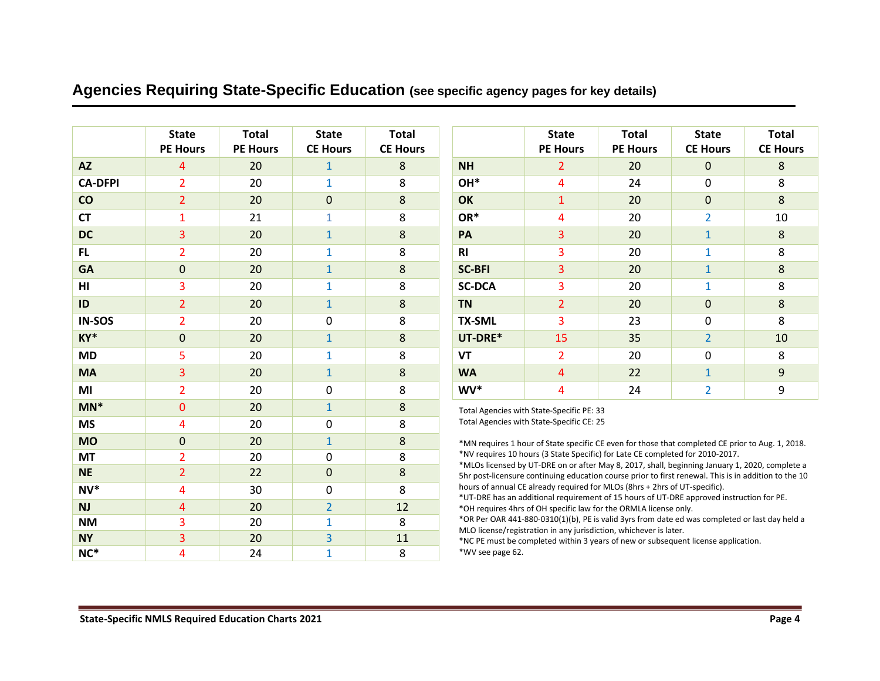|                | <b>State</b><br><b>PE Hours</b> | <b>Total</b><br><b>PE Hours</b> | <b>State</b><br><b>CE Hours</b> | <b>Total</b><br><b>CE Hours</b> |                  | <b>State</b><br><b>PE Hours</b>           | <b>Total</b><br><b>PE Hours</b>                                                                                                                                           | <b>State</b><br><b>CE Hours</b> | Tot<br>CE Ho |
|----------------|---------------------------------|---------------------------------|---------------------------------|---------------------------------|------------------|-------------------------------------------|---------------------------------------------------------------------------------------------------------------------------------------------------------------------------|---------------------------------|--------------|
| <b>AZ</b>      | 4                               | 20                              | $\mathbf{1}$                    | 8                               | <b>NH</b>        | 2                                         | 20                                                                                                                                                                        | $\mathbf 0$                     | 8            |
| <b>CA-DFPI</b> | $\overline{2}$                  | 20                              | $\mathbf{1}$                    | 8                               | OH*              | 4                                         | 24                                                                                                                                                                        | 0                               | 8            |
| CO             | $\overline{2}$                  | 20                              | $\mathbf 0$                     | $\bf 8$                         | OK               | $\mathbf{1}$                              | 20                                                                                                                                                                        | $\mathbf{0}$                    | 8            |
| <b>CT</b>      | 1                               | 21                              | $\mathbf{1}$                    | 8                               | OR*              | 4                                         | 20                                                                                                                                                                        | 2                               | 10           |
| <b>DC</b>      | 3                               | 20                              | $\mathbf{1}$                    | $\bf 8$                         | PA               | 3                                         | 20                                                                                                                                                                        | $\mathbf{1}$                    | 8            |
| FL.            | $\overline{2}$                  | 20                              | $\mathbf{1}$                    | 8                               | <b>RI</b>        | 3                                         | 20                                                                                                                                                                        | $\mathbf{1}$                    | 8            |
| <b>GA</b>      | $\Omega$                        | 20                              | $\mathbf{1}$                    | 8                               | <b>SC-BFI</b>    | 3                                         | 20                                                                                                                                                                        | $\mathbf{1}$                    | 8            |
| HI             | 3                               | 20                              | $\mathbf{1}$                    | 8                               | <b>SC-DCA</b>    | 3                                         | 20                                                                                                                                                                        | 1                               | 8            |
| ID             | $\overline{2}$                  | 20                              | $\mathbf{1}$                    | 8                               | <b>TN</b>        | $\overline{2}$                            | 20                                                                                                                                                                        | $\Omega$                        | 8            |
| <b>IN-SOS</b>  | $\overline{2}$                  | 20                              | 0                               | 8                               | <b>TX-SML</b>    | 3                                         | 23                                                                                                                                                                        | 0                               | 8            |
| KY*            | 0                               | 20                              | $\mathbf{1}$                    | 8                               | UT-DRE*          | 15                                        | 35                                                                                                                                                                        | $\overline{2}$                  | 10           |
| <b>MD</b>      | 5                               | 20                              | $\mathbf{1}$                    | 8                               | VT               | 2                                         | 20                                                                                                                                                                        | 0                               | 8            |
| <b>MA</b>      | 3                               | 20                              | $\mathbf{1}$                    | 8                               | <b>WA</b>        | 4                                         | 22                                                                                                                                                                        | $\mathbf{1}$                    | 9            |
| MI             | 2                               | 20                              | 0                               | 8                               | $WV^*$           | 4                                         | 24                                                                                                                                                                        | 2                               | 9            |
| $MN^*$         | $\Omega$                        | 20                              | $\mathbf{1}$                    | 8                               |                  | Total Agencies with State-Specific PE: 33 |                                                                                                                                                                           |                                 |              |
| <b>MS</b>      | 4                               | 20                              | 0                               | 8                               |                  | Total Agencies with State-Specific CE: 25 |                                                                                                                                                                           |                                 |              |
| <b>MO</b>      | 0                               | 20                              | $\mathbf{1}$                    | 8                               |                  |                                           | *MN requires 1 hour of State specific CE even for those that completed CE prior to Aug. 1, i                                                                              |                                 |              |
| <b>MT</b>      | 2                               | 20                              | 0                               | 8                               |                  |                                           | *NV requires 10 hours (3 State Specific) for Late CE completed for 2010-2017.<br>*MLOs licensed by UT-DRE on or after May 8, 2017, shall, beginning January 1, 2020, comp |                                 |              |
| <b>NE</b>      | $\overline{2}$                  | 22                              | $\mathbf{0}$                    | 8                               |                  |                                           | 5hr post-licensure continuing education course prior to first renewal. This is in addition to t                                                                           |                                 |              |
| $NV^*$         | 4                               | 30                              | 0                               | 8                               |                  |                                           | hours of annual CE already required for MLOs (8hrs + 2hrs of UT-specific).<br>*UT-DRE has an additional requirement of 15 hours of UT-DRE approved instruction for PE.    |                                 |              |
| <b>NJ</b>      | 4                               | 20                              | $\overline{2}$                  | 12                              |                  |                                           | *OH requires 4hrs of OH specific law for the ORMLA license only.                                                                                                          |                                 |              |
| <b>NM</b>      | 3                               | 20                              | $\mathbf{1}$                    | 8                               |                  |                                           | *OR Per OAR 441-880-0310(1)(b), PE is valid 3yrs from date ed was completed or last day h<br>MLO license/registration in any jurisdiction, whichever is later.            |                                 |              |
| <b>NY</b>      | 3                               | 20                              | 3                               | 11                              |                  |                                           | *NC PE must be completed within 3 years of new or subsequent license application.                                                                                         |                                 |              |
| $NC*$          | 4                               | 24                              | 1                               | 8                               | *WV see page 62. |                                           |                                                                                                                                                                           |                                 |              |

## **Agencies Requiring State-Specific Education (see specific agency pages for key details)**

|               | <b>State</b><br><b>PE Hours</b> | <b>Total</b><br><b>PE Hours</b> | <b>State</b><br><b>CE Hours</b> | <b>Total</b><br><b>CE Hours</b> |
|---------------|---------------------------------|---------------------------------|---------------------------------|---------------------------------|
| <b>NH</b>     | $\overline{2}$                  | 20                              | 0                               | 8                               |
| OH*           | 4                               | 24                              | 0                               | 8                               |
| OK            | $\mathbf{1}$                    | 20                              | 0                               | 8                               |
| OR*           | 4                               | 20                              | $\overline{2}$                  | 10                              |
| PA            | 3                               | 20                              | $\mathbf{1}$                    | 8                               |
| <b>RI</b>     | 3                               | 20                              | $\mathbf{1}$                    | 8                               |
| <b>SC-BFI</b> | 3                               | 20                              | $\mathbf{1}$                    | 8                               |
| <b>SC-DCA</b> | 3                               | 20                              | $\mathbf{1}$                    | 8                               |
| <b>TN</b>     | $\overline{2}$                  | 20                              | $\Omega$                        | 8                               |
| <b>TX-SML</b> | 3                               | 23                              | 0                               | 8                               |
| UT-DRE*       | 15                              | 35                              | $\overline{2}$                  | 10                              |
| VT            | 2                               | 20                              | 0                               | 8                               |
| <b>WA</b>     | $\overline{4}$                  | 22                              | $\mathbf{1}$                    | 9                               |
| $WV^*$        | 4                               | 24                              | $\overline{2}$                  | 9                               |

\*MN requires 1 hour of State specific CE even for those that completed CE prior to Aug. 1, 2018. \*NV requires 10 hours (3 State Specific) for Late CE completed for 2010-2017.

\*MLOs licensed by UT-DRE on or after May 8, 2017, shall, beginning January 1, 2020, complete a 5hr post-licensure continuing education course prior to first renewal. This is in addition to the 10 hours of annual CE already required for MLOs (8hrs + 2hrs of UT-specific).

\*OR Per OAR 441-880-0310(1)(b), PE is valid 3yrs from date ed was completed or last day held a MLO license/registration in any jurisdiction, whichever is later.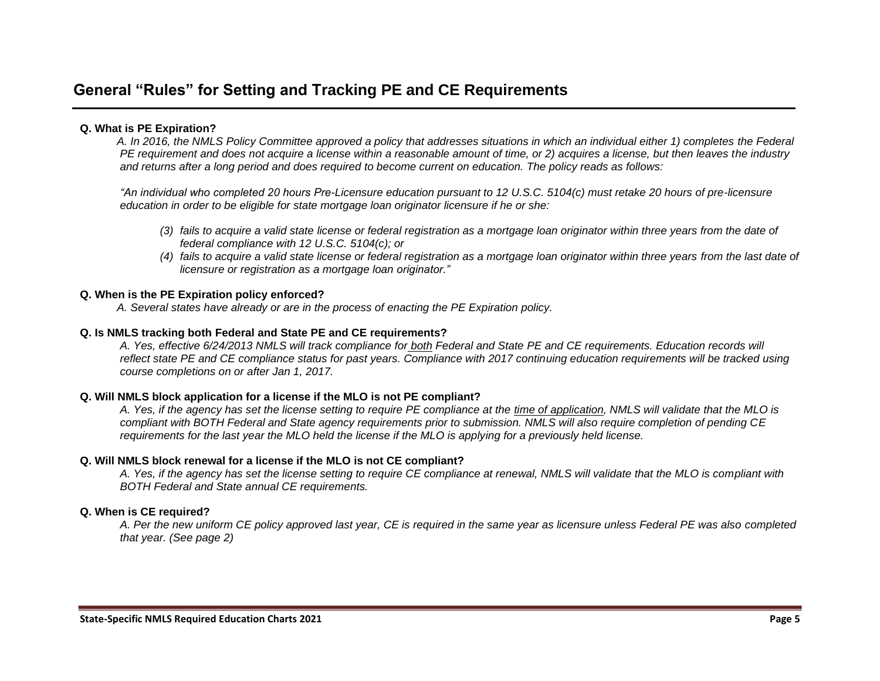## **General "Rules" for Setting and Tracking PE and CE Requirements**

#### **Q. What is PE Expiration?**

*A. In 2016, the NMLS Policy Committee approved a policy that addresses situations in which an individual either 1) completes the Federal PE requirement and does not acquire a license within a reasonable amount of time, or 2) acquires a license, but then leaves the industry and returns after a long period and does required to become current on education. The policy reads as follows:*

*"An individual who completed 20 hours Pre-Licensure education pursuant to 12 U.S.C. 5104(c) must retake 20 hours of pre-licensure education in order to be eligible for state mortgage loan originator licensure if he or she:*

- *(3) fails to acquire a valid state license or federal registration as a mortgage loan originator within three years from the date of federal compliance with 12 U.S.C. 5104(c); or*
- *(4) fails to acquire a valid state license or federal registration as a mortgage loan originator within three years from the last date of licensure or registration as a mortgage loan originator."*

#### **Q. When is the PE Expiration policy enforced?**

*A. Several states have already or are in the process of enacting the PE Expiration policy.*

#### **Q. Is NMLS tracking both Federal and State PE and CE requirements?**

*A. Yes, effective 6/24/2013 NMLS will track compliance for both Federal and State PE and CE requirements. Education records will reflect state PE and CE compliance status for past years. Compliance with 2017 continuing education requirements will be tracked using course completions on or after Jan 1, 2017.*

#### **Q. Will NMLS block application for a license if the MLO is not PE compliant?**

*A. Yes, if the agency has set the license setting to require PE compliance at the time of application, NMLS will validate that the MLO is compliant with BOTH Federal and State agency requirements prior to submission. NMLS will also require completion of pending CE requirements for the last year the MLO held the license if the MLO is applying for a previously held license.*

#### **Q. Will NMLS block renewal for a license if the MLO is not CE compliant?**

*A. Yes, if the agency has set the license setting to require CE compliance at renewal, NMLS will validate that the MLO is compliant with BOTH Federal and State annual CE requirements.*

#### **Q. When is CE required?**

*A. Per the new uniform CE policy approved last year, CE is required in the same year as licensure unless Federal PE was also completed that year. (See page 2)*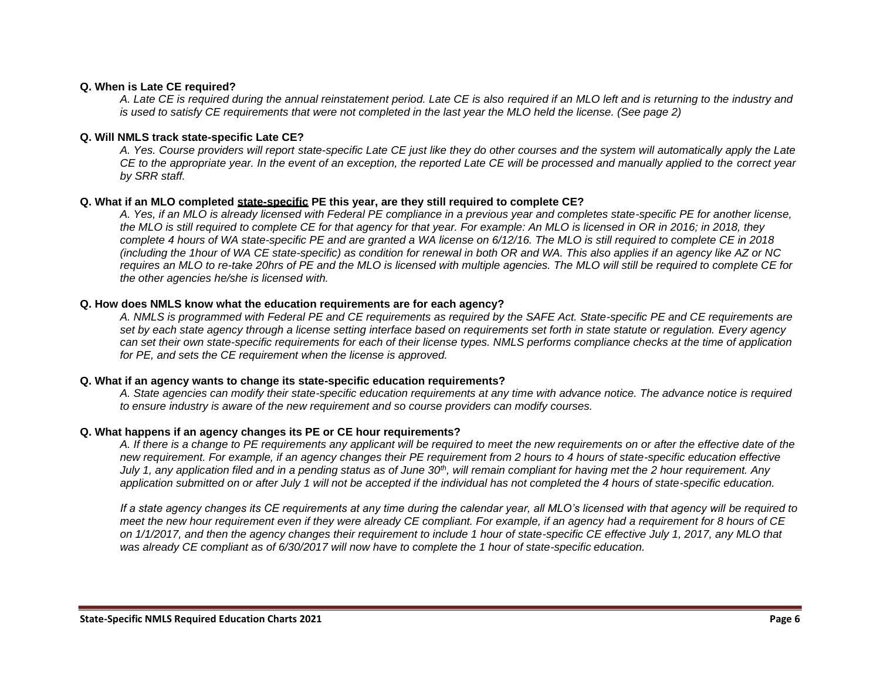#### **Q. When is Late CE required?**

*A. Late CE is required during the annual reinstatement period. Late CE is also required if an MLO left and is returning to the industry and is used to satisfy CE requirements that were not completed in the last year the MLO held the license. (See page 2)*

#### **Q. Will NMLS track state-specific Late CE?**

*A. Yes. Course providers will report state-specific Late CE just like they do other courses and the system will automatically apply the Late CE to the appropriate year. In the event of an exception, the reported Late CE will be processed and manually applied to the correct year by SRR staff.*

#### **Q. What if an MLO completed state-specific PE this year, are they still required to complete CE?**

*A. Yes, if an MLO is already licensed with Federal PE compliance in a previous year and completes state-specific PE for another license, the MLO is still required to complete CE for that agency for that year. For example: An MLO is licensed in OR in 2016; in 2018, they complete 4 hours of WA state-specific PE and are granted a WA license on 6/12/16. The MLO is still required to complete CE in 2018 (including the 1hour of WA CE state-specific) as condition for renewal in both OR and WA. This also applies if an agency like AZ or NC requires an MLO to re-take 20hrs of PE and the MLO is licensed with multiple agencies. The MLO will still be required to complete CE for the other agencies he/she is licensed with.*

#### **Q. How does NMLS know what the education requirements are for each agency?**

*A. NMLS is programmed with Federal PE and CE requirements as required by the SAFE Act. State-specific PE and CE requirements are set by each state agency through a license setting interface based on requirements set forth in state statute or regulation. Every agency can set their own state-specific requirements for each of their license types. NMLS performs compliance checks at the time of application for PE, and sets the CE requirement when the license is approved.*

#### **Q. What if an agency wants to change its state-specific education requirements?**

*A. State agencies can modify their state-specific education requirements at any time with advance notice. The advance notice is required to ensure industry is aware of the new requirement and so course providers can modify courses.*

#### **Q. What happens if an agency changes its PE or CE hour requirements?**

*A. If there is a change to PE requirements any applicant will be required to meet the new requirements on or after the effective date of the new requirement. For example, if an agency changes their PE requirement from 2 hours to 4 hours of state-specific education effective July 1, any application filed and in a pending status as of June 30th, will remain compliant for having met the 2 hour requirement. Any application submitted on or after July 1 will not be accepted if the individual has not completed the 4 hours of state-specific education.*

*If a state agency changes its CE requirements at any time during the calendar year, all MLO's licensed with that agency will be required to meet the new hour requirement even if they were already CE compliant. For example, if an agency had a requirement for 8 hours of CE on 1/1/2017, and then the agency changes their requirement to include 1 hour of state-specific CE effective July 1, 2017, any MLO that*  was already CE compliant as of 6/30/2017 will now have to complete the 1 hour of state-specific education.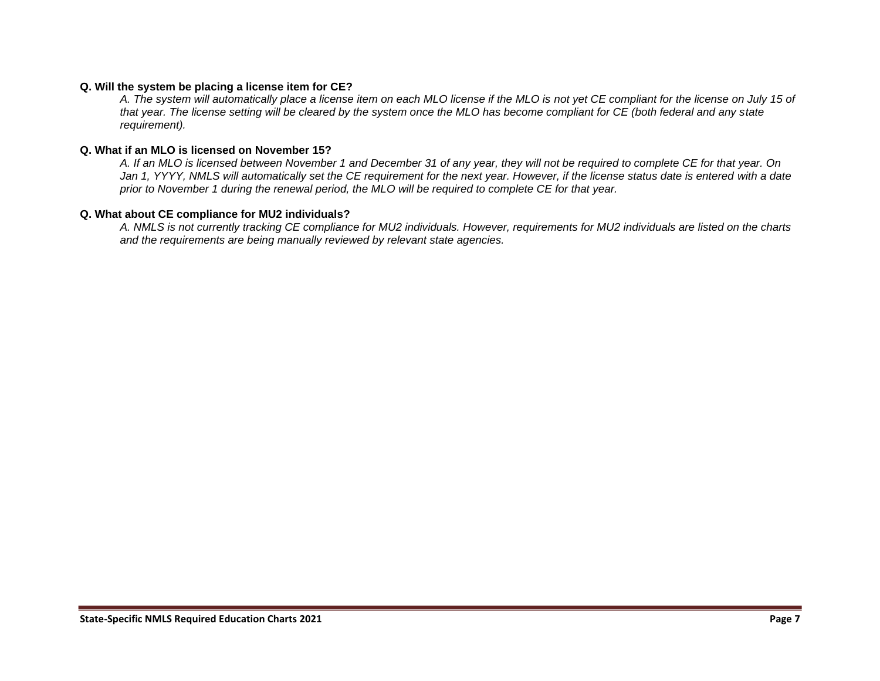#### **Q. Will the system be placing a license item for CE?**

*A. The system will automatically place a license item on each MLO license if the MLO is not yet CE compliant for the license on July 15 of that year. The license setting will be cleared by the system once the MLO has become compliant for CE (both federal and any state requirement).*

#### **Q. What if an MLO is licensed on November 15?**

*A. If an MLO is licensed between November 1 and December 31 of any year, they will not be required to complete CE for that year. On Jan 1, YYYY, NMLS will automatically set the CE requirement for the next year. However, if the license status date is entered with a date prior to November 1 during the renewal period, the MLO will be required to complete CE for that year.*

#### **Q. What about CE compliance for MU2 individuals?**

*A. NMLS is not currently tracking CE compliance for MU2 individuals. However, requirements for MU2 individuals are listed on the charts and the requirements are being manually reviewed by relevant state agencies.*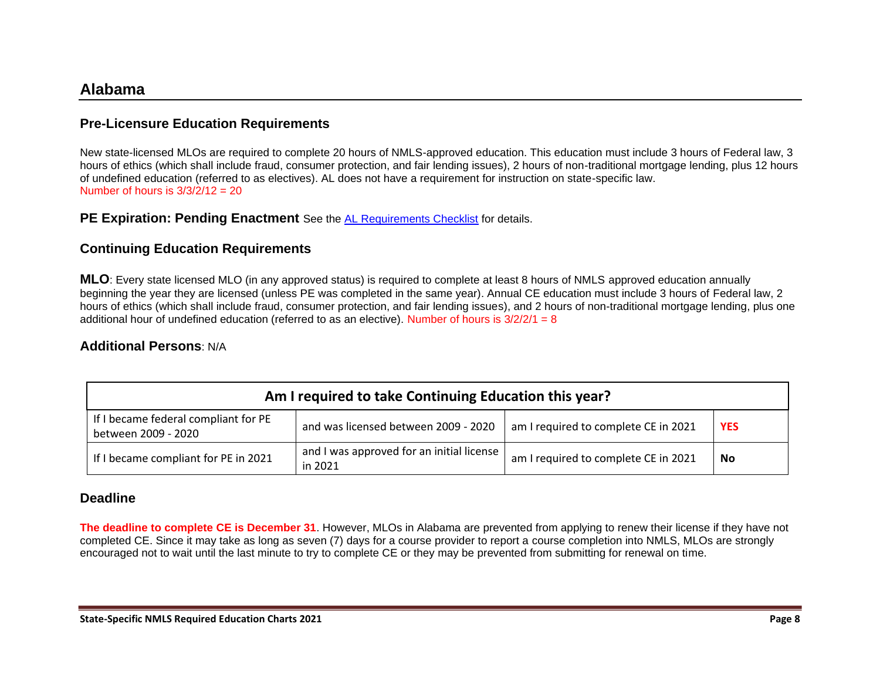### **Alabama**

### **Pre-Licensure Education Requirements**

New state-licensed MLOs are required to complete 20 hours of NMLS-approved education. This education must include 3 hours of Federal law, 3 hours of ethics (which shall include fraud, consumer protection, and fair lending issues), 2 hours of non-traditional mortgage lending, plus 12 hours of undefined education (referred to as electives). AL does not have a requirement for instruction on state-specific law. Number of hours is  $3/3/2/12 = 20$ 

**PE Expiration: Pending Enactment** See the [AL Requirements Checklist](https://mortgage.nationwidelicensingsystem.org/slr/Pages/DynamicLicenses.aspx?StateID=AL) for details.

### **Continuing Education Requirements**

**MLO**: Every state licensed MLO (in any approved status) is required to complete at least 8 hours of NMLS approved education annually beginning the year they are licensed (unless PE was completed in the same year). Annual CE education must include 3 hours of Federal law, 2 hours of ethics (which shall include fraud, consumer protection, and fair lending issues), and 2 hours of non-traditional mortgage lending, plus one additional hour of undefined education (referred to as an elective). Number of hours is  $3/2/2/1 = 8$ 

### **Additional Persons**: N/A

| Am I required to take Continuing Education this year?       |                                                      |                                      |            |  |
|-------------------------------------------------------------|------------------------------------------------------|--------------------------------------|------------|--|
| If I became federal compliant for PE<br>between 2009 - 2020 | and was licensed between 2009 - 2020                 | am I required to complete CE in 2021 | <b>YES</b> |  |
| If I became compliant for PE in 2021                        | and I was approved for an initial license<br>in 2021 | am I required to complete CE in 2021 | <b>No</b>  |  |

### **Deadline**

**The deadline to complete CE is December 31**. However, MLOs in Alabama are prevented from applying to renew their license if they have not completed CE. Since it may take as long as seven (7) days for a course provider to report a course completion into NMLS, MLOs are strongly encouraged not to wait until the last minute to try to complete CE or they may be prevented from submitting for renewal on time.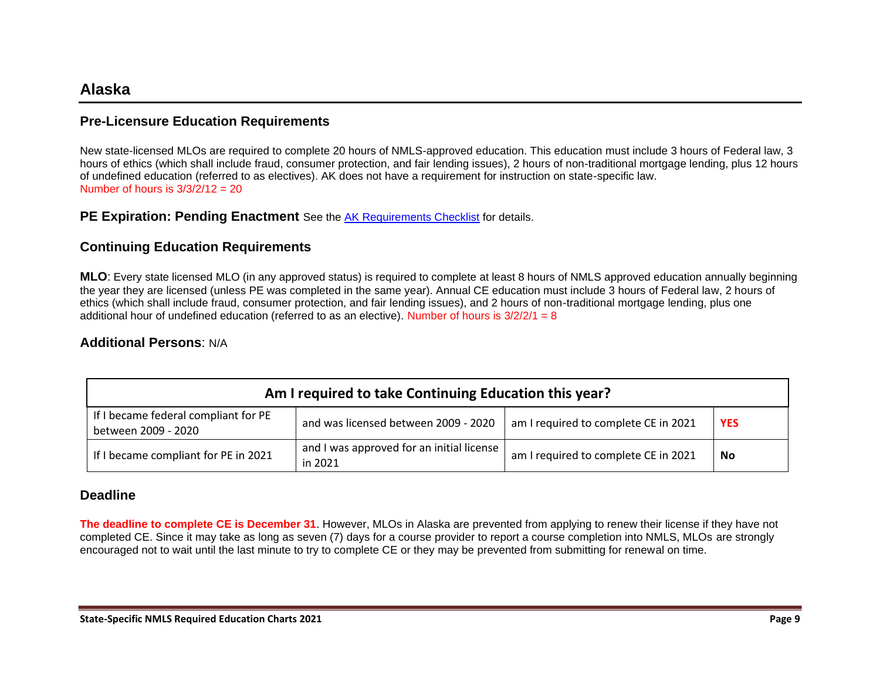New state-licensed MLOs are required to complete 20 hours of NMLS-approved education. This education must include 3 hours of Federal law, 3 hours of ethics (which shall include fraud, consumer protection, and fair lending issues), 2 hours of non-traditional mortgage lending, plus 12 hours of undefined education (referred to as electives). AK does not have a requirement for instruction on state-specific law. Number of hours is  $3/3/2/12 = 20$ 

**PE Expiration: Pending Enactment** See the **AK Requirements Checklist** for details.

### **Continuing Education Requirements**

**MLO**: Every state licensed MLO (in any approved status) is required to complete at least 8 hours of NMLS approved education annually beginning the year they are licensed (unless PE was completed in the same year). Annual CE education must include 3 hours of Federal law, 2 hours of ethics (which shall include fraud, consumer protection, and fair lending issues), and 2 hours of non-traditional mortgage lending, plus one additional hour of undefined education (referred to as an elective). Number of hours is 3/2/2/1 = 8

### **Additional Persons**: N/A

| Am I required to take Continuing Education this year?       |                                                      |                                      |            |  |
|-------------------------------------------------------------|------------------------------------------------------|--------------------------------------|------------|--|
| If I became federal compliant for PE<br>between 2009 - 2020 | and was licensed between 2009 - 2020                 | am I required to complete CE in 2021 | <b>YES</b> |  |
| If I became compliant for PE in 2021                        | and I was approved for an initial license<br>in 2021 | am I required to complete CE in 2021 | No         |  |

### **Deadline**

**The deadline to complete CE is December 31**. However, MLOs in Alaska are prevented from applying to renew their license if they have not completed CE. Since it may take as long as seven (7) days for a course provider to report a course completion into NMLS, MLOs are strongly encouraged not to wait until the last minute to try to complete CE or they may be prevented from submitting for renewal on time.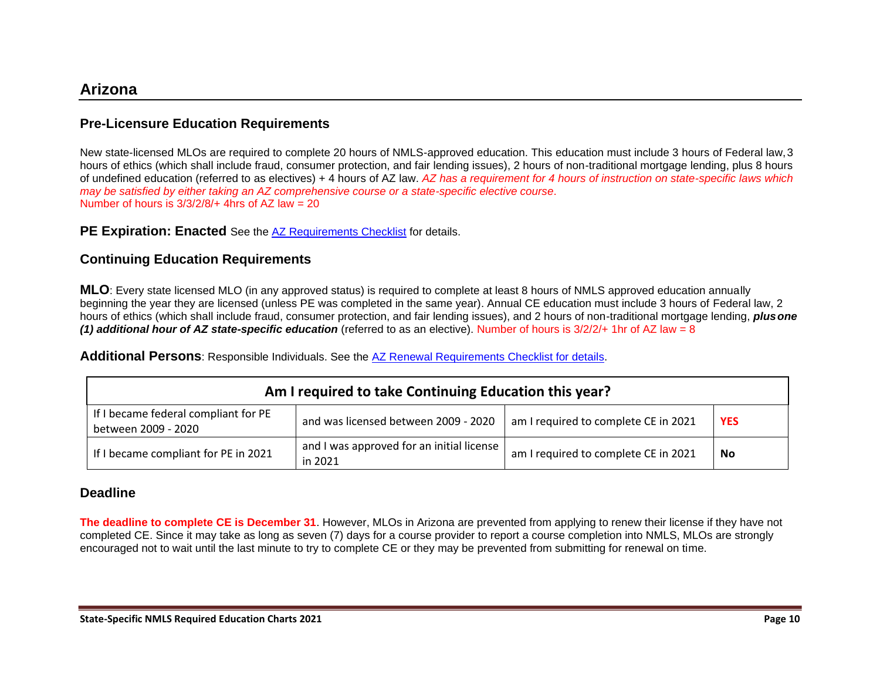New state-licensed MLOs are required to complete 20 hours of NMLS-approved education. This education must include 3 hours of Federal law,3 hours of ethics (which shall include fraud, consumer protection, and fair lending issues), 2 hours of non-traditional mortgage lending, plus 8 hours of undefined education (referred to as electives) + 4 hours of AZ law. *AZ has a requirement for 4 hours of instruction on state-specific laws which may be satisfied by either taking an AZ comprehensive course or a state-specific elective course*. Number of hours is  $3/3/2/8/4$  4hrs of AZ law = 20

**PE Expiration: Enacted** See the [AZ Requirements Checklist](https://mortgage.nationwidelicensingsystem.org/slr/Pages/DynamicLicenses.aspx?StateID=AZ) for details.

### **Continuing Education Requirements**

**MLO**: Every state licensed MLO (in any approved status) is required to complete at least 8 hours of NMLS approved education annually beginning the year they are licensed (unless PE was completed in the same year). Annual CE education must include 3 hours of Federal law, 2 hours of ethics (which shall include fraud, consumer protection, and fair lending issues), and 2 hours of non-traditional mortgage lending, *plusone (1) additional hour of AZ state-specific education* (referred to as an elective). Number of hours is 3/2/2/+ 1hr of AZ law = 8

Additional Persons: Responsible Individuals. See the [AZ Renewal Requirements Checklist for details.](https://mortgage.nationwidelicensingsystem.org/slr/PublishedStateDocuments/Arizona-DfiRenewalChecklist.pdf)

| Am I required to take Continuing Education this year?       |                                                      |                                      |            |  |
|-------------------------------------------------------------|------------------------------------------------------|--------------------------------------|------------|--|
| If I became federal compliant for PE<br>between 2009 - 2020 | and was licensed between 2009 - 2020                 | am I required to complete CE in 2021 | <b>YES</b> |  |
| If I became compliant for PE in 2021                        | and I was approved for an initial license<br>in 2021 | am I required to complete CE in 2021 | <b>No</b>  |  |

### **Deadline**

**The deadline to complete CE is December 31**. However, MLOs in Arizona are prevented from applying to renew their license if they have not completed CE. Since it may take as long as seven (7) days for a course provider to report a course completion into NMLS, MLOs are strongly encouraged not to wait until the last minute to try to complete CE or they may be prevented from submitting for renewal on time.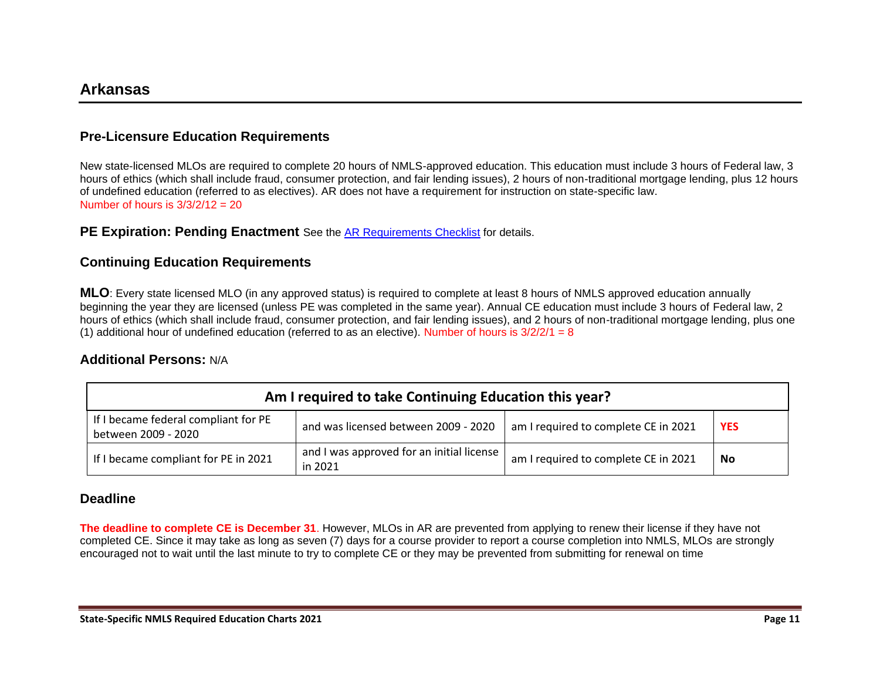New state-licensed MLOs are required to complete 20 hours of NMLS-approved education. This education must include 3 hours of Federal law, 3 hours of ethics (which shall include fraud, consumer protection, and fair lending issues), 2 hours of non-traditional mortgage lending, plus 12 hours of undefined education (referred to as electives). AR does not have a requirement for instruction on state-specific law. Number of hours is  $3/3/2/12 = 20$ 

#### **PE Expiration: Pending Enactment** See the [AR Requirements Checklist](https://mortgage.nationwidelicensingsystem.org/slr/Pages/DynamicLicenses.aspx?StateID=AR) for details.

### **Continuing Education Requirements**

**MLO**: Every state licensed MLO (in any approved status) is required to complete at least 8 hours of NMLS approved education annually beginning the year they are licensed (unless PE was completed in the same year). Annual CE education must include 3 hours of Federal law, 2 hours of ethics (which shall include fraud, consumer protection, and fair lending issues), and 2 hours of non-traditional mortgage lending, plus one (1) additional hour of undefined education (referred to as an elective). Number of hours is  $3/2/2/1 = 8$ 

#### **Additional Persons:** N/A

| Am I required to take Continuing Education this year?       |                                                      |                                      |            |  |
|-------------------------------------------------------------|------------------------------------------------------|--------------------------------------|------------|--|
| If I became federal compliant for PE<br>between 2009 - 2020 | and was licensed between 2009 - 2020                 | am I required to complete CE in 2021 | <b>YES</b> |  |
| If I became compliant for PE in 2021                        | and I was approved for an initial license<br>in 2021 | am I required to complete CE in 2021 | No         |  |

### **Deadline**

**The deadline to complete CE is December 31**. However, MLOs in AR are prevented from applying to renew their license if they have not completed CE. Since it may take as long as seven (7) days for a course provider to report a course completion into NMLS, MLOs are strongly encouraged not to wait until the last minute to try to complete CE or they may be prevented from submitting for renewal on time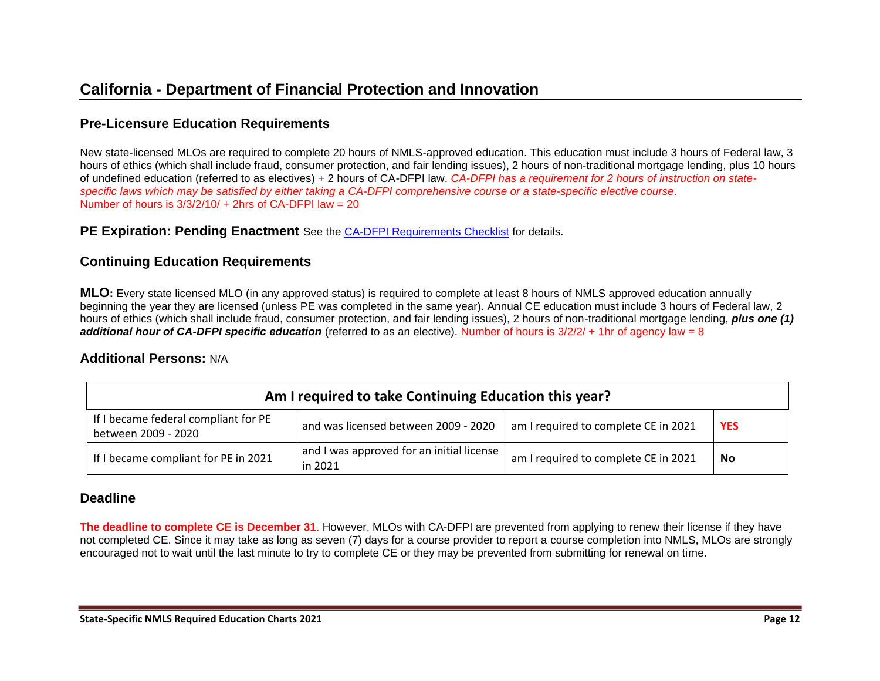### **California – Department of Financial Protection and Innovation (DFPI ) Pre-Licensure Education Requirements**

New state-licensed MLOs are required to complete 20 hours of NMLS-approved education. This education must include 3 hours of Federal law, 3 hours of ethics (which shall include fraud, consumer protection, and fair lending issues), 2 hours of non-traditional mortgage lending, plus 10 hours of undefined education (referred to as electives) + 2 hours of CA-DFPI law. *CA-DFPI has a requirement for 2 hours of instruction on statespecific laws which may be satisfied by either taking a CA-DFPI comprehensive course or a state-specific elective course*. Number of hours is  $3/3/2/10/ + 2$ hrs of CA-DFPI law = 20

**PE Expiration: Pending Enactment** See the [CA-DFPI Requirements Checklist](https://mortgage.nationwidelicensingsystem.org/slr/Pages/DynamicLicenses.aspx?StateID=CADOC) for details.

### **Continuing Education Requirements**

**MLO:** Every state licensed MLO (in any approved status) is required to complete at least 8 hours of NMLS approved education annually beginning the year they are licensed (unless PE was completed in the same year). Annual CE education must include 3 hours of Federal law, 2 hours of ethics (which shall include fraud, consumer protection, and fair lending issues), 2 hours of non-traditional mortgage lending, *plus one (1) additional hour of CA-DFPI specific education* (referred to as an elective). Number of hours is 3/2/2/ + 1hr of agency law = 8

### **Additional Persons:** N/A

| Am I required to take Continuing Education this year?       |                                                      |                                      |            |  |
|-------------------------------------------------------------|------------------------------------------------------|--------------------------------------|------------|--|
| If I became federal compliant for PE<br>between 2009 - 2020 | and was licensed between 2009 - 2020                 | am I required to complete CE in 2021 | <b>YES</b> |  |
| If I became compliant for PE in 2021                        | and I was approved for an initial license<br>in 2021 | am I required to complete CE in 2021 | No         |  |

### **Deadline**

**The deadline to complete CE is December 31**. However, MLOs with CA-DFPI are prevented from applying to renew their license if they have not completed CE. Since it may take as long as seven (7) days for a course provider to report a course completion into NMLS, MLOs are strongly encouraged not to wait until the last minute to try to complete CE or they may be prevented from submitting for renewal on time.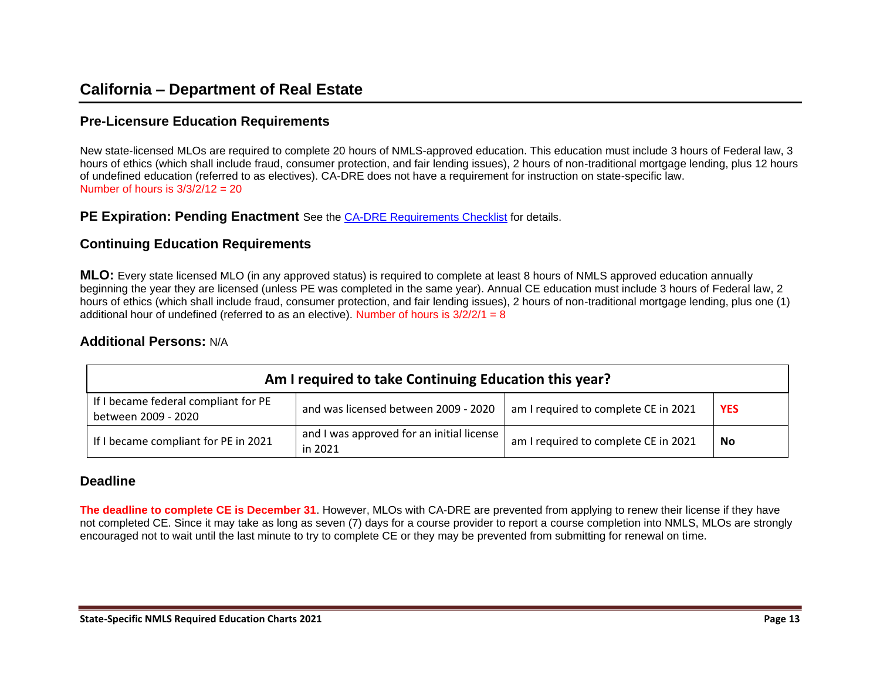New state-licensed MLOs are required to complete 20 hours of NMLS-approved education. This education must include 3 hours of Federal law, 3 hours of ethics (which shall include fraud, consumer protection, and fair lending issues), 2 hours of non-traditional mortgage lending, plus 12 hours of undefined education (referred to as electives). CA-DRE does not have a requirement for instruction on state-specific law. Number of hours is  $3/3/2/12 = 20$ 

**PE Expiration: Pending Enactment** See the **CA-DRE Requirements Checklist** for details.

### **Continuing Education Requirements**

**MLO:** Every state licensed MLO (in any approved status) is required to complete at least 8 hours of NMLS approved education annually beginning the year they are licensed (unless PE was completed in the same year). Annual CE education must include 3 hours of Federal law, 2 hours of ethics (which shall include fraud, consumer protection, and fair lending issues), 2 hours of non-traditional mortgage lending, plus one (1) additional hour of undefined (referred to as an elective). Number of hours is  $3/2/2/1 = 8$ 

#### **Additional Persons:** N/A

| Am I required to take Continuing Education this year?       |                                                      |                                      |            |  |
|-------------------------------------------------------------|------------------------------------------------------|--------------------------------------|------------|--|
| If I became federal compliant for PE<br>between 2009 - 2020 | and was licensed between 2009 - 2020                 | am I required to complete CE in 2021 | <b>YES</b> |  |
| If I became compliant for PE in 2021                        | and I was approved for an initial license<br>in 2021 | am I required to complete CE in 2021 | No         |  |

### **Deadline**

**The deadline to complete CE is December 31**. However, MLOs with CA-DRE are prevented from applying to renew their license if they have not completed CE. Since it may take as long as seven (7) days for a course provider to report a course completion into NMLS, MLOs are strongly encouraged not to wait until the last minute to try to complete CE or they may be prevented from submitting for renewal on time.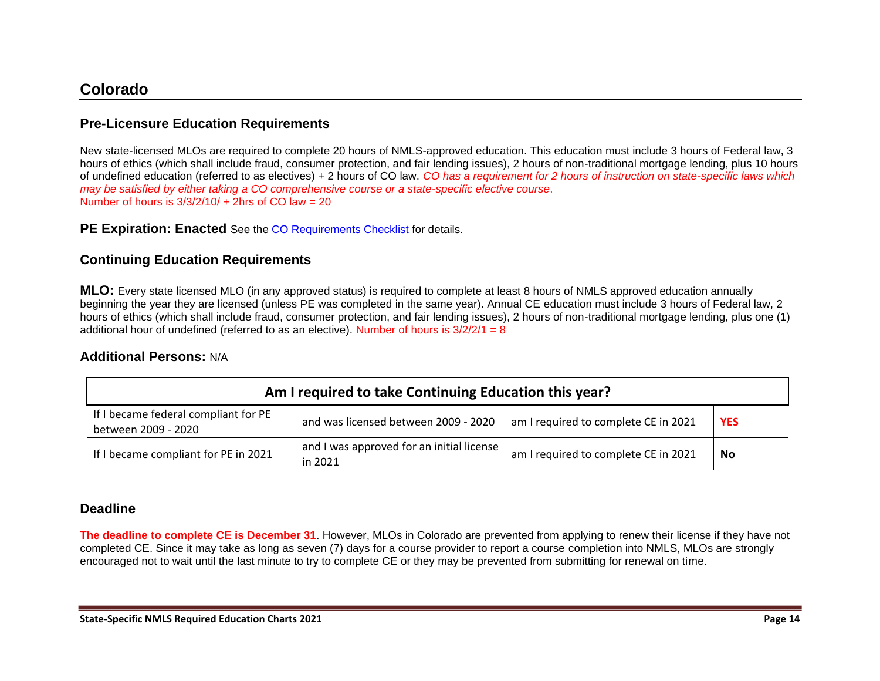## **Colorado**

### **Pre-Licensure Education Requirements**

New state-licensed MLOs are required to complete 20 hours of NMLS-approved education. This education must include 3 hours of Federal law, 3 hours of ethics (which shall include fraud, consumer protection, and fair lending issues), 2 hours of non-traditional mortgage lending, plus 10 hours of undefined education (referred to as electives) + 2 hours of CO law. *CO has a requirement for 2 hours of instruction on state-specific laws which may be satisfied by either taking a CO comprehensive course or a state-specific elective course*. Number of hours is  $3/3/2/10/ + 2$ hrs of CO law = 20

#### **PE Expiration: Enacted** See the [CO Requirements Checklist](https://mortgage.nationwidelicensingsystem.org/slr/Pages/DynamicLicenses.aspx?StateID=co) for details.

### **Continuing Education Requirements**

**MLO:** Every state licensed MLO (in any approved status) is required to complete at least 8 hours of NMLS approved education annually beginning the year they are licensed (unless PE was completed in the same year). Annual CE education must include 3 hours of Federal law, 2 hours of ethics (which shall include fraud, consumer protection, and fair lending issues), 2 hours of non-traditional mortgage lending, plus one (1) additional hour of undefined (referred to as an elective). Number of hours is  $3/2/2/1 = 8$ 

#### **Additional Persons:** N/A

| Am I required to take Continuing Education this year?       |                                                        |                                      |            |  |
|-------------------------------------------------------------|--------------------------------------------------------|--------------------------------------|------------|--|
| If I became federal compliant for PE<br>between 2009 - 2020 | and was licensed between 2009 - 2020                   | am I required to complete CE in 2021 | <b>YES</b> |  |
| If I became compliant for PE in 2021                        | and I was approved for an initial license  <br>in 2021 | am I required to complete CE in 2021 | No         |  |

#### **Deadline**

**The deadline to complete CE is December 31**. However, MLOs in Colorado are prevented from applying to renew their license if they have not completed CE. Since it may take as long as seven (7) days for a course provider to report a course completion into NMLS, MLOs are strongly encouraged not to wait until the last minute to try to complete CE or they may be prevented from submitting for renewal on time.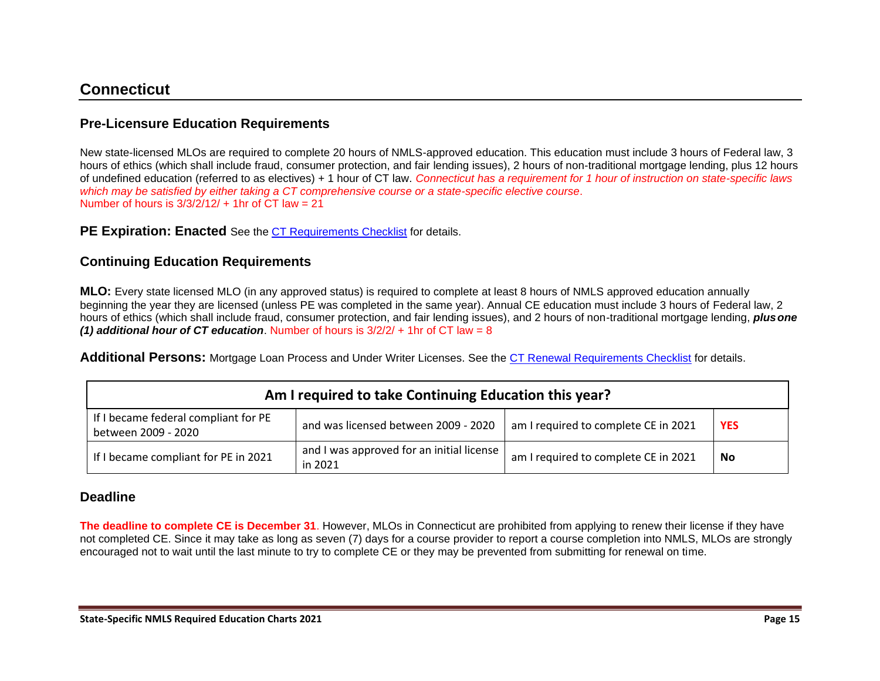## **Connecticut**

### **Pre-Licensure Education Requirements**

New state-licensed MLOs are required to complete 20 hours of NMLS-approved education. This education must include 3 hours of Federal law, 3 hours of ethics (which shall include fraud, consumer protection, and fair lending issues), 2 hours of non-traditional mortgage lending, plus 12 hours of undefined education (referred to as electives) + 1 hour of CT law. *Connecticut has a requirement for 1 hour of instruction on state-specific laws which may be satisfied by either taking a CT comprehensive course or a state-specific elective course*. Number of hours is  $3/3/2/12/ + 1$ hr of CT law = 21

**PE Expiration: Enacted** See the [CT Requirements Checklist](https://mortgage.nationwidelicensingsystem.org/slr/Pages/DynamicLicenses.aspx?StateID=CT) for details.

### **Continuing Education Requirements**

**MLO:** Every state licensed MLO (in any approved status) is required to complete at least 8 hours of NMLS approved education annually beginning the year they are licensed (unless PE was completed in the same year). Annual CE education must include 3 hours of Federal law, 2 hours of ethics (which shall include fraud, consumer protection, and fair lending issues), and 2 hours of non-traditional mortgage lending, *plusone* (1) additional hour of CT education. Number of hours is  $3/2/2$  + 1hr of CT law = 8

**Additional Persons:** Mortgage Loan Process and Under Writer Licenses. See the [CT Renewal Requirements Checklist](https://mortgage.nationwidelicensingsystem.org/slr/PublishedStateDocuments/Connecticut-DOBRenewalChecklist.pdf) for details.

| Am I required to take Continuing Education this year?       |                                                      |                                      |            |  |
|-------------------------------------------------------------|------------------------------------------------------|--------------------------------------|------------|--|
| If I became federal compliant for PE<br>between 2009 - 2020 | and was licensed between 2009 - 2020                 | am I required to complete CE in 2021 | <b>YES</b> |  |
| If I became compliant for PE in 2021                        | and I was approved for an initial license<br>in 2021 | am I required to complete CE in 2021 | No         |  |

### **Deadline**

**The deadline to complete CE is December 31**. However, MLOs in Connecticut are prohibited from applying to renew their license if they have not completed CE. Since it may take as long as seven (7) days for a course provider to report a course completion into NMLS, MLOs are strongly encouraged not to wait until the last minute to try to complete CE or they may be prevented from submitting for renewal on time.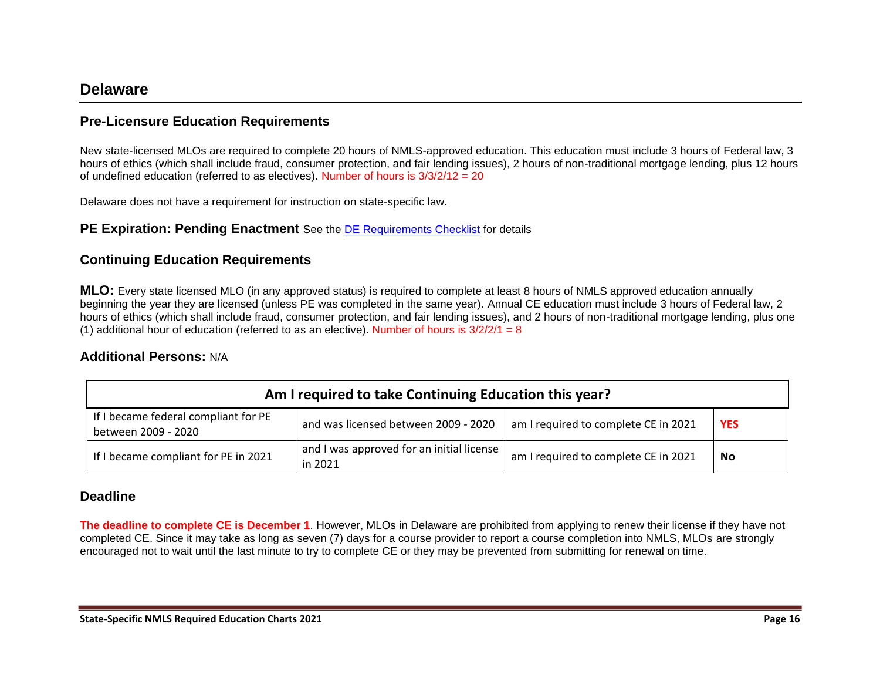### **Delaware**

### **Pre-Licensure Education Requirements**

New state-licensed MLOs are required to complete 20 hours of NMLS-approved education. This education must include 3 hours of Federal law, 3 hours of ethics (which shall include fraud, consumer protection, and fair lending issues), 2 hours of non-traditional mortgage lending, plus 12 hours of undefined education (referred to as electives). Number of hours is 3/3/2/12 = 20

Delaware does not have a requirement for instruction on state-specific law.

### **PE Expiration: Pending Enactment** See the [DE Requirements Checklist](https://mortgage.nationwidelicensingsystem.org/slr/Pages/DynamicLicenses.aspx?StateID=DE) for details

#### **Continuing Education Requirements**

**MLO:** Every state licensed MLO (in any approved status) is required to complete at least 8 hours of NMLS approved education annually beginning the year they are licensed (unless PE was completed in the same year). Annual CE education must include 3 hours of Federal law, 2 hours of ethics (which shall include fraud, consumer protection, and fair lending issues), and 2 hours of non-traditional mortgage lending, plus one (1) additional hour of education (referred to as an elective). Number of hours is  $3/2/2/1 = 8$ 

#### **Additional Persons:** N/A

| Am I required to take Continuing Education this year?       |                                                      |                                      |            |  |
|-------------------------------------------------------------|------------------------------------------------------|--------------------------------------|------------|--|
| If I became federal compliant for PE<br>between 2009 - 2020 | and was licensed between 2009 - 2020                 | am I required to complete CE in 2021 | <b>YES</b> |  |
| If I became compliant for PE in 2021                        | and I was approved for an initial license<br>in 2021 | am I required to complete CE in 2021 | No         |  |

#### **Deadline**

**The deadline to complete CE is December 1**. However, MLOs in Delaware are prohibited from applying to renew their license if they have not completed CE. Since it may take as long as seven (7) days for a course provider to report a course completion into NMLS, MLOs are strongly encouraged not to wait until the last minute to try to complete CE or they may be prevented from submitting for renewal on time.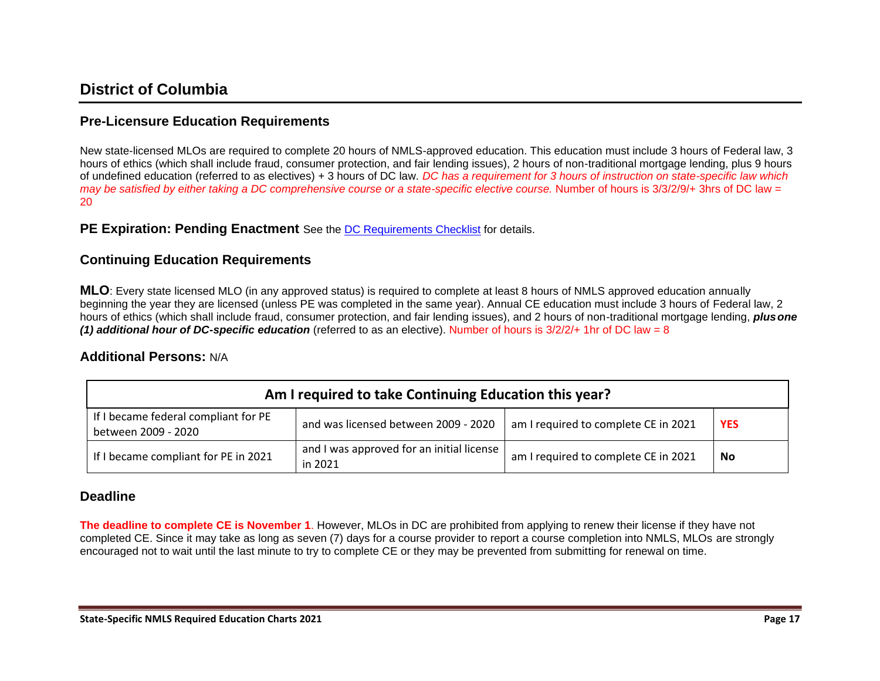## **District of Columbia**

### **Pre-Licensure Education Requirements**

New state-licensed MLOs are required to complete 20 hours of NMLS-approved education. This education must include 3 hours of Federal law, 3 hours of ethics (which shall include fraud, consumer protection, and fair lending issues), 2 hours of non-traditional mortgage lending, plus 9 hours of undefined education (referred to as electives) + 3 hours of DC law. *DC has a requirement for 3 hours of instruction on state-specific law which may be satisfied by either taking a DC comprehensive course or a state-specific elective course.* Number of hours is 3/3/2/9/+ 3hrs of DC law = 20

**PE Expiration: Pending Enactment** See the [DC Requirements Checklist](https://mortgage.nationwidelicensingsystem.org/slr/Pages/DynamicLicenses.aspx?StateID=DC) for details.

### **Continuing Education Requirements**

**MLO**: Every state licensed MLO (in any approved status) is required to complete at least 8 hours of NMLS approved education annually beginning the year they are licensed (unless PE was completed in the same year). Annual CE education must include 3 hours of Federal law, 2 hours of ethics (which shall include fraud, consumer protection, and fair lending issues), and 2 hours of non-traditional mortgage lending, *plusone (1) additional hour of DC-specific education* (referred to as an elective). Number of hours is 3/2/2/+ 1hr of DC law = 8

#### **Additional Persons:** N/A

| Am I required to take Continuing Education this year?       |                                                      |                                      |            |  |
|-------------------------------------------------------------|------------------------------------------------------|--------------------------------------|------------|--|
| If I became federal compliant for PE<br>between 2009 - 2020 | and was licensed between 2009 - 2020                 | am I required to complete CE in 2021 | <b>YES</b> |  |
| If I became compliant for PE in 2021                        | and I was approved for an initial license<br>in 2021 | am I required to complete CE in 2021 | No         |  |

#### **Deadline**

**The deadline to complete CE is November 1**. However, MLOs in DC are prohibited from applying to renew their license if they have not completed CE. Since it may take as long as seven (7) days for a course provider to report a course completion into NMLS, MLOs are strongly encouraged not to wait until the last minute to try to complete CE or they may be prevented from submitting for renewal on time.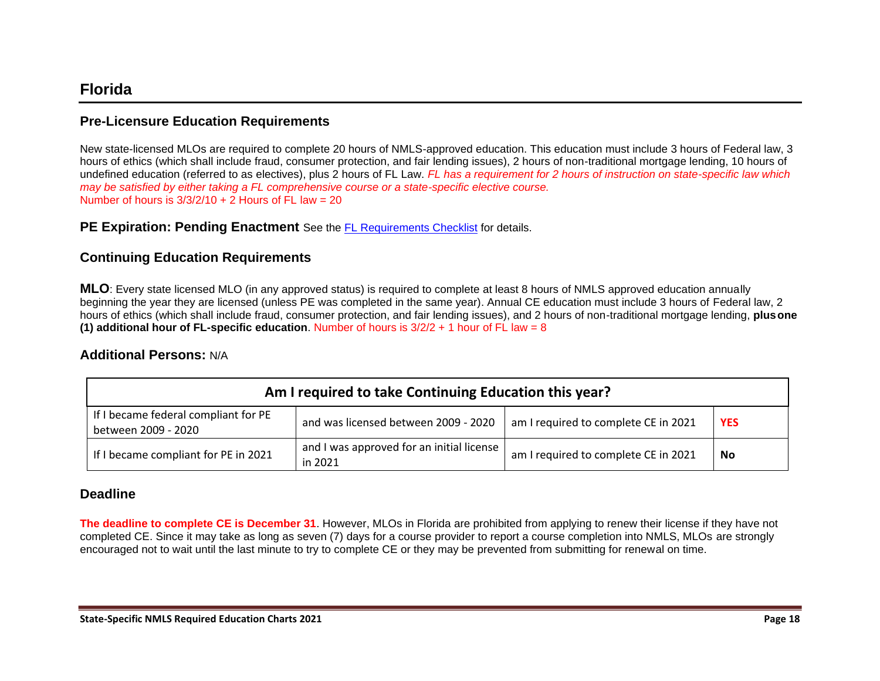New state-licensed MLOs are required to complete 20 hours of NMLS-approved education. This education must include 3 hours of Federal law, 3 hours of ethics (which shall include fraud, consumer protection, and fair lending issues), 2 hours of non-traditional mortgage lending, 10 hours of undefined education (referred to as electives), plus 2 hours of FL Law. *FL has a requirement for 2 hours of instruction on state-specific law which may be satisfied by either taking a FL comprehensive course or a state-specific elective course.* Number of hours is  $3/3/2/10 + 2$  Hours of FL law = 20

#### **PE Expiration: Pending Enactment** See the [FL Requirements Checklist](https://mortgage.nationwidelicensingsystem.org/slr/Pages/DynamicLicenses.aspx?StateID=FL) for details.

### **Continuing Education Requirements**

**MLO**: Every state licensed MLO (in any approved status) is required to complete at least 8 hours of NMLS approved education annually beginning the year they are licensed (unless PE was completed in the same year). Annual CE education must include 3 hours of Federal law, 2 hours of ethics (which shall include fraud, consumer protection, and fair lending issues), and 2 hours of non-traditional mortgage lending, **plusone (1) additional hour of FL-specific education**. Number of hours is 3/2/2 + 1 hour of FL law = 8

### **Additional Persons:** N/A

| Am I required to take Continuing Education this year?       |                                                      |                                      |            |
|-------------------------------------------------------------|------------------------------------------------------|--------------------------------------|------------|
| If I became federal compliant for PE<br>between 2009 - 2020 | and was licensed between 2009 - 2020                 | am I required to complete CE in 2021 | <b>YES</b> |
| If I became compliant for PE in 2021                        | and I was approved for an initial license<br>in 2021 | am I required to complete CE in 2021 | No         |

### **Deadline**

**The deadline to complete CE is December 31**. However, MLOs in Florida are prohibited from applying to renew their license if they have not completed CE. Since it may take as long as seven (7) days for a course provider to report a course completion into NMLS, MLOs are strongly encouraged not to wait until the last minute to try to complete CE or they may be prevented from submitting for renewal on time.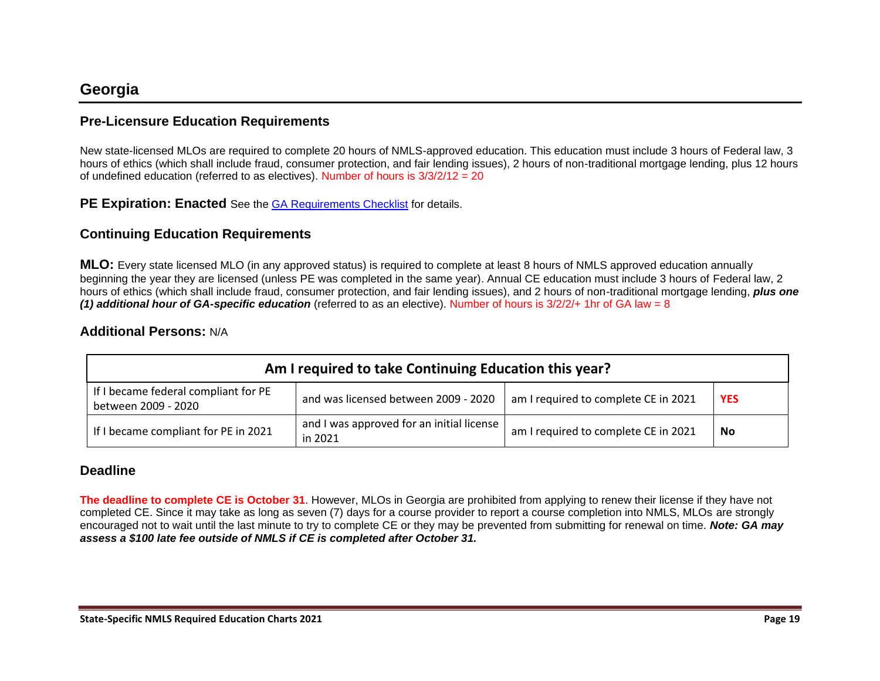New state-licensed MLOs are required to complete 20 hours of NMLS-approved education. This education must include 3 hours of Federal law, 3 hours of ethics (which shall include fraud, consumer protection, and fair lending issues), 2 hours of non-traditional mortgage lending, plus 12 hours of undefined education (referred to as electives). Number of hours is  $3/3/2/12 = 20$ 

**PE Expiration: Enacted** See the [GA Requirements Checklist](https://mortgage.nationwidelicensingsystem.org/slr/Pages/DynamicLicenses.aspx?StateID=GA) for details.

### **Continuing Education Requirements**

**MLO:** Every state licensed MLO (in any approved status) is required to complete at least 8 hours of NMLS approved education annually beginning the year they are licensed (unless PE was completed in the same year). Annual CE education must include 3 hours of Federal law, 2 hours of ethics (which shall include fraud, consumer protection, and fair lending issues), and 2 hours of non-traditional mortgage lending, *plus one (1) additional hour of GA-specific education* (referred to as an elective). Number of hours is 3/2/2/+ 1hr of GA law = 8

### **Additional Persons:** N/A

| Am I required to take Continuing Education this year?       |                                                      |                                      |            |
|-------------------------------------------------------------|------------------------------------------------------|--------------------------------------|------------|
| If I became federal compliant for PE<br>between 2009 - 2020 | and was licensed between 2009 - 2020                 | am I required to complete CE in 2021 | <b>YES</b> |
| If I became compliant for PE in 2021                        | and I was approved for an initial license<br>in 2021 | am I required to complete CE in 2021 | No         |

### **Deadline**

**The deadline to complete CE is October 31**. However, MLOs in Georgia are prohibited from applying to renew their license if they have not completed CE. Since it may take as long as seven (7) days for a course provider to report a course completion into NMLS, MLOs are strongly encouraged not to wait until the last minute to try to complete CE or they may be prevented from submitting for renewal on time. *Note: GA may assess a \$100 late fee outside of NMLS if CE is completed after October 31.*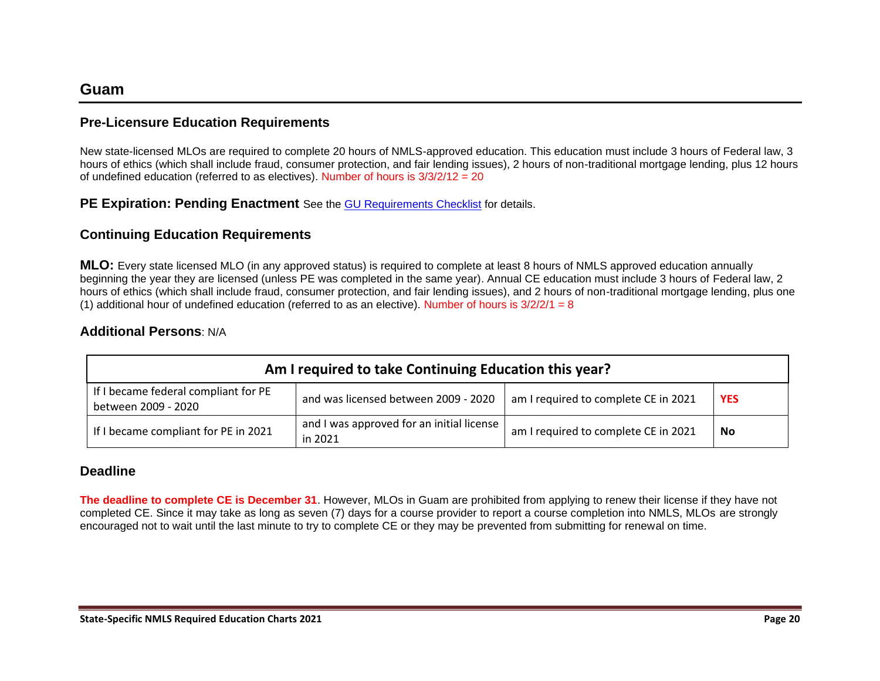New state-licensed MLOs are required to complete 20 hours of NMLS-approved education. This education must include 3 hours of Federal law, 3 hours of ethics (which shall include fraud, consumer protection, and fair lending issues), 2 hours of non-traditional mortgage lending, plus 12 hours of undefined education (referred to as electives). Number of hours is 3/3/2/12 = 20

**PE Expiration: Pending Enactment** See the [GU Requirements Checklist](https://mortgage.nationwidelicensingsystem.org/slr/Pages/DynamicLicenses.aspx?StateID=GU) for details.

### **Continuing Education Requirements**

**MLO:** Every state licensed MLO (in any approved status) is required to complete at least 8 hours of NMLS approved education annually beginning the year they are licensed (unless PE was completed in the same year). Annual CE education must include 3 hours of Federal law, 2 hours of ethics (which shall include fraud, consumer protection, and fair lending issues), and 2 hours of non-traditional mortgage lending, plus one (1) additional hour of undefined education (referred to as an elective). Number of hours is  $3/2/2/1 = 8$ 

### **Additional Persons**: N/A

| Am I required to take Continuing Education this year?       |                                                      |                                      |            |
|-------------------------------------------------------------|------------------------------------------------------|--------------------------------------|------------|
| If I became federal compliant for PE<br>between 2009 - 2020 | and was licensed between 2009 - 2020                 | am I required to complete CE in 2021 | <b>YES</b> |
| If I became compliant for PE in 2021                        | and I was approved for an initial license<br>in 2021 | am I required to complete CE in 2021 | <b>No</b>  |

### **Deadline**

**The deadline to complete CE is December 31**. However, MLOs in Guam are prohibited from applying to renew their license if they have not completed CE. Since it may take as long as seven (7) days for a course provider to report a course completion into NMLS, MLOs are strongly encouraged not to wait until the last minute to try to complete CE or they may be prevented from submitting for renewal on time.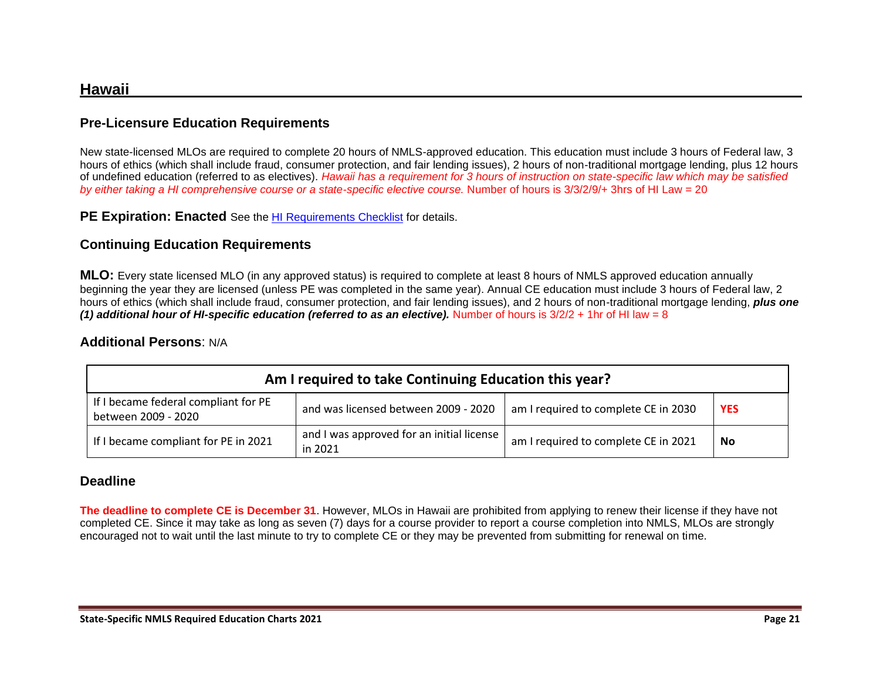### **Hawaii**

### **Pre-Licensure Education Requirements**

New state-licensed MLOs are required to complete 20 hours of NMLS-approved education. This education must include 3 hours of Federal law, 3 hours of ethics (which shall include fraud, consumer protection, and fair lending issues), 2 hours of non-traditional mortgage lending, plus 12 hours of undefined education (referred to as electives). *Hawaii has a requirement for 3 hours of instruction on state-specific law which may be satisfied by either taking a HI comprehensive course or a state-specific elective course.* Number of hours is 3/3/2/9/+ 3hrs of HI Law = 20

**PE Expiration: Enacted** See the [HI Requirements Checklist](https://mortgage.nationwidelicensingsystem.org/slr/Pages/DynamicLicenses.aspx?StateID=HI) for details.

### **Continuing Education Requirements**

**MLO:** Every state licensed MLO (in any approved status) is required to complete at least 8 hours of NMLS approved education annually beginning the year they are licensed (unless PE was completed in the same year). Annual CE education must include 3 hours of Federal law, 2 hours of ethics (which shall include fraud, consumer protection, and fair lending issues), and 2 hours of non-traditional mortgage lending, *plus one (1) additional hour of HI-specific education (referred to as an elective).* Number of hours is 3/2/2 + 1hr of HI law = 8

#### **Additional Persons**: N/A

| Am I required to take Continuing Education this year?       |                                                      |                                      |            |
|-------------------------------------------------------------|------------------------------------------------------|--------------------------------------|------------|
| If I became federal compliant for PE<br>between 2009 - 2020 | and was licensed between 2009 - 2020                 | am I required to complete CE in 2030 | <b>YES</b> |
| If I became compliant for PE in 2021                        | and I was approved for an initial license<br>in 2021 | am I required to complete CE in 2021 | <b>No</b>  |

### **Deadline**

**The deadline to complete CE is December 31**. However, MLOs in Hawaii are prohibited from applying to renew their license if they have not completed CE. Since it may take as long as seven (7) days for a course provider to report a course completion into NMLS, MLOs are strongly encouraged not to wait until the last minute to try to complete CE or they may be prevented from submitting for renewal on time.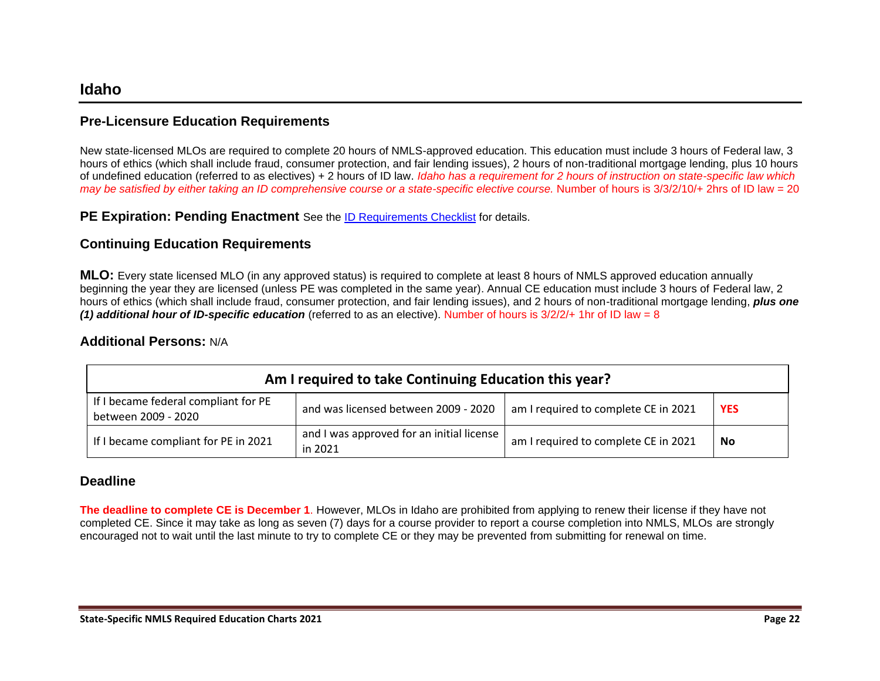New state-licensed MLOs are required to complete 20 hours of NMLS-approved education. This education must include 3 hours of Federal law, 3 hours of ethics (which shall include fraud, consumer protection, and fair lending issues), 2 hours of non-traditional mortgage lending, plus 10 hours of undefined education (referred to as electives) + 2 hours of ID law. *Idaho has a requirement for 2 hours of instruction on state-specific law which may be satisfied by either taking an ID comprehensive course or a state-specific elective course.* Number of hours is  $3/3/2/10/4$  2hrs of ID law = 20

**PE Expiration: Pending Enactment** See the [ID Requirements Checklist](https://mortgage.nationwidelicensingsystem.org/slr/Pages/DynamicLicenses.aspx?StateID=ID) for details.

### **Continuing Education Requirements**

**MLO:** Every state licensed MLO (in any approved status) is required to complete at least 8 hours of NMLS approved education annually beginning the year they are licensed (unless PE was completed in the same year). Annual CE education must include 3 hours of Federal law, 2 hours of ethics (which shall include fraud, consumer protection, and fair lending issues), and 2 hours of non-traditional mortgage lending, *plus one (1) additional hour of ID-specific education* (referred to as an elective). Number of hours is 3/2/2/+ 1hr of ID law = 8

### **Additional Persons:** N/A

| Am I required to take Continuing Education this year?       |                                                      |                                      |            |
|-------------------------------------------------------------|------------------------------------------------------|--------------------------------------|------------|
| If I became federal compliant for PE<br>between 2009 - 2020 | and was licensed between 2009 - 2020                 | am I required to complete CE in 2021 | <b>YES</b> |
| If I became compliant for PE in 2021                        | and I was approved for an initial license<br>in 2021 | am I required to complete CE in 2021 | No         |

### **Deadline**

**The deadline to complete CE is December 1**. However, MLOs in Idaho are prohibited from applying to renew their license if they have not completed CE. Since it may take as long as seven (7) days for a course provider to report a course completion into NMLS, MLOs are strongly encouraged not to wait until the last minute to try to complete CE or they may be prevented from submitting for renewal on time.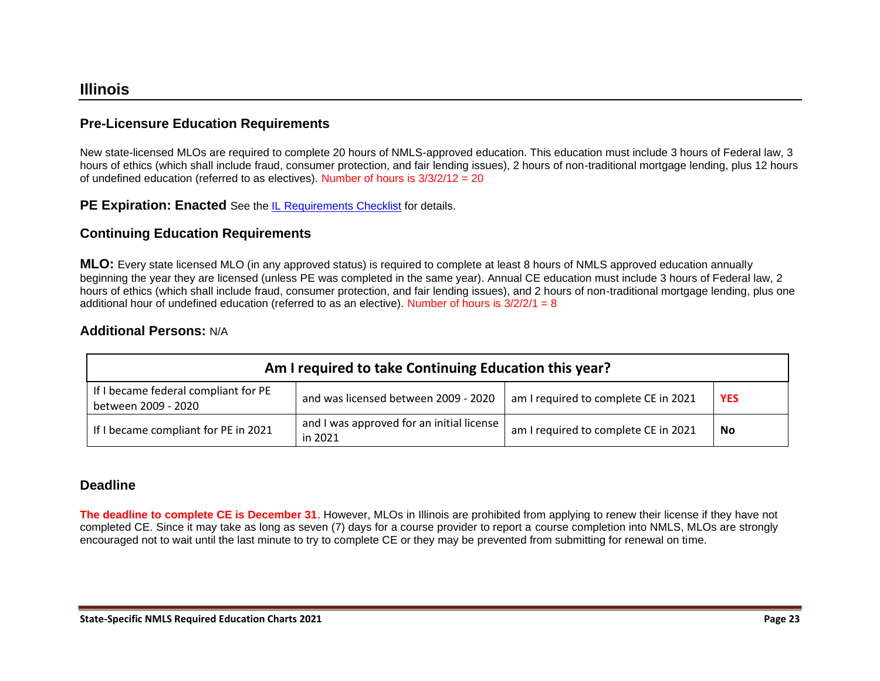New state-licensed MLOs are required to complete 20 hours of NMLS-approved education. This education must include 3 hours of Federal law, 3 hours of ethics (which shall include fraud, consumer protection, and fair lending issues), 2 hours of non-traditional mortgage lending, plus 12 hours of undefined education (referred to as electives). Number of hours is  $3/3/2/12 = 20$ 

**PE Expiration: Enacted** See the [IL Requirements Checklist](https://mortgage.nationwidelicensingsystem.org/slr/Pages/DynamicLicenses.aspx?StateID=IL) for details.

### **Continuing Education Requirements**

**MLO:** Every state licensed MLO (in any approved status) is required to complete at least 8 hours of NMLS approved education annually beginning the year they are licensed (unless PE was completed in the same year). Annual CE education must include 3 hours of Federal law, 2 hours of ethics (which shall include fraud, consumer protection, and fair lending issues), and 2 hours of non-traditional mortgage lending, plus one additional hour of undefined education (referred to as an elective). Number of hours is 3/2/2/1 = 8

### **Additional Persons:** N/A

| Am I required to take Continuing Education this year?       |                                                      |                                      |            |
|-------------------------------------------------------------|------------------------------------------------------|--------------------------------------|------------|
| If I became federal compliant for PE<br>between 2009 - 2020 | and was licensed between 2009 - 2020                 | am I required to complete CE in 2021 | <b>YES</b> |
| If I became compliant for PE in 2021                        | and I was approved for an initial license<br>in 2021 | am I required to complete CE in 2021 | No         |

### **Deadline**

**The deadline to complete CE is December 31**. However, MLOs in Illinois are prohibited from applying to renew their license if they have not completed CE. Since it may take as long as seven (7) days for a course provider to report a course completion into NMLS, MLOs are strongly encouraged not to wait until the last minute to try to complete CE or they may be prevented from submitting for renewal on time.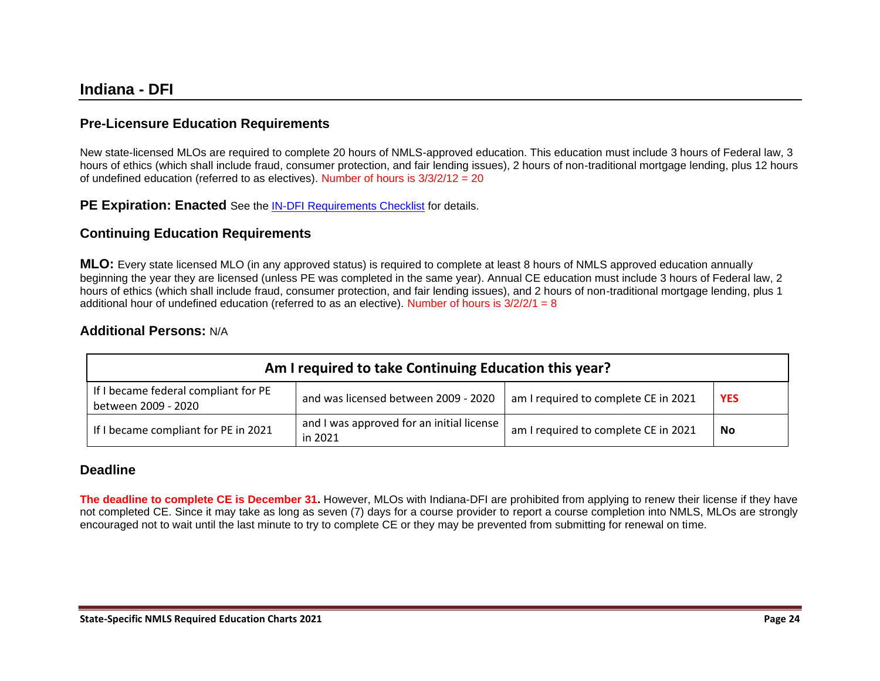## **Indiana - DFI**

### **Pre-Licensure Education Requirements**

New state-licensed MLOs are required to complete 20 hours of NMLS-approved education. This education must include 3 hours of Federal law, 3 hours of ethics (which shall include fraud, consumer protection, and fair lending issues), 2 hours of non-traditional mortgage lending, plus 12 hours of undefined education (referred to as electives). Number of hours is  $3/3/2/12 = 20$ 

**PE Expiration: Enacted** See the [IN-DFI Requirements Checklist](https://mortgage.nationwidelicensingsystem.org/slr/Pages/DynamicLicenses.aspx?StateID=INDFI) for details.

### **Continuing Education Requirements**

**MLO:** Every state licensed MLO (in any approved status) is required to complete at least 8 hours of NMLS approved education annually beginning the year they are licensed (unless PE was completed in the same year). Annual CE education must include 3 hours of Federal law, 2 hours of ethics (which shall include fraud, consumer protection, and fair lending issues), and 2 hours of non-traditional mortgage lending, plus 1 additional hour of undefined education (referred to as an elective). Number of hours is 3/2/2/1 = 8

### **Additional Persons:** N/A

| Am I required to take Continuing Education this year?       |                                                      |                                      |            |
|-------------------------------------------------------------|------------------------------------------------------|--------------------------------------|------------|
| If I became federal compliant for PE<br>between 2009 - 2020 | and was licensed between 2009 - 2020                 | am I required to complete CE in 2021 | <b>YES</b> |
| If I became compliant for PE in 2021                        | and I was approved for an initial license<br>in 2021 | am I required to complete CE in 2021 | <b>No</b>  |

### **Deadline**

**The deadline to complete CE is December 31.** However, MLOs with Indiana-DFI are prohibited from applying to renew their license if they have not completed CE. Since it may take as long as seven (7) days for a course provider to report a course completion into NMLS, MLOs are strongly encouraged not to wait until the last minute to try to complete CE or they may be prevented from submitting for renewal on time.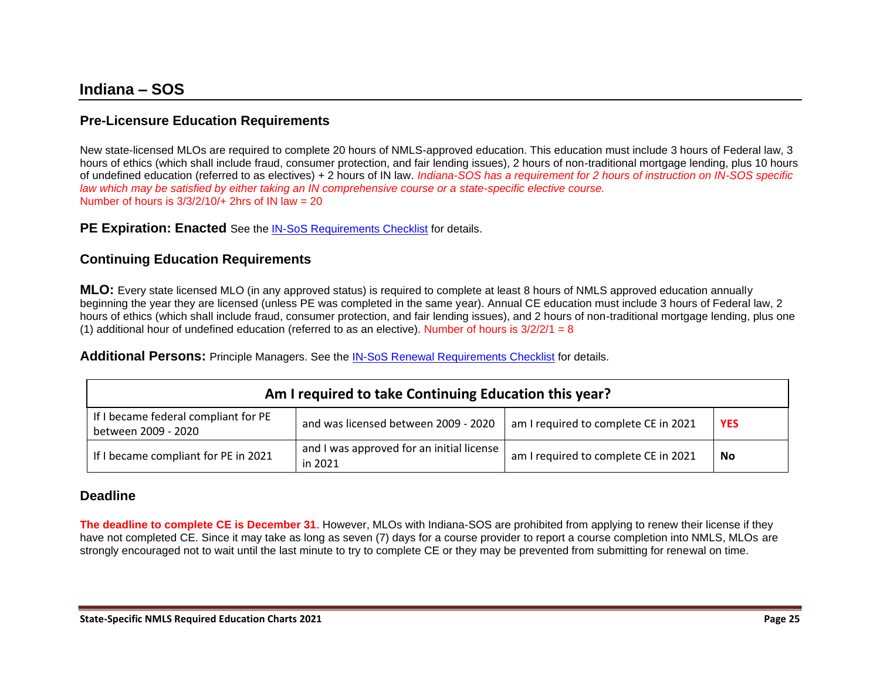New state-licensed MLOs are required to complete 20 hours of NMLS-approved education. This education must include 3 hours of Federal law, 3 hours of ethics (which shall include fraud, consumer protection, and fair lending issues), 2 hours of non-traditional mortgage lending, plus 10 hours of undefined education (referred to as electives) + 2 hours of IN law. *Indiana-SOS has a requirement for 2 hours of instruction on IN-SOS specific law which may be satisfied by either taking an IN comprehensive course or a state-specific elective course.* Number of hours is  $3/3/2/10/4$  2hrs of IN law = 20

**PE Expiration: Enacted** See the [IN-SoS Requirements Checklist](https://mortgage.nationwidelicensingsystem.org/slr/Pages/DynamicLicenses.aspx?StateID=INSOS) for details.

### **Continuing Education Requirements**

**MLO:** Every state licensed MLO (in any approved status) is required to complete at least 8 hours of NMLS approved education annually beginning the year they are licensed (unless PE was completed in the same year). Annual CE education must include 3 hours of Federal law, 2 hours of ethics (which shall include fraud, consumer protection, and fair lending issues), and 2 hours of non-traditional mortgage lending, plus one (1) additional hour of undefined education (referred to as an elective). Number of hours is  $3/2/2/1 = 8$ 

**Additional Persons:** Principle Managers. See the [IN-SoS Renewal Requirements Checklist](https://mortgage.nationwidelicensingsystem.org/slr/PublishedStateDocuments/Indiana-SOSRenewalChecklist.pdf) for details.

| Am I required to take Continuing Education this year?       |                                                      |                                      |            |
|-------------------------------------------------------------|------------------------------------------------------|--------------------------------------|------------|
| If I became federal compliant for PE<br>between 2009 - 2020 | and was licensed between 2009 - 2020                 | am I required to complete CE in 2021 | <b>YES</b> |
| If I became compliant for PE in 2021                        | and I was approved for an initial license<br>in 2021 | am I required to complete CE in 2021 | No         |

### **Deadline**

**The deadline to complete CE is December 31**. However, MLOs with Indiana-SOS are prohibited from applying to renew their license if they have not completed CE. Since it may take as long as seven (7) days for a course provider to report a course completion into NMLS, MLOs are strongly encouraged not to wait until the last minute to try to complete CE or they may be prevented from submitting for renewal on time.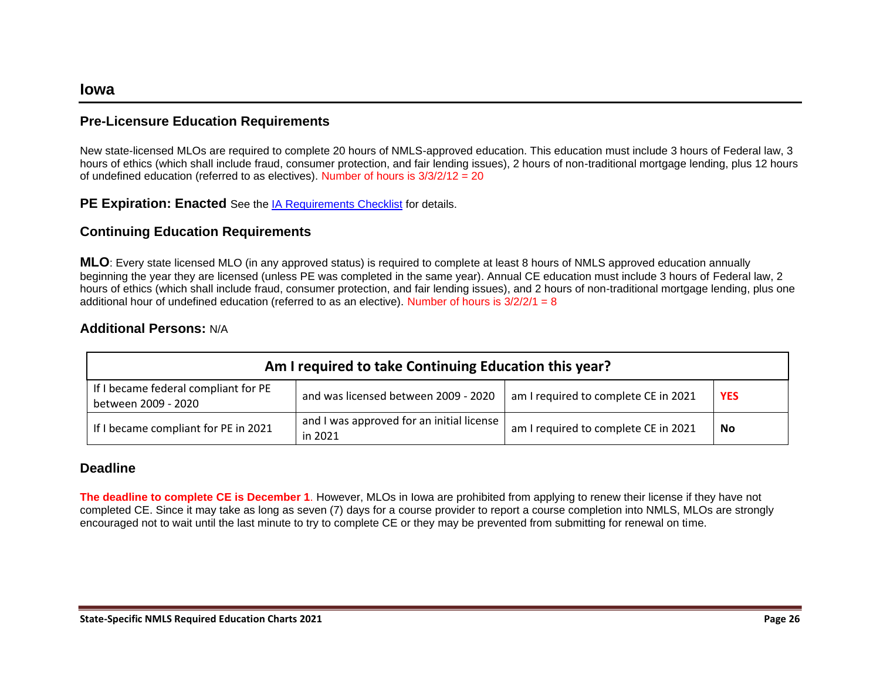New state-licensed MLOs are required to complete 20 hours of NMLS-approved education. This education must include 3 hours of Federal law, 3 hours of ethics (which shall include fraud, consumer protection, and fair lending issues), 2 hours of non-traditional mortgage lending, plus 12 hours of undefined education (referred to as electives). Number of hours is  $3/3/2/12 = 20$ 

**PE Expiration: Enacted** See the [IA Requirements Checklist](https://mortgage.nationwidelicensingsystem.org/slr/Pages/DynamicLicenses.aspx?StateID=IA) for details.

### **Continuing Education Requirements**

**MLO**: Every state licensed MLO (in any approved status) is required to complete at least 8 hours of NMLS approved education annually beginning the year they are licensed (unless PE was completed in the same year). Annual CE education must include 3 hours of Federal law, 2 hours of ethics (which shall include fraud, consumer protection, and fair lending issues), and 2 hours of non-traditional mortgage lending, plus one additional hour of undefined education (referred to as an elective). Number of hours is 3/2/2/1 = 8

### **Additional Persons:** N/A

| Am I required to take Continuing Education this year?       |                                                      |                                      |            |
|-------------------------------------------------------------|------------------------------------------------------|--------------------------------------|------------|
| If I became federal compliant for PE<br>between 2009 - 2020 | and was licensed between 2009 - 2020                 | am I required to complete CE in 2021 | <b>YES</b> |
| If I became compliant for PE in 2021                        | and I was approved for an initial license<br>in 2021 | am I required to complete CE in 2021 | <b>No</b>  |

### **Deadline**

**The deadline to complete CE is December 1**. However, MLOs in Iowa are prohibited from applying to renew their license if they have not completed CE. Since it may take as long as seven (7) days for a course provider to report a course completion into NMLS, MLOs are strongly encouraged not to wait until the last minute to try to complete CE or they may be prevented from submitting for renewal on time.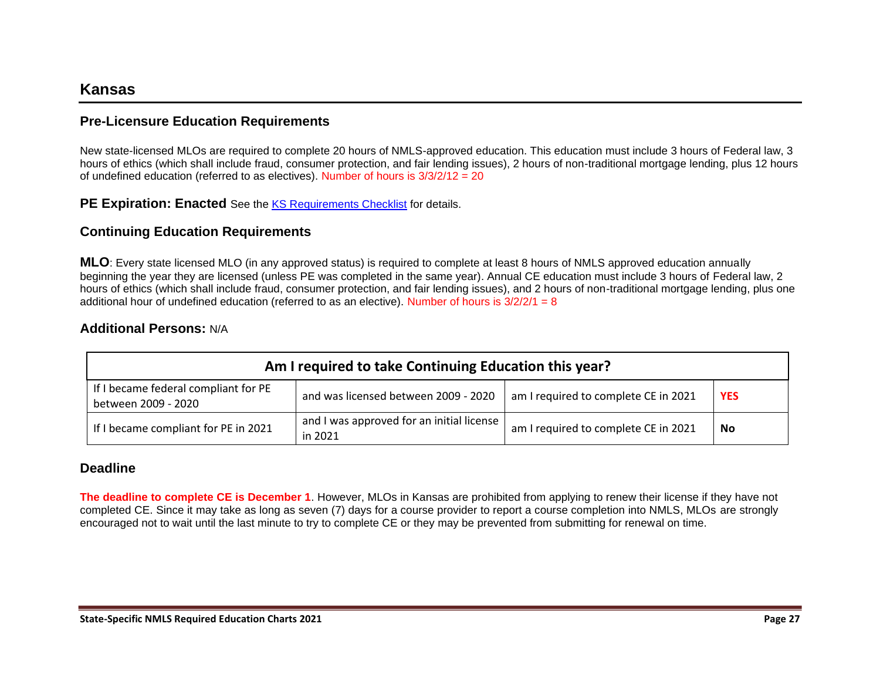### **Kansas**

### **Pre-Licensure Education Requirements**

New state-licensed MLOs are required to complete 20 hours of NMLS-approved education. This education must include 3 hours of Federal law, 3 hours of ethics (which shall include fraud, consumer protection, and fair lending issues), 2 hours of non-traditional mortgage lending, plus 12 hours of undefined education (referred to as electives). Number of hours is  $3/3/2/12 = 20$ 

**PE Expiration: Enacted** See the [KS Requirements Checklist](https://mortgage.nationwidelicensingsystem.org/slr/Pages/DynamicLicenses.aspx?StateID=KS) for details.

### **Continuing Education Requirements**

**MLO**: Every state licensed MLO (in any approved status) is required to complete at least 8 hours of NMLS approved education annually beginning the year they are licensed (unless PE was completed in the same year). Annual CE education must include 3 hours of Federal law, 2 hours of ethics (which shall include fraud, consumer protection, and fair lending issues), and 2 hours of non-traditional mortgage lending, plus one additional hour of undefined education (referred to as an elective). Number of hours is 3/2/2/1 = 8

### **Additional Persons:** N/A

| Am I required to take Continuing Education this year?       |                                                      |                                      |            |
|-------------------------------------------------------------|------------------------------------------------------|--------------------------------------|------------|
| If I became federal compliant for PE<br>between 2009 - 2020 | and was licensed between 2009 - 2020                 | am I required to complete CE in 2021 | <b>YES</b> |
| If I became compliant for PE in 2021                        | and I was approved for an initial license<br>in 2021 | am I required to complete CE in 2021 | <b>No</b>  |

### **Deadline**

**The deadline to complete CE is December 1**. However, MLOs in Kansas are prohibited from applying to renew their license if they have not completed CE. Since it may take as long as seven (7) days for a course provider to report a course completion into NMLS, MLOs are strongly encouraged not to wait until the last minute to try to complete CE or they may be prevented from submitting for renewal on time.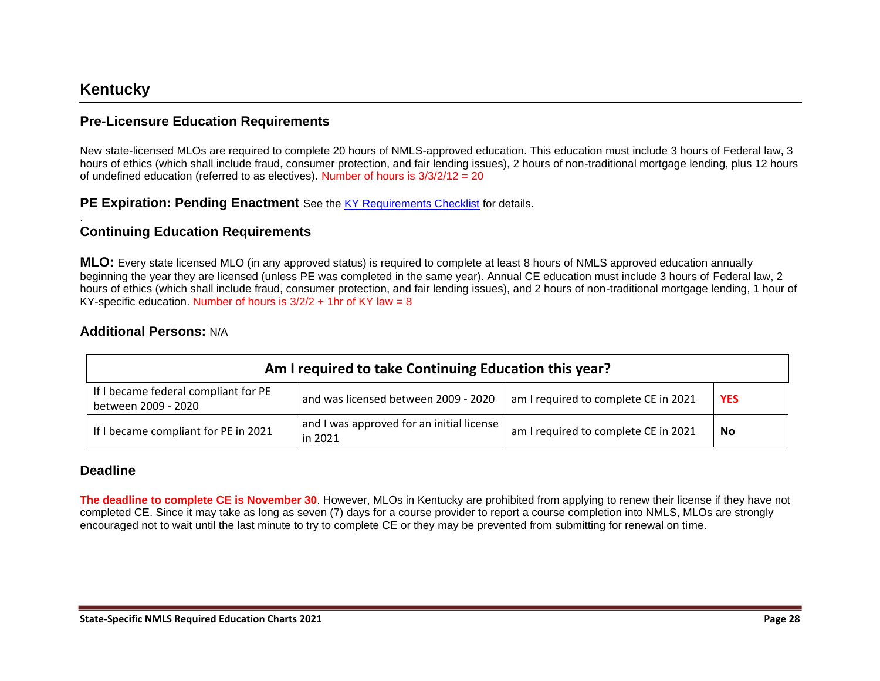## **Kentucky**

.

### **Pre-Licensure Education Requirements**

New state-licensed MLOs are required to complete 20 hours of NMLS-approved education. This education must include 3 hours of Federal law, 3 hours of ethics (which shall include fraud, consumer protection, and fair lending issues), 2 hours of non-traditional mortgage lending, plus 12 hours of undefined education (referred to as electives). Number of hours is  $3/3/2/12 = 20$ 

**PE Expiration: Pending Enactment** See the [KY Requirements Checklist](https://mortgage.nationwidelicensingsystem.org/slr/Pages/DynamicLicenses.aspx?StateID=KY) for details.

### **Continuing Education Requirements**

**MLO:** Every state licensed MLO (in any approved status) is required to complete at least 8 hours of NMLS approved education annually beginning the year they are licensed (unless PE was completed in the same year). Annual CE education must include 3 hours of Federal law, 2 hours of ethics (which shall include fraud, consumer protection, and fair lending issues), and 2 hours of non-traditional mortgage lending, 1 hour of KY-specific education. Number of hours is  $3/2/2 + 1$ hr of KY law = 8

### **Additional Persons:** N/A

| Am I required to take Continuing Education this year?       |                                                      |                                      |            |
|-------------------------------------------------------------|------------------------------------------------------|--------------------------------------|------------|
| If I became federal compliant for PE<br>between 2009 - 2020 | and was licensed between 2009 - 2020                 | am I required to complete CE in 2021 | <b>YES</b> |
| If I became compliant for PE in 2021                        | and I was approved for an initial license<br>in 2021 | am I required to complete CE in 2021 | No         |

### **Deadline**

**The deadline to complete CE is November 30**. However, MLOs in Kentucky are prohibited from applying to renew their license if they have not completed CE. Since it may take as long as seven (7) days for a course provider to report a course completion into NMLS, MLOs are strongly encouraged not to wait until the last minute to try to complete CE or they may be prevented from submitting for renewal on time.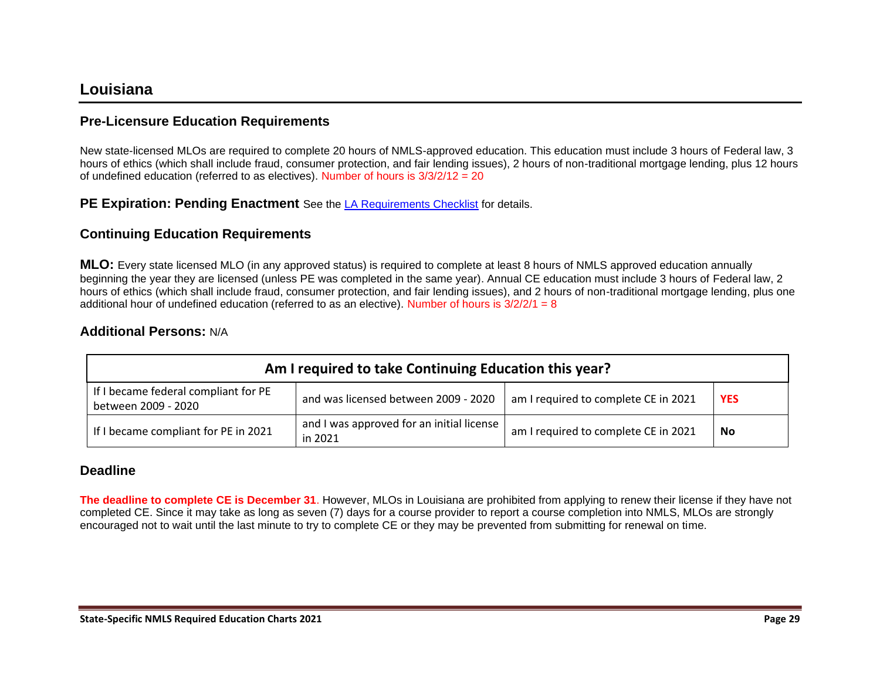## **Louisiana**

### **Pre-Licensure Education Requirements**

New state-licensed MLOs are required to complete 20 hours of NMLS-approved education. This education must include 3 hours of Federal law, 3 hours of ethics (which shall include fraud, consumer protection, and fair lending issues), 2 hours of non-traditional mortgage lending, plus 12 hours of undefined education (referred to as electives). Number of hours is  $3/3/2/12 = 20$ 

**PE Expiration: Pending Enactment** See the [LA Requirements Checklist](https://mortgage.nationwidelicensingsystem.org/slr/Pages/DynamicLicenses.aspx?StateID=LA) for details.

### **Continuing Education Requirements**

**MLO:** Every state licensed MLO (in any approved status) is required to complete at least 8 hours of NMLS approved education annually beginning the year they are licensed (unless PE was completed in the same year). Annual CE education must include 3 hours of Federal law, 2 hours of ethics (which shall include fraud, consumer protection, and fair lending issues), and 2 hours of non-traditional mortgage lending, plus one additional hour of undefined education (referred to as an elective). Number of hours is 3/2/2/1 = 8

#### **Additional Persons:** N/A

| Am I required to take Continuing Education this year?       |                                                      |                                      |            |
|-------------------------------------------------------------|------------------------------------------------------|--------------------------------------|------------|
| If I became federal compliant for PE<br>between 2009 - 2020 | and was licensed between 2009 - 2020                 | am I required to complete CE in 2021 | <b>YES</b> |
| If I became compliant for PE in 2021                        | and I was approved for an initial license<br>in 2021 | am I required to complete CE in 2021 | No         |

### **Deadline**

**The deadline to complete CE is December 31**. However, MLOs in Louisiana are prohibited from applying to renew their license if they have not completed CE. Since it may take as long as seven (7) days for a course provider to report a course completion into NMLS, MLOs are strongly encouraged not to wait until the last minute to try to complete CE or they may be prevented from submitting for renewal on time.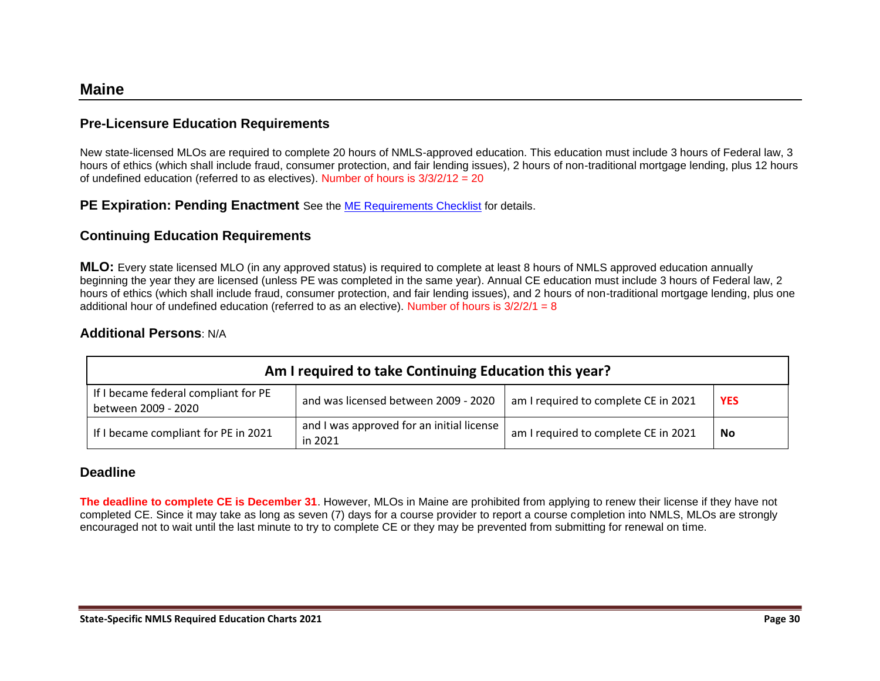New state-licensed MLOs are required to complete 20 hours of NMLS-approved education. This education must include 3 hours of Federal law, 3 hours of ethics (which shall include fraud, consumer protection, and fair lending issues), 2 hours of non-traditional mortgage lending, plus 12 hours of undefined education (referred to as electives). Number of hours is  $3/3/2/12 = 20$ 

**PE Expiration: Pending Enactment** See the [ME Requirements Checklist](https://mortgage.nationwidelicensingsystem.org/slr/Pages/DynamicLicenses.aspx?StateID=ME) for details.

### **Continuing Education Requirements**

**MLO:** Every state licensed MLO (in any approved status) is required to complete at least 8 hours of NMLS approved education annually beginning the year they are licensed (unless PE was completed in the same year). Annual CE education must include 3 hours of Federal law, 2 hours of ethics (which shall include fraud, consumer protection, and fair lending issues), and 2 hours of non-traditional mortgage lending, plus one additional hour of undefined education (referred to as an elective). Number of hours is 3/2/2/1 = 8

### **Additional Persons**: N/A

| Am I required to take Continuing Education this year?       |                                                      |                                      |            |
|-------------------------------------------------------------|------------------------------------------------------|--------------------------------------|------------|
| If I became federal compliant for PE<br>between 2009 - 2020 | and was licensed between 2009 - 2020                 | am I required to complete CE in 2021 | <b>YES</b> |
| If I became compliant for PE in 2021                        | and I was approved for an initial license<br>in 2021 | am I required to complete CE in 2021 | <b>No</b>  |

### **Deadline**

**The deadline to complete CE is December 31**. However, MLOs in Maine are prohibited from applying to renew their license if they have not completed CE. Since it may take as long as seven (7) days for a course provider to report a course completion into NMLS, MLOs are strongly encouraged not to wait until the last minute to try to complete CE or they may be prevented from submitting for renewal on time.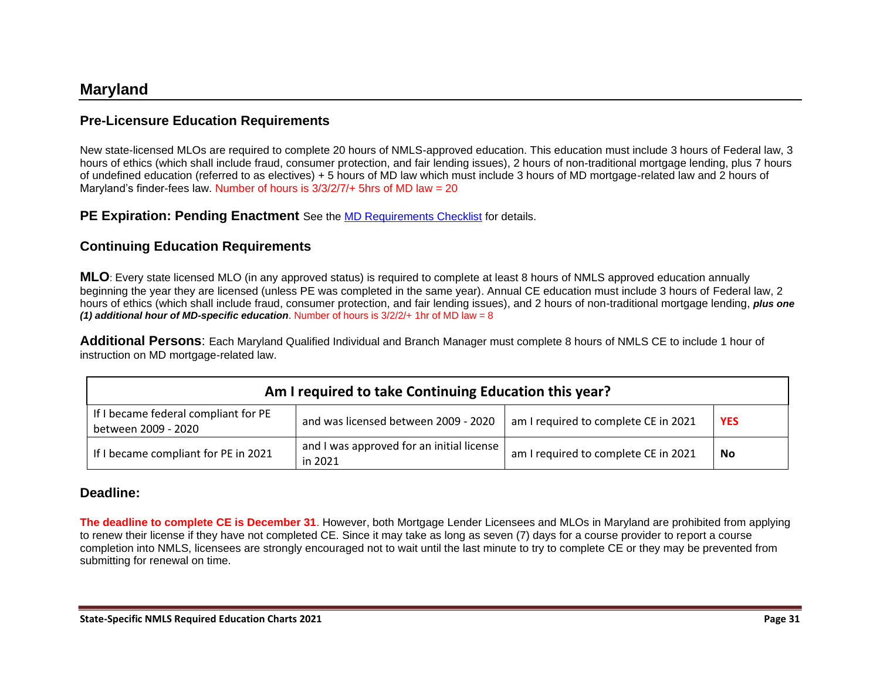## **Maryland**

### **Pre-Licensure Education Requirements**

New state-licensed MLOs are required to complete 20 hours of NMLS-approved education. This education must include 3 hours of Federal law, 3 hours of ethics (which shall include fraud, consumer protection, and fair lending issues), 2 hours of non-traditional mortgage lending, plus 7 hours of undefined education (referred to as electives) + 5 hours of MD law which must include 3 hours of MD mortgage-related law and 2 hours of Maryland's finder-fees law. Number of hours is 3/3/2/7/+ 5hrs of MD law = 20

**PE Expiration: Pending Enactment** See the **MD Requirements Checklist** for details.

### **Continuing Education Requirements**

**MLO**: Every state licensed MLO (in any approved status) is required to complete at least 8 hours of NMLS approved education annually beginning the year they are licensed (unless PE was completed in the same year). Annual CE education must include 3 hours of Federal law, 2 hours of ethics (which shall include fraud, consumer protection, and fair lending issues), and 2 hours of non-traditional mortgage lending, *plus one (1) additional hour of MD-specific education*. Number of hours is 3/2/2/+ 1hr of MD law = 8

**Additional Persons**: Each Maryland Qualified Individual and Branch Manager must complete 8 hours of NMLS CE to include 1 hour of instruction on MD mortgage-related law.

| Am I required to take Continuing Education this year?       |                                                      |                                      |            |
|-------------------------------------------------------------|------------------------------------------------------|--------------------------------------|------------|
| If I became federal compliant for PE<br>between 2009 - 2020 | and was licensed between 2009 - 2020                 | am I required to complete CE in 2021 | <b>YES</b> |
| If I became compliant for PE in 2021                        | and I was approved for an initial license<br>in 2021 | am I required to complete CE in 2021 | No         |

### **Deadline:**

**The deadline to complete CE is December 31**. However, both Mortgage Lender Licensees and MLOs in Maryland are prohibited from applying to renew their license if they have not completed CE. Since it may take as long as seven (7) days for a course provider to report a course completion into NMLS, licensees are strongly encouraged not to wait until the last minute to try to complete CE or they may be prevented from submitting for renewal on time.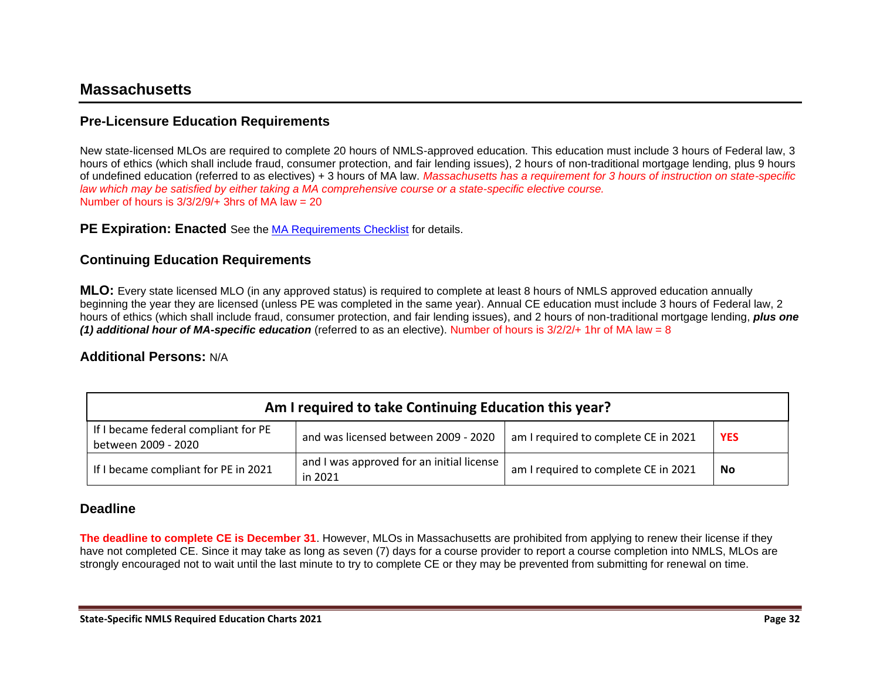## **Massachusetts**

### **Pre-Licensure Education Requirements**

New state-licensed MLOs are required to complete 20 hours of NMLS-approved education. This education must include 3 hours of Federal law, 3 hours of ethics (which shall include fraud, consumer protection, and fair lending issues), 2 hours of non-traditional mortgage lending, plus 9 hours of undefined education (referred to as electives) + 3 hours of MA law. *Massachusetts has a requirement for 3 hours of instruction on state-specific law which may be satisfied by either taking a MA comprehensive course or a state-specific elective course.* Number of hours is  $3/3/2/9/4$  3hrs of MA law = 20

#### **PE Expiration: Enacted** See the [MA Requirements Checklist](https://mortgage.nationwidelicensingsystem.org/slr/Pages/DynamicLicenses.aspx?StateID=MA) for details.

### **Continuing Education Requirements**

**MLO:** Every state licensed MLO (in any approved status) is required to complete at least 8 hours of NMLS approved education annually beginning the year they are licensed (unless PE was completed in the same year). Annual CE education must include 3 hours of Federal law, 2 hours of ethics (which shall include fraud, consumer protection, and fair lending issues), and 2 hours of non-traditional mortgage lending, *plus one (1) additional hour of MA-specific education* (referred to as an elective). Number of hours is 3/2/2/+ 1hr of MA law = 8

#### **Additional Persons:** N/A

| Am I required to take Continuing Education this year?       |                                                        |                                      |            |
|-------------------------------------------------------------|--------------------------------------------------------|--------------------------------------|------------|
| If I became federal compliant for PE<br>between 2009 - 2020 | and was licensed between 2009 - 2020                   | am I required to complete CE in 2021 | <b>YES</b> |
| If I became compliant for PE in 2021                        | and I was approved for an initial license  <br>in 2021 | am I required to complete CE in 2021 | <b>No</b>  |

#### **Deadline**

**The deadline to complete CE is December 31**. However, MLOs in Massachusetts are prohibited from applying to renew their license if they have not completed CE. Since it may take as long as seven (7) days for a course provider to report a course completion into NMLS, MLOs are strongly encouraged not to wait until the last minute to try to complete CE or they may be prevented from submitting for renewal on time.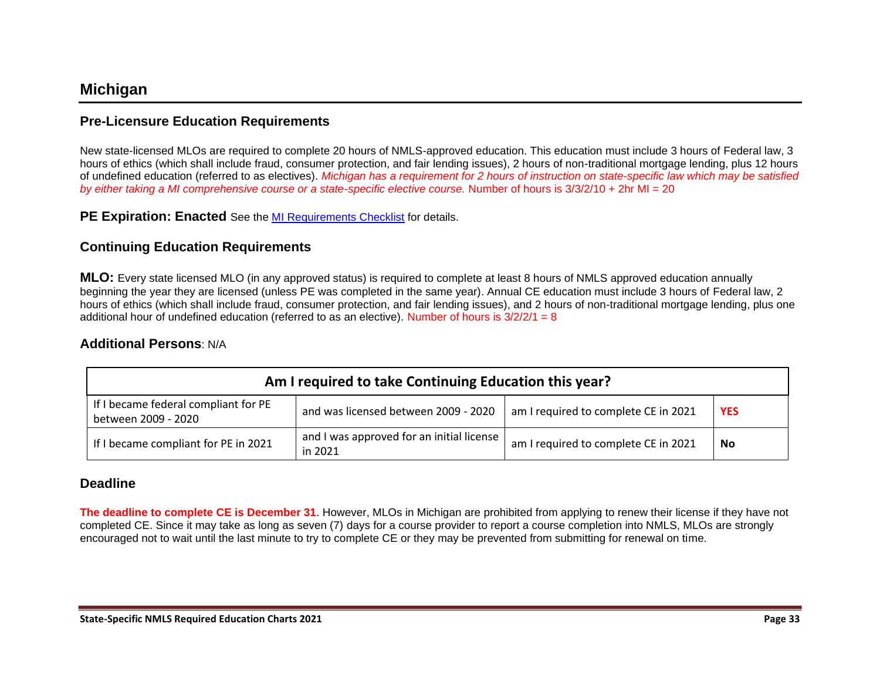New state-licensed MLOs are required to complete 20 hours of NMLS-approved education. This education must include 3 hours of Federal law, 3 hours of ethics (which shall include fraud, consumer protection, and fair lending issues), 2 hours of non-traditional mortgage lending, plus 12 hours of undefined education (referred to as electives). *Michigan has a requirement for 2 hours of instruction on state-specific law which may be satisfied by either taking a MI comprehensive course or a state-specific elective course.* Number of hours is 3/3/2/10 + 2hr MI = 20

**PE Expiration: Enacted** See the [MI Requirements Checklist](https://mortgage.nationwidelicensingsystem.org/slr/Pages/DynamicLicenses.aspx?StateID=MI) for details.

### **Continuing Education Requirements**

**MLO:** Every state licensed MLO (in any approved status) is required to complete at least 8 hours of NMLS approved education annually beginning the year they are licensed (unless PE was completed in the same year). Annual CE education must include 3 hours of Federal law, 2 hours of ethics (which shall include fraud, consumer protection, and fair lending issues), and 2 hours of non-traditional mortgage lending, plus one additional hour of undefined education (referred to as an elective). Number of hours is  $3/2/2/1 = 8$ 

### **Additional Persons**: N/A

| Am I required to take Continuing Education this year?       |                                                      |                                      |            |
|-------------------------------------------------------------|------------------------------------------------------|--------------------------------------|------------|
| If I became federal compliant for PE<br>between 2009 - 2020 | and was licensed between 2009 - 2020                 | am I required to complete CE in 2021 | <b>YES</b> |
| If I became compliant for PE in 2021                        | and I was approved for an initial license<br>in 2021 | am I required to complete CE in 2021 | No         |

### **Deadline**

**The deadline to complete CE is December 31**. However, MLOs in Michigan are prohibited from applying to renew their license if they have not completed CE. Since it may take as long as seven (7) days for a course provider to report a course completion into NMLS, MLOs are strongly encouraged not to wait until the last minute to try to complete CE or they may be prevented from submitting for renewal on time.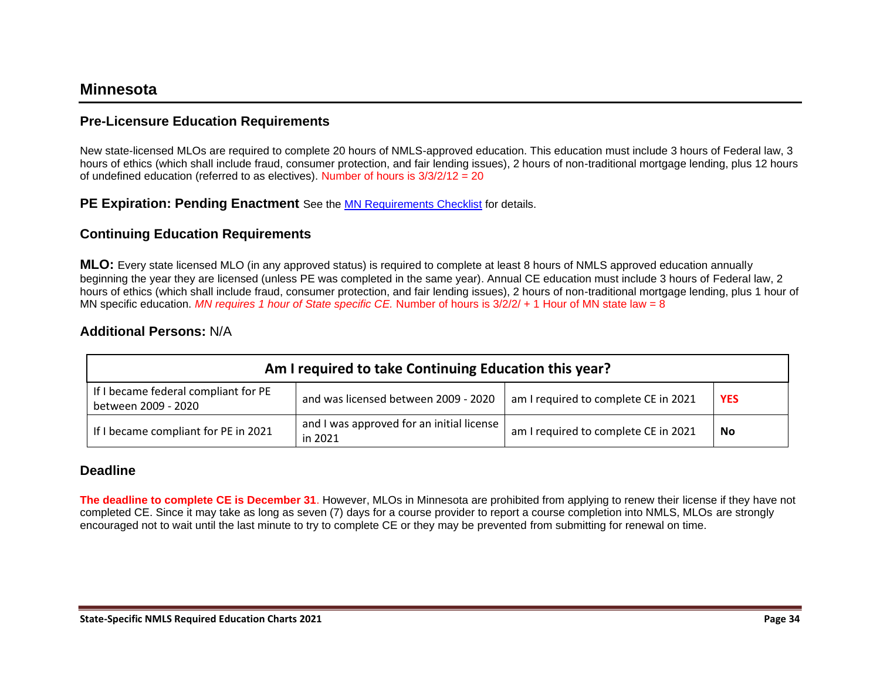### **Minnesota**

### **Pre-Licensure Education Requirements**

New state-licensed MLOs are required to complete 20 hours of NMLS-approved education. This education must include 3 hours of Federal law, 3 hours of ethics (which shall include fraud, consumer protection, and fair lending issues), 2 hours of non-traditional mortgage lending, plus 12 hours of undefined education (referred to as electives). Number of hours is  $3/3/2/12 = 20$ 

**PE Expiration: Pending Enactment** See the [MN Requirements Checklist](https://mortgage.nationwidelicensingsystem.org/slr/Pages/DynamicLicenses.aspx?StateID=MN) for details.

### **Continuing Education Requirements**

**MLO:** Every state licensed MLO (in any approved status) is required to complete at least 8 hours of NMLS approved education annually beginning the year they are licensed (unless PE was completed in the same year). Annual CE education must include 3 hours of Federal law, 2 hours of ethics (which shall include fraud, consumer protection, and fair lending issues), 2 hours of non-traditional mortgage lending, plus 1 hour of MN specific education. *MN requires 1 hour of State specific CE.* Number of hours is 3/2/2/ + 1 Hour of MN state law = 8

### **Additional Persons:** N/A

| Am I required to take Continuing Education this year?       |                                                      |                                      |            |
|-------------------------------------------------------------|------------------------------------------------------|--------------------------------------|------------|
| If I became federal compliant for PE<br>between 2009 - 2020 | and was licensed between 2009 - 2020                 | am I required to complete CE in 2021 | <b>YES</b> |
| If I became compliant for PE in 2021                        | and I was approved for an initial license<br>in 2021 | am I required to complete CE in 2021 | No         |

### **Deadline**

**The deadline to complete CE is December 31**. However, MLOs in Minnesota are prohibited from applying to renew their license if they have not completed CE. Since it may take as long as seven (7) days for a course provider to report a course completion into NMLS, MLOs are strongly encouraged not to wait until the last minute to try to complete CE or they may be prevented from submitting for renewal on time.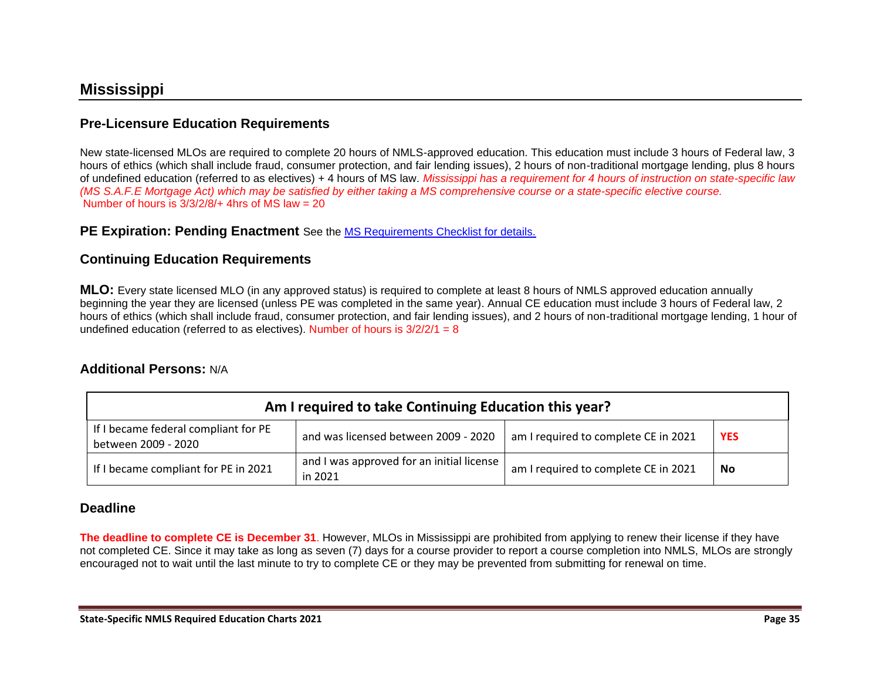## **Mississippi**

### **Pre-Licensure Education Requirements**

New state-licensed MLOs are required to complete 20 hours of NMLS-approved education. This education must include 3 hours of Federal law, 3 hours of ethics (which shall include fraud, consumer protection, and fair lending issues), 2 hours of non-traditional mortgage lending, plus 8 hours of undefined education (referred to as electives) + 4 hours of MS law. *Mississippi has a requirement for 4 hours of instruction on state-specific law (MS S.A.F.E Mortgage Act) which may be satisfied by either taking a MS comprehensive course or a state-specific elective course.* Number of hours is  $3/3/2/8/4$  4hrs of MS law = 20

### **PE Expiration: Pending Enactment** See the [MS Requirements Checklist for details.](https://mortgage.nationwidelicensingsystem.org/slr/Pages/DynamicLicenses.aspx?StateID=MS)

### **Continuing Education Requirements**

**MLO:** Every state licensed MLO (in any approved status) is required to complete at least 8 hours of NMLS approved education annually beginning the year they are licensed (unless PE was completed in the same year). Annual CE education must include 3 hours of Federal law, 2 hours of ethics (which shall include fraud, consumer protection, and fair lending issues), and 2 hours of non-traditional mortgage lending, 1 hour of undefined education (referred to as electives). Number of hours is  $3/2/2/1 = 8$ 

#### **Additional Persons:** N/A

| Am I required to take Continuing Education this year?       |                                                      |                                      |            |
|-------------------------------------------------------------|------------------------------------------------------|--------------------------------------|------------|
| If I became federal compliant for PE<br>between 2009 - 2020 | and was licensed between 2009 - 2020                 | am I required to complete CE in 2021 | <b>YES</b> |
| If I became compliant for PE in 2021                        | and I was approved for an initial license<br>in 2021 | am I required to complete CE in 2021 | <b>No</b>  |

### **Deadline**

**The deadline to complete CE is December 31**. However, MLOs in Mississippi are prohibited from applying to renew their license if they have not completed CE. Since it may take as long as seven (7) days for a course provider to report a course completion into NMLS, MLOs are strongly encouraged not to wait until the last minute to try to complete CE or they may be prevented from submitting for renewal on time.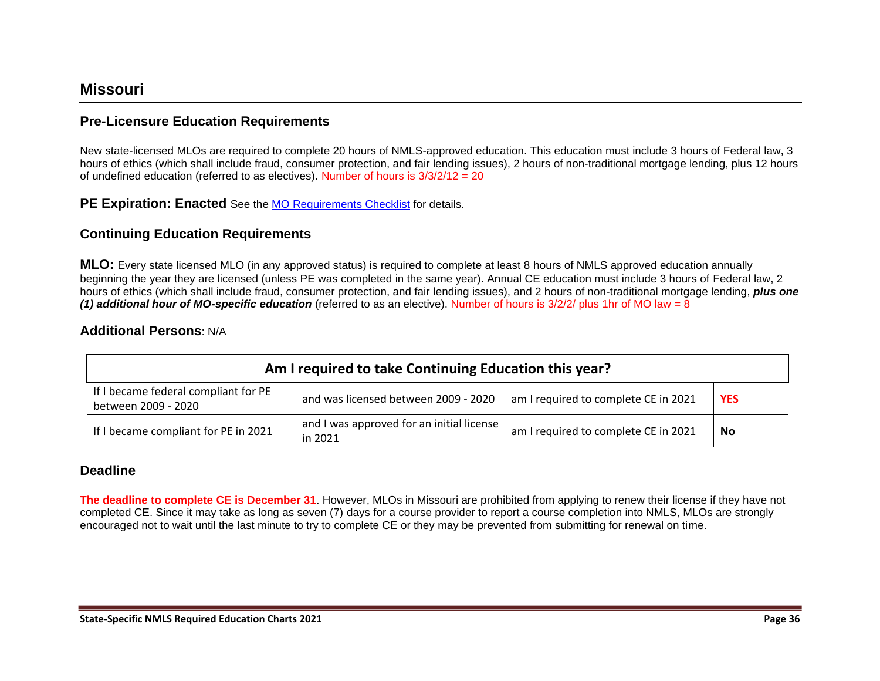### **Missouri**

#### **Pre-Licensure Education Requirements**

New state-licensed MLOs are required to complete 20 hours of NMLS-approved education. This education must include 3 hours of Federal law, 3 hours of ethics (which shall include fraud, consumer protection, and fair lending issues), 2 hours of non-traditional mortgage lending, plus 12 hours of undefined education (referred to as electives). Number of hours is  $3/3/2/12 = 20$ 

**PE Expiration: Enacted** See the MO Requiremen[ts Checklist](https://mortgage.nationwidelicensingsystem.org/slr/Pages/DynamicLicenses.aspx?StateID=MO) for details.

### **Continuing Education Requirements**

**MLO:** Every state licensed MLO (in any approved status) is required to complete at least 8 hours of NMLS approved education annually beginning the year they are licensed (unless PE was completed in the same year). Annual CE education must include 3 hours of Federal law, 2 hours of ethics (which shall include fraud, consumer protection, and fair lending issues), and 2 hours of non-traditional mortgage lending, *plus one (1) additional hour of MO-specific education* (referred to as an elective). Number of hours is 3/2/2/ plus 1hr of MO law = 8

### **Additional Persons**: N/A

| Am I required to take Continuing Education this year?       |                                                      |                                      |            |
|-------------------------------------------------------------|------------------------------------------------------|--------------------------------------|------------|
| If I became federal compliant for PE<br>between 2009 - 2020 | and was licensed between 2009 - 2020                 | am I required to complete CE in 2021 | <b>YES</b> |
| If I became compliant for PE in 2021                        | and I was approved for an initial license<br>in 2021 | am I required to complete CE in 2021 | <b>No</b>  |

#### **Deadline**

**The deadline to complete CE is December 31**. However, MLOs in Missouri are prohibited from applying to renew their license if they have not completed CE. Since it may take as long as seven (7) days for a course provider to report a course completion into NMLS, MLOs are strongly encouraged not to wait until the last minute to try to complete CE or they may be prevented from submitting for renewal on time.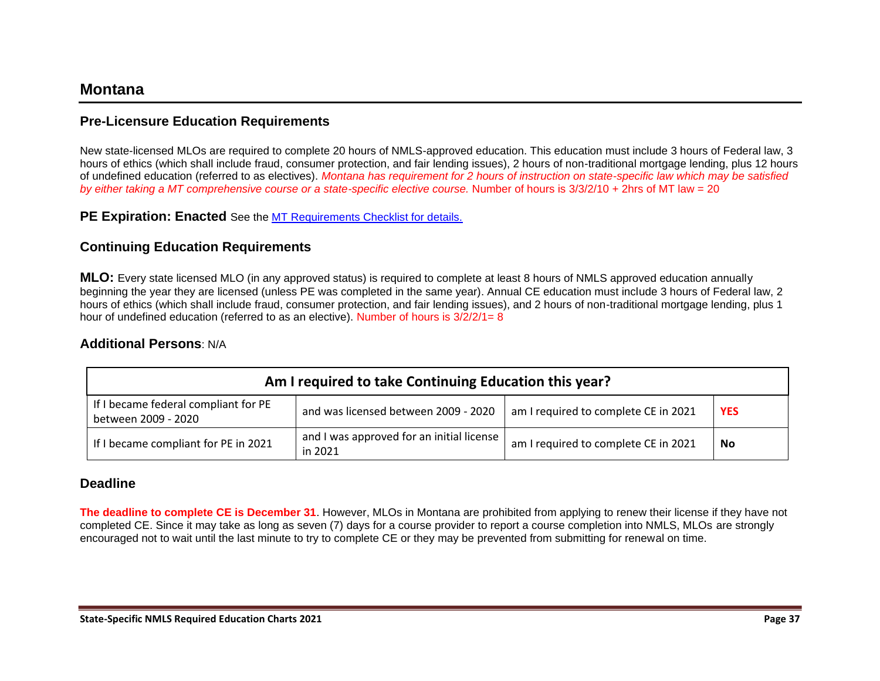### **Montana**

### **Pre-Licensure Education Requirements**

New state-licensed MLOs are required to complete 20 hours of NMLS-approved education. This education must include 3 hours of Federal law, 3 hours of ethics (which shall include fraud, consumer protection, and fair lending issues), 2 hours of non-traditional mortgage lending, plus 12 hours of undefined education (referred to as electives). *Montana has requirement for 2 hours of instruction on state-specific law which may be satisfied by either taking a MT comprehensive course or a state-specific elective course.* Number of hours is 3/3/2/10 + 2hrs of MT law = 20

**PE Expiration: Enacted** See the **MT Requirements Checklist for details.** 

### **Continuing Education Requirements**

**MLO:** Every state licensed MLO (in any approved status) is required to complete at least 8 hours of NMLS approved education annually beginning the year they are licensed (unless PE was completed in the same year). Annual CE education must include 3 hours of Federal law, 2 hours of ethics (which shall include fraud, consumer protection, and fair lending issues), and 2 hours of non-traditional mortgage lending, plus 1 hour of undefined education (referred to as an elective). Number of hours is 3/2/2/1= 8

#### **Additional Persons**: N/A

| Am I required to take Continuing Education this year?       |                                                      |                                      |            |
|-------------------------------------------------------------|------------------------------------------------------|--------------------------------------|------------|
| If I became federal compliant for PE<br>between 2009 - 2020 | and was licensed between 2009 - 2020                 | am I required to complete CE in 2021 | <b>YES</b> |
| If I became compliant for PE in 2021                        | and I was approved for an initial license<br>in 2021 | am I required to complete CE in 2021 | <b>No</b>  |

#### **Deadline**

**The deadline to complete CE is December 31**. However, MLOs in Montana are prohibited from applying to renew their license if they have not completed CE. Since it may take as long as seven (7) days for a course provider to report a course completion into NMLS, MLOs are strongly encouraged not to wait until the last minute to try to complete CE or they may be prevented from submitting for renewal on time.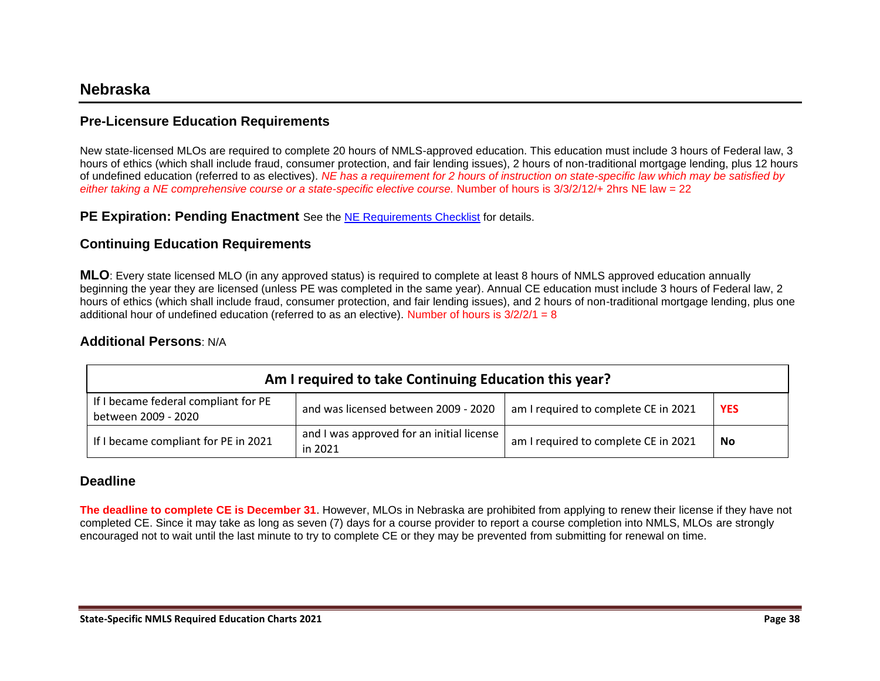## **Nebraska**

### **Pre-Licensure Education Requirements**

New state-licensed MLOs are required to complete 20 hours of NMLS-approved education. This education must include 3 hours of Federal law, 3 hours of ethics (which shall include fraud, consumer protection, and fair lending issues), 2 hours of non-traditional mortgage lending, plus 12 hours of undefined education (referred to as electives). *NE has a requirement for 2 hours of instruction on state-specific law which may be satisfied by either taking a NE comprehensive course or a state-specific elective course.* Number of hours is 3/3/2/12/+ 2hrs NE law = 22

**PE Expiration: Pending Enactment** See the [NE Requirements Checklist](https://mortgage.nationwidelicensingsystem.org/slr/Pages/DynamicLicenses.aspx?StateID=NE) for details.

### **Continuing Education Requirements**

**MLO**: Every state licensed MLO (in any approved status) is required to complete at least 8 hours of NMLS approved education annually beginning the year they are licensed (unless PE was completed in the same year). Annual CE education must include 3 hours of Federal law, 2 hours of ethics (which shall include fraud, consumer protection, and fair lending issues), and 2 hours of non-traditional mortgage lending, plus one additional hour of undefined education (referred to as an elective). Number of hours is  $3/2/2/1 = 8$ 

#### **Additional Persons**: N/A

| Am I required to take Continuing Education this year?       |                                                      |                                      |            |
|-------------------------------------------------------------|------------------------------------------------------|--------------------------------------|------------|
| If I became federal compliant for PE<br>between 2009 - 2020 | and was licensed between 2009 - 2020                 | am I required to complete CE in 2021 | <b>YES</b> |
| If I became compliant for PE in 2021                        | and I was approved for an initial license<br>in 2021 | am I required to complete CE in 2021 | No         |

#### **Deadline**

**The deadline to complete CE is December 31**. However, MLOs in Nebraska are prohibited from applying to renew their license if they have not completed CE. Since it may take as long as seven (7) days for a course provider to report a course completion into NMLS, MLOs are strongly encouraged not to wait until the last minute to try to complete CE or they may be prevented from submitting for renewal on time.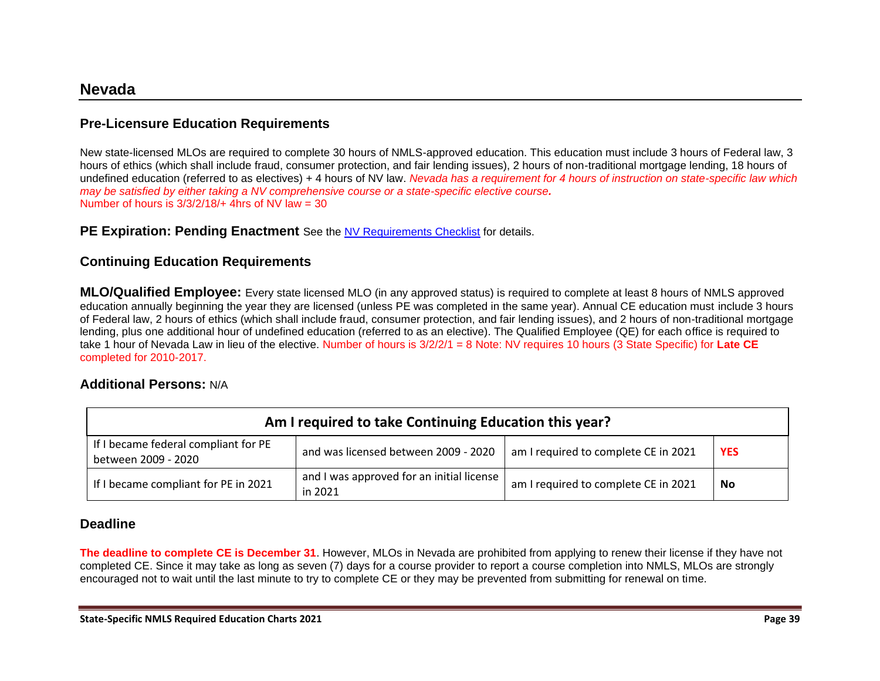New state-licensed MLOs are required to complete 30 hours of NMLS-approved education. This education must include 3 hours of Federal law, 3 hours of ethics (which shall include fraud, consumer protection, and fair lending issues), 2 hours of non-traditional mortgage lending, 18 hours of undefined education (referred to as electives) + 4 hours of NV law. *Nevada has a requirement for 4 hours of instruction on state-specific law which may be satisfied by either taking a NV comprehensive course or a state-specific elective course.* Number of hours is  $3/3/2/18/4$  4hrs of NV law = 30

#### **PE Expiration: Pending Enactment** See the [NV Requirements Checklist](https://mortgage.nationwidelicensingsystem.org/slr/Pages/DynamicLicenses.aspx?StateID=NV) for details.

### **Continuing Education Requirements**

**MLO/Qualified Employee:** Every state licensed MLO (in any approved status) is required to complete at least 8 hours of NMLS approved education annually beginning the year they are licensed (unless PE was completed in the same year). Annual CE education must include 3 hours of Federal law, 2 hours of ethics (which shall include fraud, consumer protection, and fair lending issues), and 2 hours of non-traditional mortgage lending, plus one additional hour of undefined education (referred to as an elective). The Qualified Employee (QE) for each office is required to take 1 hour of Nevada Law in lieu of the elective. Number of hours is 3/2/2/1 = 8 Note: NV requires 10 hours (3 State Specific) for **Late CE**  completed for 2010-2017.

### **Additional Persons:** N/A

| Am I required to take Continuing Education this year?       |                                                      |                                      |            |
|-------------------------------------------------------------|------------------------------------------------------|--------------------------------------|------------|
| If I became federal compliant for PE<br>between 2009 - 2020 | and was licensed between 2009 - 2020                 | am I required to complete CE in 2021 | <b>YES</b> |
| If I became compliant for PE in 2021                        | and I was approved for an initial license<br>in 2021 | am I required to complete CE in 2021 | No         |

### **Deadline**

**The deadline to complete CE is December 31**. However, MLOs in Nevada are prohibited from applying to renew their license if they have not completed CE. Since it may take as long as seven (7) days for a course provider to report a course completion into NMLS, MLOs are strongly encouraged not to wait until the last minute to try to complete CE or they may be prevented from submitting for renewal on time.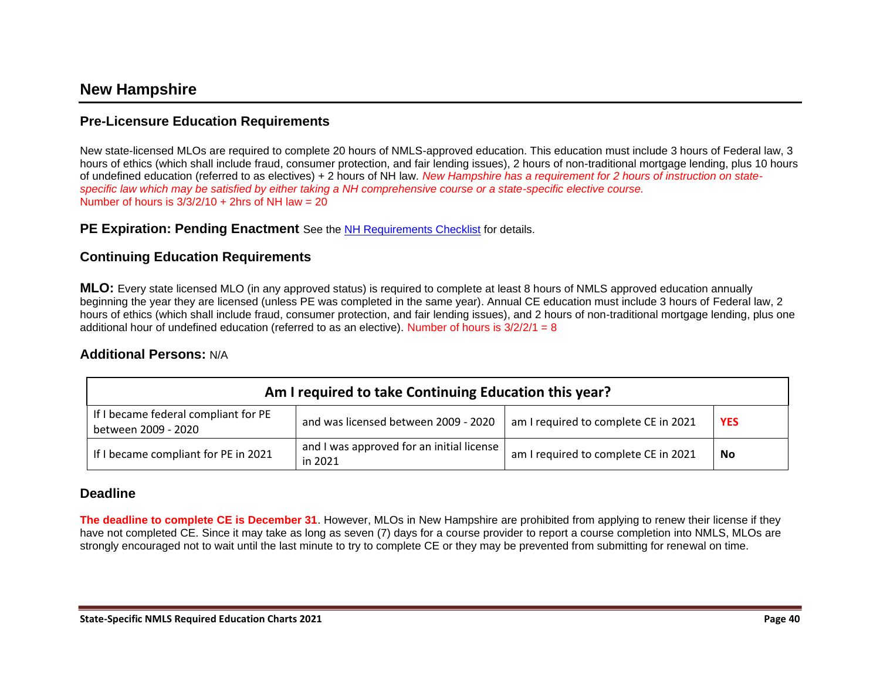## **New Hampshire**

### **Pre-Licensure Education Requirements**

New state-licensed MLOs are required to complete 20 hours of NMLS-approved education. This education must include 3 hours of Federal law, 3 hours of ethics (which shall include fraud, consumer protection, and fair lending issues), 2 hours of non-traditional mortgage lending, plus 10 hours of undefined education (referred to as electives) + 2 hours of NH law. *New Hampshire has a requirement for 2 hours of instruction on statespecific law which may be satisfied by either taking a NH comprehensive course or a state-specific elective course.* Number of hours is  $3/3/2/10 + 2$ hrs of NH law = 20

**PE Expiration: Pending Enactment** See the [NH Requirements Checklist](https://mortgage.nationwidelicensingsystem.org/slr/Pages/DynamicLicenses.aspx?StateID=NH) for details.

### **Continuing Education Requirements**

**MLO:** Every state licensed MLO (in any approved status) is required to complete at least 8 hours of NMLS approved education annually beginning the year they are licensed (unless PE was completed in the same year). Annual CE education must include 3 hours of Federal law, 2 hours of ethics (which shall include fraud, consumer protection, and fair lending issues), and 2 hours of non-traditional mortgage lending, plus one additional hour of undefined education (referred to as an elective). Number of hours is  $3/2/2/1 = 8$ 

#### **Additional Persons:** N/A

| Am I required to take Continuing Education this year?       |                                                      |                                      |            |
|-------------------------------------------------------------|------------------------------------------------------|--------------------------------------|------------|
| If I became federal compliant for PE<br>between 2009 - 2020 | and was licensed between 2009 - 2020                 | am I required to complete CE in 2021 | <b>YES</b> |
| If I became compliant for PE in 2021                        | and I was approved for an initial license<br>in 2021 | am I required to complete CE in 2021 | <b>No</b>  |

#### **Deadline**

**The deadline to complete CE is December 31**. However, MLOs in New Hampshire are prohibited from applying to renew their license if they have not completed CE. Since it may take as long as seven (7) days for a course provider to report a course completion into NMLS, MLOs are strongly encouraged not to wait until the last minute to try to complete CE or they may be prevented from submitting for renewal on time.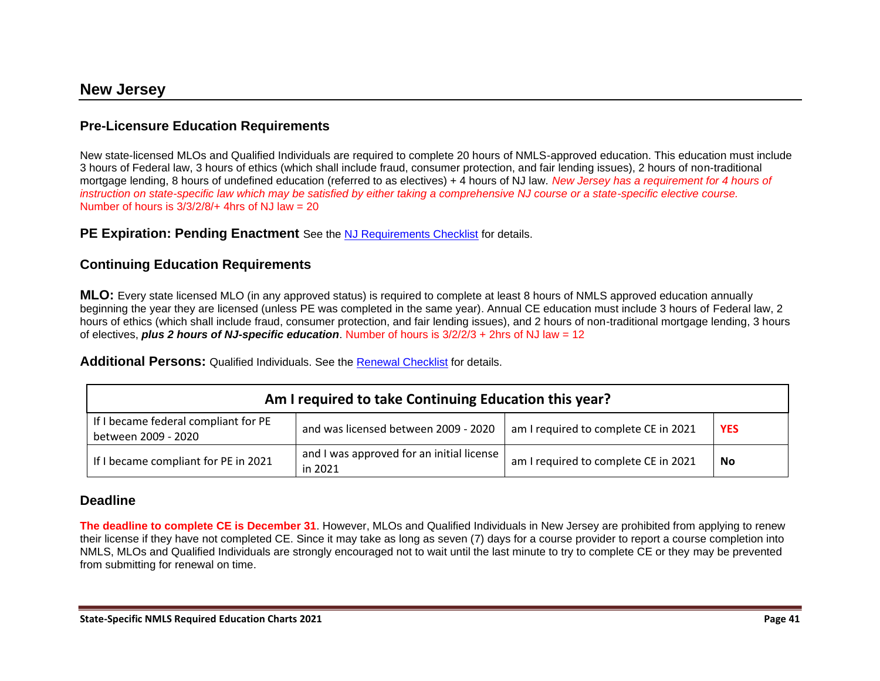New state-licensed MLOs and Qualified Individuals are required to complete 20 hours of NMLS-approved education. This education must include 3 hours of Federal law, 3 hours of ethics (which shall include fraud, consumer protection, and fair lending issues), 2 hours of non-traditional mortgage lending, 8 hours of undefined education (referred to as electives) + 4 hours of NJ law. *New Jersey has a requirement for 4 hours of instruction on state-specific law which may be satisfied by either taking a comprehensive NJ course or a state-specific elective course.* Number of hours is  $3/3/2/8/4$  4hrs of NJ law = 20

### **PE Expiration: Pending Enactment** See the **NJ Requirements Checklist** for details.

### **Continuing Education Requirements**

**MLO:** Every state licensed MLO (in any approved status) is required to complete at least 8 hours of NMLS approved education annually beginning the year they are licensed (unless PE was completed in the same year). Annual CE education must include 3 hours of Federal law, 2 hours of ethics (which shall include fraud, consumer protection, and fair lending issues), and 2 hours of non-traditional mortgage lending, 3 hours of electives, *plus 2 hours of NJ-specific education*. Number of hours is 3/2/2/3 + 2hrs of NJ law = 12

**Additional Persons:** Qualified Individuals. See the [Renewal Checklist](https://mortgage.nationwidelicensingsystem.org/slr/PublishedStateDocuments/NewJersey-DOBIRenewalChecklist.pdf) for details.

| Am I required to take Continuing Education this year?       |                                                      |                                      |            |
|-------------------------------------------------------------|------------------------------------------------------|--------------------------------------|------------|
| If I became federal compliant for PE<br>between 2009 - 2020 | and was licensed between 2009 - 2020                 | am I required to complete CE in 2021 | <b>YES</b> |
| If I became compliant for PE in 2021                        | and I was approved for an initial license<br>in 2021 | am I required to complete CE in 2021 | <b>No</b>  |

### **Deadline**

**The deadline to complete CE is December 31**. However, MLOs and Qualified Individuals in New Jersey are prohibited from applying to renew their license if they have not completed CE. Since it may take as long as seven (7) days for a course provider to report a course completion into NMLS, MLOs and Qualified Individuals are strongly encouraged not to wait until the last minute to try to complete CE or they may be prevented from submitting for renewal on time.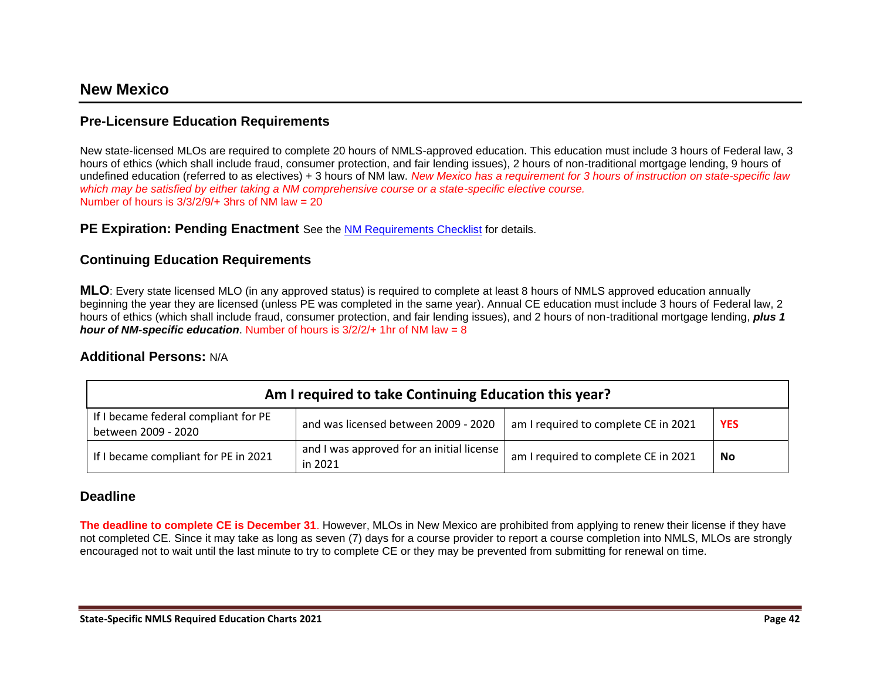### **New Mexico**

#### **Pre-Licensure Education Requirements**

New state-licensed MLOs are required to complete 20 hours of NMLS-approved education. This education must include 3 hours of Federal law, 3 hours of ethics (which shall include fraud, consumer protection, and fair lending issues), 2 hours of non-traditional mortgage lending, 9 hours of undefined education (referred to as electives) + 3 hours of NM law. *New Mexico has a requirement for 3 hours of instruction on state-specific law which may be satisfied by either taking a NM comprehensive course or a state-specific elective course.* Number of hours is  $3/3/2/9/4$  3hrs of NM law = 20

#### **PE Expiration: Pending Enactment** See the [NM Requirements Checklist](https://mortgage.nationwidelicensingsystem.org/slr/Pages/DynamicLicenses.aspx?StateID=NM) for details.

#### **Continuing Education Requirements**

**MLO**: Every state licensed MLO (in any approved status) is required to complete at least 8 hours of NMLS approved education annually beginning the year they are licensed (unless PE was completed in the same year). Annual CE education must include 3 hours of Federal law, 2 hours of ethics (which shall include fraud, consumer protection, and fair lending issues), and 2 hours of non-traditional mortgage lending, *plus 1 hour of NM-specific education*. Number of hours is 3/2/2/+ 1hr of NM law = 8

#### **Additional Persons:** N/A

| Am I required to take Continuing Education this year?       |                                                      |                                      |            |
|-------------------------------------------------------------|------------------------------------------------------|--------------------------------------|------------|
| If I became federal compliant for PE<br>between 2009 - 2020 | and was licensed between 2009 - 2020                 | am I required to complete CE in 2021 | <b>YES</b> |
| If I became compliant for PE in 2021                        | and I was approved for an initial license<br>in 2021 | am I required to complete CE in 2021 | No         |

#### **Deadline**

**The deadline to complete CE is December 31**. However, MLOs in New Mexico are prohibited from applying to renew their license if they have not completed CE. Since it may take as long as seven (7) days for a course provider to report a course completion into NMLS, MLOs are strongly encouraged not to wait until the last minute to try to complete CE or they may be prevented from submitting for renewal on time.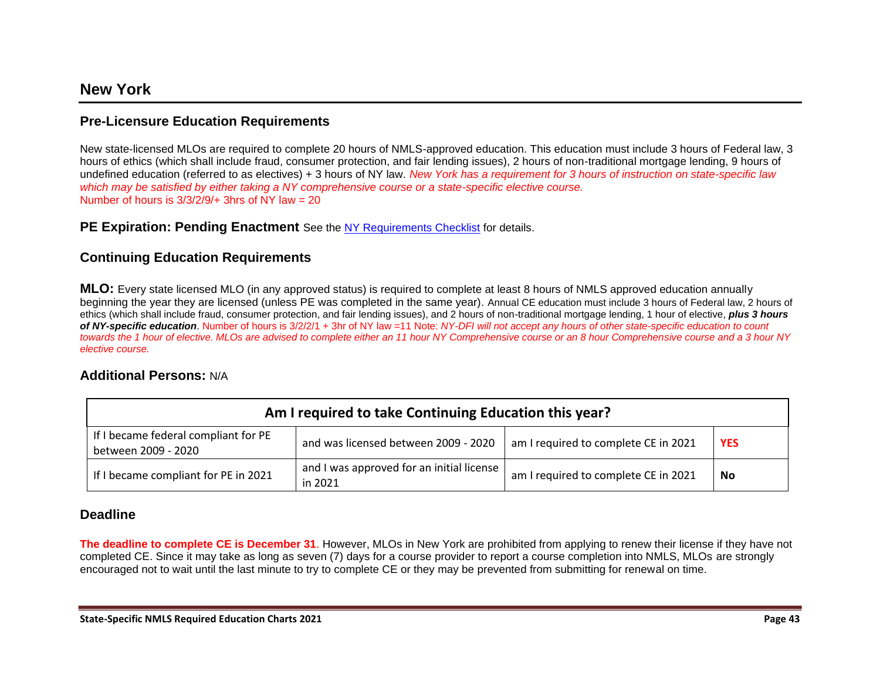New state-licensed MLOs are required to complete 20 hours of NMLS-approved education. This education must include 3 hours of Federal law, 3 hours of ethics (which shall include fraud, consumer protection, and fair lending issues), 2 hours of non-traditional mortgage lending, 9 hours of undefined education (referred to as electives) + 3 hours of NY law. *New York has a requirement for 3 hours of instruction on state-specific law which may be satisfied by either taking a NY comprehensive course or a state-specific elective course.* Number of hours is  $3/3/2/9/$ + 3hrs of NY law = 20

#### **PE Expiration: Pending Enactment** See the [NY Requirements Checklist](https://mortgage.nationwidelicensingsystem.org/slr/Pages/DynamicLicenses.aspx?StateID=NY) for details.

### **Continuing Education Requirements**

**MLO:** Every state licensed MLO (in any approved status) is required to complete at least 8 hours of NMLS approved education annually beginning the year they are licensed (unless PE was completed in the same year). Annual CE education must include 3 hours of Federal law, 2 hours of ethics (which shall include fraud, consumer protection, and fair lending issues), and 2 hours of non-traditional mortgage lending, 1 hour of elective, *plus 3 hours of NY-specific education*. Number of hours is 3/2/2/1 + 3hr of NY law =11 Note: *NY-DFI will not accept any hours of other state-specific education to count towards the 1 hour of elective. MLOs are advised to complete either an 11 hour NY Comprehensive course or an 8 hour Comprehensive course and a 3 hour NY elective course.*

### **Additional Persons:** N/A

| Am I required to take Continuing Education this year?       |                                                      |                                      |            |
|-------------------------------------------------------------|------------------------------------------------------|--------------------------------------|------------|
| If I became federal compliant for PE<br>between 2009 - 2020 | and was licensed between 2009 - 2020                 | am I required to complete CE in 2021 | <b>YES</b> |
| If I became compliant for PE in 2021                        | and I was approved for an initial license<br>in 2021 | am I required to complete CE in 2021 | <b>No</b>  |

### **Deadline**

**The deadline to complete CE is December 31**. However, MLOs in New York are prohibited from applying to renew their license if they have not completed CE. Since it may take as long as seven (7) days for a course provider to report a course completion into NMLS, MLOs are strongly encouraged not to wait until the last minute to try to complete CE or they may be prevented from submitting for renewal on time.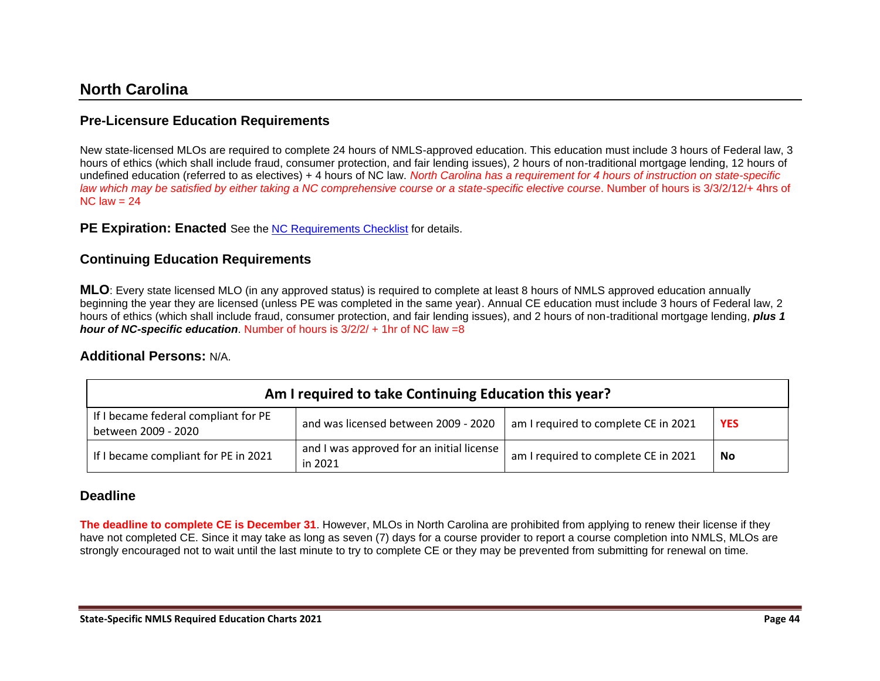## **North Carolina**

### **Pre-Licensure Education Requirements**

New state-licensed MLOs are required to complete 24 hours of NMLS-approved education. This education must include 3 hours of Federal law, 3 hours of ethics (which shall include fraud, consumer protection, and fair lending issues), 2 hours of non-traditional mortgage lending, 12 hours of undefined education (referred to as electives) + 4 hours of NC law. *North Carolina has a requirement for 4 hours of instruction on state-specific law which may be satisfied by either taking a NC comprehensive course or a state-specific elective course*. Number of hours is 3/3/2/12/+ 4hrs of  $NC$  law = 24

**PE Expiration: Enacted** See the [NC Requirements Checklist](https://mortgage.nationwidelicensingsystem.org/slr/Pages/DynamicLicenses.aspx?StateID=NC) for details.

#### **Continuing Education Requirements**

**MLO**: Every state licensed MLO (in any approved status) is required to complete at least 8 hours of NMLS approved education annually beginning the year they are licensed (unless PE was completed in the same year). Annual CE education must include 3 hours of Federal law, 2 hours of ethics (which shall include fraud, consumer protection, and fair lending issues), and 2 hours of non-traditional mortgage lending, *plus 1 hour of NC-specific education*. Number of hours is 3/2/2/ + 1hr of NC law =8

#### **Additional Persons:** N/A.

| Am I required to take Continuing Education this year?       |                                                      |                                      |            |
|-------------------------------------------------------------|------------------------------------------------------|--------------------------------------|------------|
| If I became federal compliant for PE<br>between 2009 - 2020 | and was licensed between 2009 - 2020                 | am I required to complete CE in 2021 | <b>YES</b> |
| If I became compliant for PE in 2021                        | and I was approved for an initial license<br>in 2021 | am I required to complete CE in 2021 | No         |

#### **Deadline**

**The deadline to complete CE is December 31**. However, MLOs in North Carolina are prohibited from applying to renew their license if they have not completed CE. Since it may take as long as seven (7) days for a course provider to report a course completion into NMLS, MLOs are strongly encouraged not to wait until the last minute to try to complete CE or they may be prevented from submitting for renewal on time.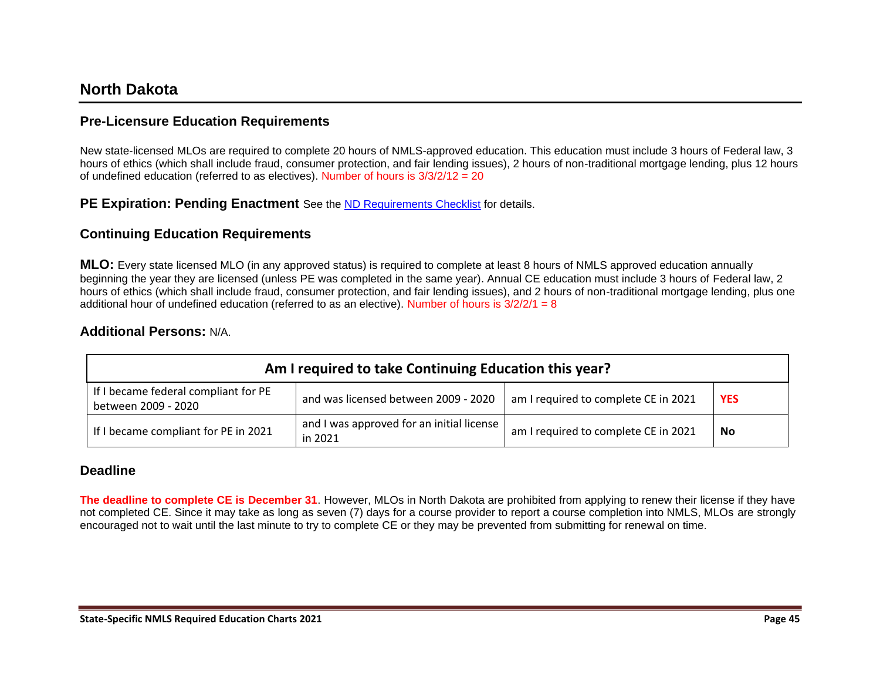## **North Dakota**

### **Pre-Licensure Education Requirements**

New state-licensed MLOs are required to complete 20 hours of NMLS-approved education. This education must include 3 hours of Federal law, 3 hours of ethics (which shall include fraud, consumer protection, and fair lending issues), 2 hours of non-traditional mortgage lending, plus 12 hours of undefined education (referred to as electives). Number of hours is  $3/3/2/12 = 20$ 

**PE Expiration: Pending Enactment** See the [ND Requirements Checklist](https://mortgage.nationwidelicensingsystem.org/slr/Pages/DynamicLicenses.aspx?StateID=ND) for details.

### **Continuing Education Requirements**

**MLO:** Every state licensed MLO (in any approved status) is required to complete at least 8 hours of NMLS approved education annually beginning the year they are licensed (unless PE was completed in the same year). Annual CE education must include 3 hours of Federal law, 2 hours of ethics (which shall include fraud, consumer protection, and fair lending issues), and 2 hours of non-traditional mortgage lending, plus one additional hour of undefined education (referred to as an elective). Number of hours is 3/2/2/1 = 8

#### **Additional Persons:** N/A.

| Am I required to take Continuing Education this year?       |                                                      |                                      |            |
|-------------------------------------------------------------|------------------------------------------------------|--------------------------------------|------------|
| If I became federal compliant for PE<br>between 2009 - 2020 | and was licensed between 2009 - 2020                 | am I required to complete CE in 2021 | <b>YES</b> |
| If I became compliant for PE in 2021                        | and I was approved for an initial license<br>in 2021 | am I required to complete CE in 2021 | No         |

### **Deadline**

**The deadline to complete CE is December 31**. However, MLOs in North Dakota are prohibited from applying to renew their license if they have not completed CE. Since it may take as long as seven (7) days for a course provider to report a course completion into NMLS, MLOs are strongly encouraged not to wait until the last minute to try to complete CE or they may be prevented from submitting for renewal on time.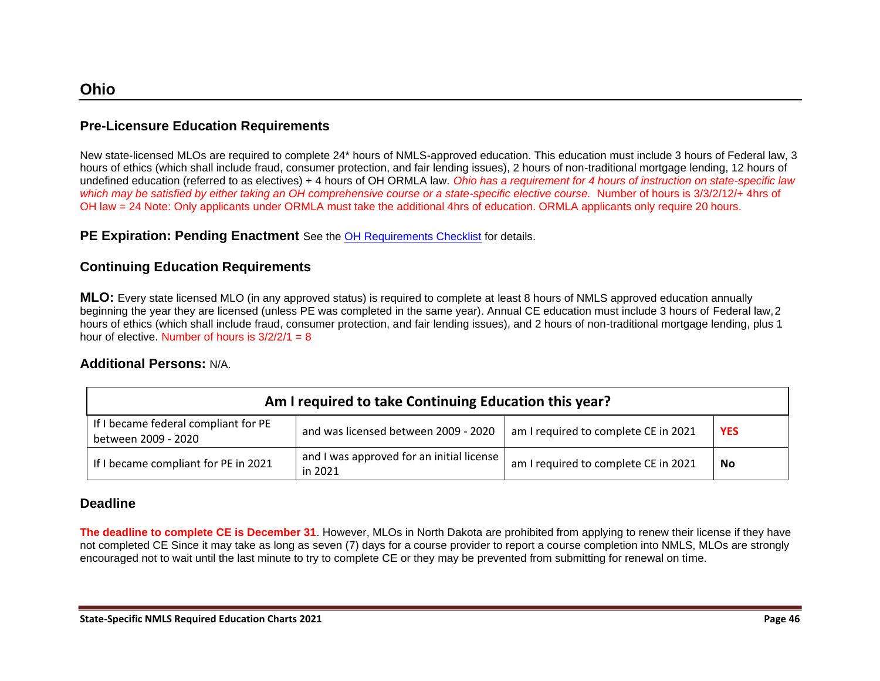New state-licensed MLOs are required to complete 24\* hours of NMLS-approved education. This education must include 3 hours of Federal law, 3 hours of ethics (which shall include fraud, consumer protection, and fair lending issues), 2 hours of non-traditional mortgage lending, 12 hours of undefined education (referred to as electives) + 4 hours of OH ORMLA law. *Ohio has a requirement for 4 hours of instruction on state-specific law which may be satisfied by either taking an OH comprehensive course or a state-specific elective course.* Number of hours is 3/3/2/12/+ 4hrs of OH law = 24 Note: Only applicants under ORMLA must take the additional 4hrs of education. ORMLA applicants only require 20 hours.

**PE Expiration: Pending Enactment** See the [OH Requirements Checklist](https://mortgage.nationwidelicensingsystem.org/slr/Pages/DynamicLicenses.aspx?StateID=OH) for details.

### **Continuing Education Requirements**

**MLO:** Every state licensed MLO (in any approved status) is required to complete at least 8 hours of NMLS approved education annually beginning the year they are licensed (unless PE was completed in the same year). Annual CE education must include 3 hours of Federal law,2 hours of ethics (which shall include fraud, consumer protection, and fair lending issues), and 2 hours of non-traditional mortgage lending, plus 1 hour of elective. Number of hours is  $3/2/2/1 = 8$ 

#### **Additional Persons:** N/A.

| Am I required to take Continuing Education this year?       |                                                      |                                      |            |
|-------------------------------------------------------------|------------------------------------------------------|--------------------------------------|------------|
| If I became federal compliant for PE<br>between 2009 - 2020 | and was licensed between 2009 - 2020                 | am I required to complete CE in 2021 | <b>YES</b> |
| If I became compliant for PE in 2021                        | and I was approved for an initial license<br>in 2021 | am I required to complete CE in 2021 | No         |

#### **Deadline**

**The deadline to complete CE is December 31**. However, MLOs in North Dakota are prohibited from applying to renew their license if they have not completed CE Since it may take as long as seven (7) days for a course provider to report a course completion into NMLS, MLOs are strongly encouraged not to wait until the last minute to try to complete CE or they may be prevented from submitting for renewal on time.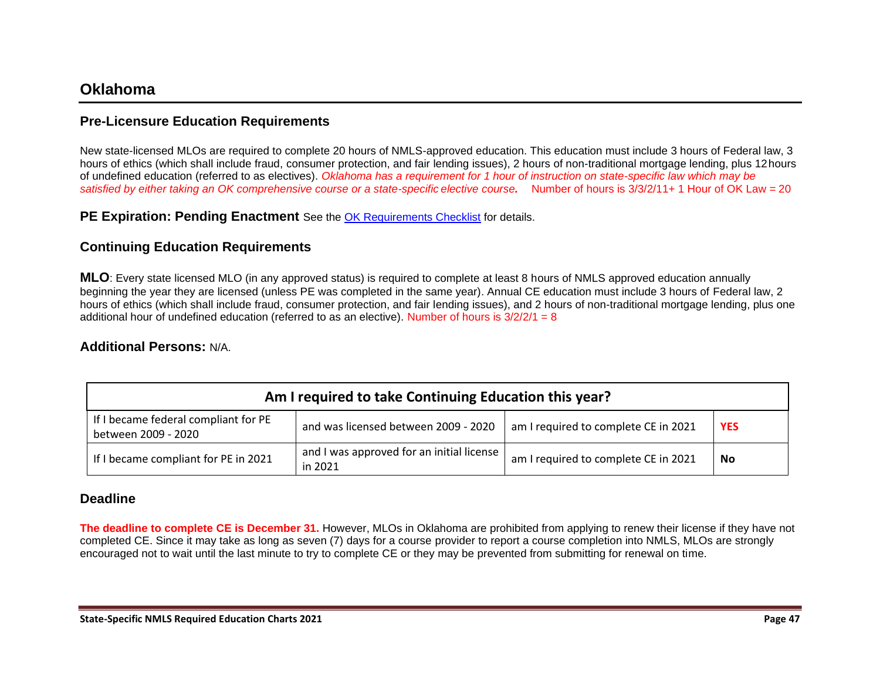## **Oklahoma**

### **Pre-Licensure Education Requirements**

New state-licensed MLOs are required to complete 20 hours of NMLS-approved education. This education must include 3 hours of Federal law, 3 hours of ethics (which shall include fraud, consumer protection, and fair lending issues), 2 hours of non-traditional mortgage lending, plus 12hours of undefined education (referred to as electives). *Oklahoma has a requirement for 1 hour of instruction on state-specific law which may be satisfied by either taking an OK comprehensive course or a state-specific elective course.* Number of hours is 3/3/2/11+ 1 Hour of OK Law = 20

**PE Expiration: Pending Enactment** See the [OK Requirements Checklist](https://mortgage.nationwidelicensingsystem.org/slr/Pages/OKAgencies.aspx) for details.

### **Continuing Education Requirements**

**MLO**: Every state licensed MLO (in any approved status) is required to complete at least 8 hours of NMLS approved education annually beginning the year they are licensed (unless PE was completed in the same year). Annual CE education must include 3 hours of Federal law, 2 hours of ethics (which shall include fraud, consumer protection, and fair lending issues), and 2 hours of non-traditional mortgage lending, plus one additional hour of undefined education (referred to as an elective). Number of hours is  $3/2/2/1 = 8$ 

#### **Additional Persons:** N/A.

| Am I required to take Continuing Education this year?       |                                                      |                                      |            |
|-------------------------------------------------------------|------------------------------------------------------|--------------------------------------|------------|
| If I became federal compliant for PE<br>between 2009 - 2020 | and was licensed between 2009 - 2020                 | am I required to complete CE in 2021 | <b>YES</b> |
| If I became compliant for PE in 2021                        | and I was approved for an initial license<br>in 2021 | am I required to complete CE in 2021 | <b>No</b>  |

### **Deadline**

**The deadline to complete CE is December 31.** However, MLOs in Oklahoma are prohibited from applying to renew their license if they have not completed CE. Since it may take as long as seven (7) days for a course provider to report a course completion into NMLS, MLOs are strongly encouraged not to wait until the last minute to try to complete CE or they may be prevented from submitting for renewal on time.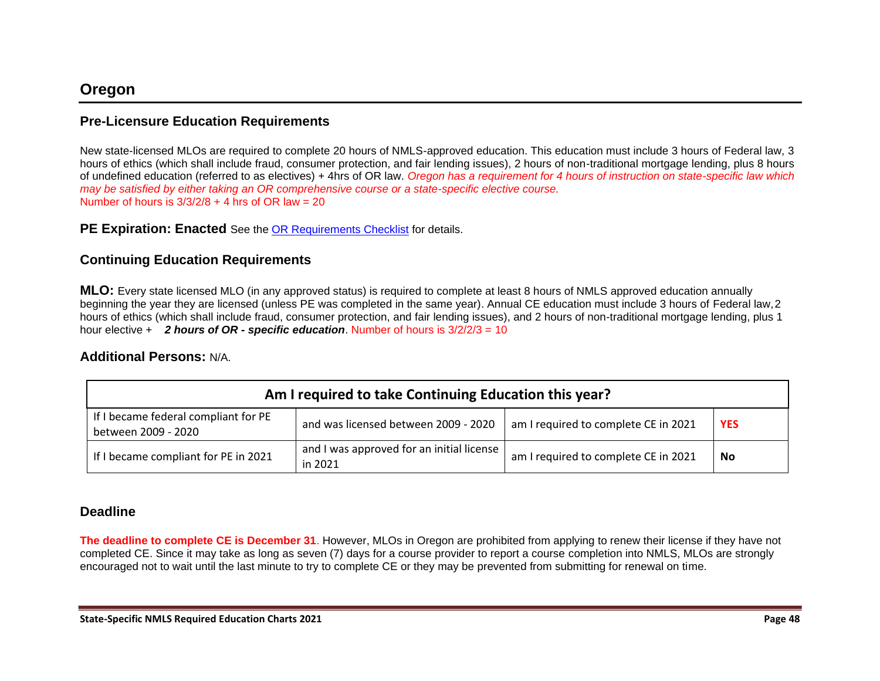New state-licensed MLOs are required to complete 20 hours of NMLS-approved education. This education must include 3 hours of Federal law, 3 hours of ethics (which shall include fraud, consumer protection, and fair lending issues), 2 hours of non-traditional mortgage lending, plus 8 hours of undefined education (referred to as electives) + 4hrs of OR law. *Oregon has a requirement for 4 hours of instruction on state-specific law which may be satisfied by either taking an OR comprehensive course or a state-specific elective course.* Number of hours is  $3/3/2/8 + 4$  hrs of OR law = 20

#### **PE Expiration: Enacted** See the [OR Requirements Checklist](https://mortgage.nationwidelicensingsystem.org/slr/Pages/DynamicLicenses.aspx?StateID=OR) for details.

### **Continuing Education Requirements**

**MLO:** Every state licensed MLO (in any approved status) is required to complete at least 8 hours of NMLS approved education annually beginning the year they are licensed (unless PE was completed in the same year). Annual CE education must include 3 hours of Federal law,2 hours of ethics (which shall include fraud, consumer protection, and fair lending issues), and 2 hours of non-traditional mortgage lending, plus 1 hour elective + *2 hours of OR - specific education*. Number of hours is 3/2/2/3 = 10

### **Additional Persons:** N/A.

| Am I required to take Continuing Education this year?       |                                                      |                                      |            |
|-------------------------------------------------------------|------------------------------------------------------|--------------------------------------|------------|
| If I became federal compliant for PE<br>between 2009 - 2020 | and was licensed between 2009 - 2020                 | am I required to complete CE in 2021 | <b>YES</b> |
| If I became compliant for PE in 2021                        | and I was approved for an initial license<br>in 2021 | am I required to complete CE in 2021 | No         |

#### **Deadline**

**The deadline to complete CE is December 31**. However, MLOs in Oregon are prohibited from applying to renew their license if they have not completed CE. Since it may take as long as seven (7) days for a course provider to report a course completion into NMLS, MLOs are strongly encouraged not to wait until the last minute to try to complete CE or they may be prevented from submitting for renewal on time.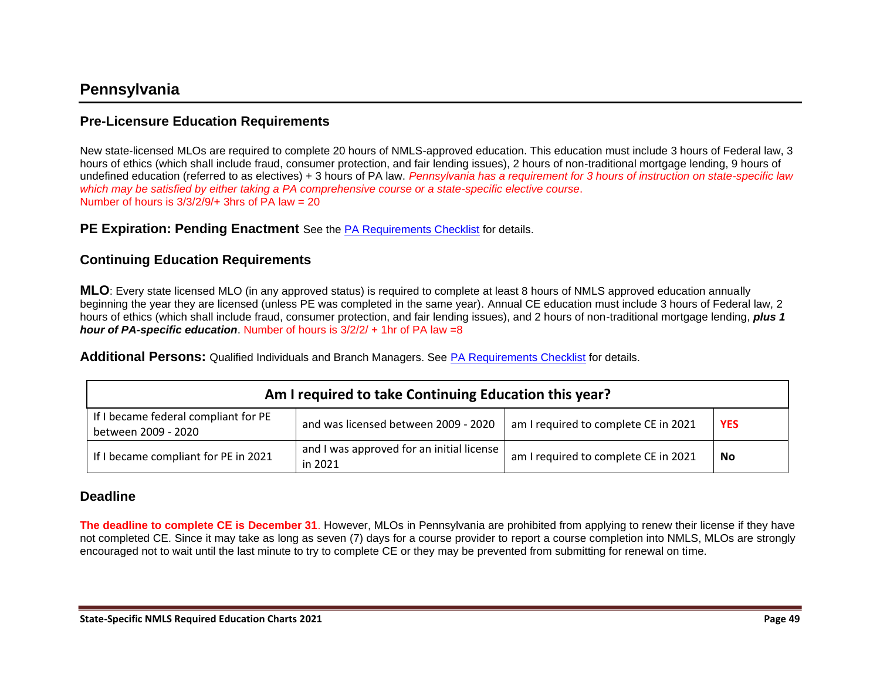## **Pennsylvania**

### **Pre-Licensure Education Requirements**

New state-licensed MLOs are required to complete 20 hours of NMLS-approved education. This education must include 3 hours of Federal law, 3 hours of ethics (which shall include fraud, consumer protection, and fair lending issues), 2 hours of non-traditional mortgage lending, 9 hours of undefined education (referred to as electives) + 3 hours of PA law. *Pennsylvania has a requirement for 3 hours of instruction on state-specific law which may be satisfied by either taking a PA comprehensive course or a state-specific elective course*. Number of hours is  $3/3/2/9/$ + 3hrs of PA law = 20

#### **PE Expiration: Pending Enactment** See the [PA Requirements Checklist](https://mortgage.nationwidelicensingsystem.org/slr/Pages/DynamicLicenses.aspx?StateID=PA) for details.

### **Continuing Education Requirements**

**MLO**: Every state licensed MLO (in any approved status) is required to complete at least 8 hours of NMLS approved education annually beginning the year they are licensed (unless PE was completed in the same year). Annual CE education must include 3 hours of Federal law, 2 hours of ethics (which shall include fraud, consumer protection, and fair lending issues), and 2 hours of non-traditional mortgage lending, *plus 1 hour of PA-specific education*. Number of hours is 3/2/2/ + 1hr of PA law =8

**Additional Persons:** Qualified Individuals and Branch Managers. See [PA Requirements Checklist](https://mortgage.nationwidelicensingsystem.org/slr/PublishedStateDocuments/Pennsylvania-DBSRenewalChecklist.pdf) for details.

| Am I required to take Continuing Education this year?       |                                                      |                                      |            |
|-------------------------------------------------------------|------------------------------------------------------|--------------------------------------|------------|
| If I became federal compliant for PE<br>between 2009 - 2020 | and was licensed between 2009 - 2020                 | am I required to complete CE in 2021 | <b>YES</b> |
| If I became compliant for PE in 2021                        | and I was approved for an initial license<br>in 2021 | am I required to complete CE in 2021 | No         |

### **Deadline**

**The deadline to complete CE is December 31**. However, MLOs in Pennsylvania are prohibited from applying to renew their license if they have not completed CE. Since it may take as long as seven (7) days for a course provider to report a course completion into NMLS, MLOs are strongly encouraged not to wait until the last minute to try to complete CE or they may be prevented from submitting for renewal on time.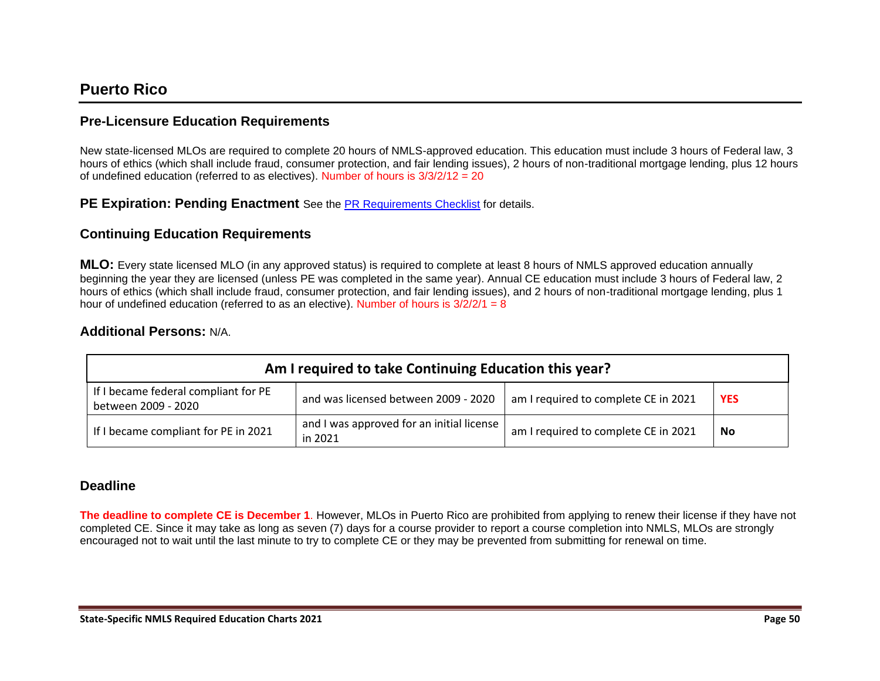## **Puerto Rico**

### **Pre-Licensure Education Requirements**

New state-licensed MLOs are required to complete 20 hours of NMLS-approved education. This education must include 3 hours of Federal law, 3 hours of ethics (which shall include fraud, consumer protection, and fair lending issues), 2 hours of non-traditional mortgage lending, plus 12 hours of undefined education (referred to as electives). Number of hours is  $3/3/2/12 = 20$ 

**PE Expiration: Pending Enactment** See the [PR Requirements Checklist](https://mortgage.nationwidelicensingsystem.org/slr/Pages/DynamicLicenses.aspx?StateID=PR) for details.

### **Continuing Education Requirements**

**MLO:** Every state licensed MLO (in any approved status) is required to complete at least 8 hours of NMLS approved education annually beginning the year they are licensed (unless PE was completed in the same year). Annual CE education must include 3 hours of Federal law, 2 hours of ethics (which shall include fraud, consumer protection, and fair lending issues), and 2 hours of non-traditional mortgage lending, plus 1 hour of undefined education (referred to as an elective). Number of hours is 3/2/2/1 = 8

#### **Additional Persons:** N/A.

| Am I required to take Continuing Education this year?       |                                                      |                                      |            |
|-------------------------------------------------------------|------------------------------------------------------|--------------------------------------|------------|
| If I became federal compliant for PE<br>between 2009 - 2020 | and was licensed between 2009 - 2020                 | am I required to complete CE in 2021 | <b>YES</b> |
| If I became compliant for PE in 2021                        | and I was approved for an initial license<br>in 2021 | am I required to complete CE in 2021 | No         |

### **Deadline**

**The deadline to complete CE is December 1**. However, MLOs in Puerto Rico are prohibited from applying to renew their license if they have not completed CE. Since it may take as long as seven (7) days for a course provider to report a course completion into NMLS, MLOs are strongly encouraged not to wait until the last minute to try to complete CE or they may be prevented from submitting for renewal on time.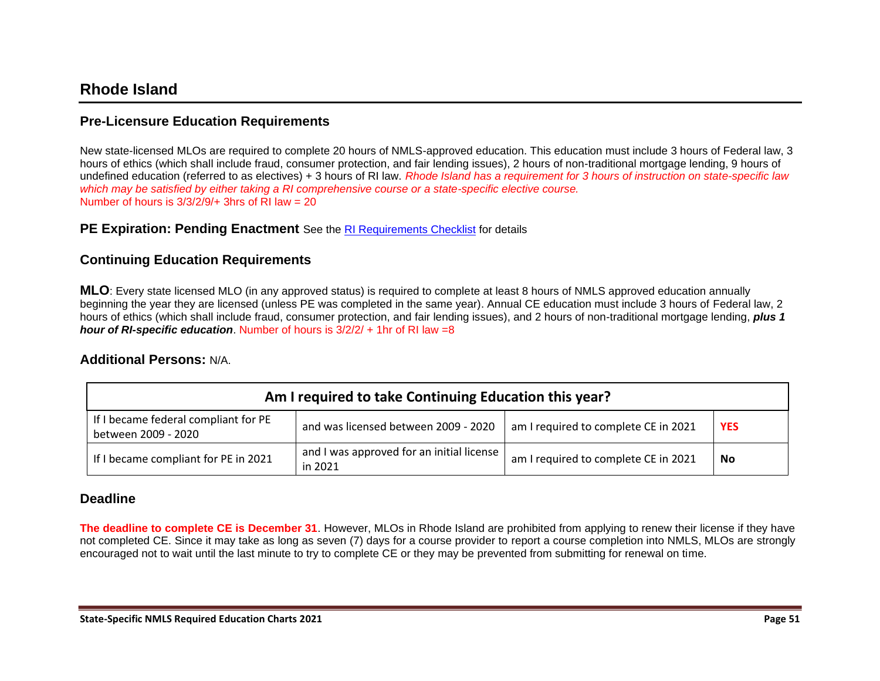## **Rhode Island**

### **Pre-Licensure Education Requirements**

New state-licensed MLOs are required to complete 20 hours of NMLS-approved education. This education must include 3 hours of Federal law, 3 hours of ethics (which shall include fraud, consumer protection, and fair lending issues), 2 hours of non-traditional mortgage lending, 9 hours of undefined education (referred to as electives) + 3 hours of RI law. *Rhode Island has a requirement for 3 hours of instruction on state-specific law which may be satisfied by either taking a RI comprehensive course or a state-specific elective course.* Number of hours is  $3/3/2/9/4$  3hrs of RI law = 20

#### **PE Expiration: Pending Enactment** See the [RI Requirements Checklist](https://mortgage.nationwidelicensingsystem.org/slr/Pages/DynamicLicenses.aspx?StateID=RI) for details

### **Continuing Education Requirements**

**MLO**: Every state licensed MLO (in any approved status) is required to complete at least 8 hours of NMLS approved education annually beginning the year they are licensed (unless PE was completed in the same year). Annual CE education must include 3 hours of Federal law, 2 hours of ethics (which shall include fraud, consumer protection, and fair lending issues), and 2 hours of non-traditional mortgage lending, *plus 1 hour of RI-specific education*. Number of hours is 3/2/2/ + 1hr of RI law =8

#### **Additional Persons:** N/A.

| Am I required to take Continuing Education this year?       |                                                      |                                      |            |
|-------------------------------------------------------------|------------------------------------------------------|--------------------------------------|------------|
| If I became federal compliant for PE<br>between 2009 - 2020 | and was licensed between 2009 - 2020                 | am I required to complete CE in 2021 | <b>YES</b> |
| If I became compliant for PE in 2021                        | and I was approved for an initial license<br>in 2021 | am I required to complete CE in 2021 | <b>No</b>  |

#### **Deadline**

**The deadline to complete CE is December 31**. However, MLOs in Rhode Island are prohibited from applying to renew their license if they have not completed CE. Since it may take as long as seven (7) days for a course provider to report a course completion into NMLS, MLOs are strongly encouraged not to wait until the last minute to try to complete CE or they may be prevented from submitting for renewal on time.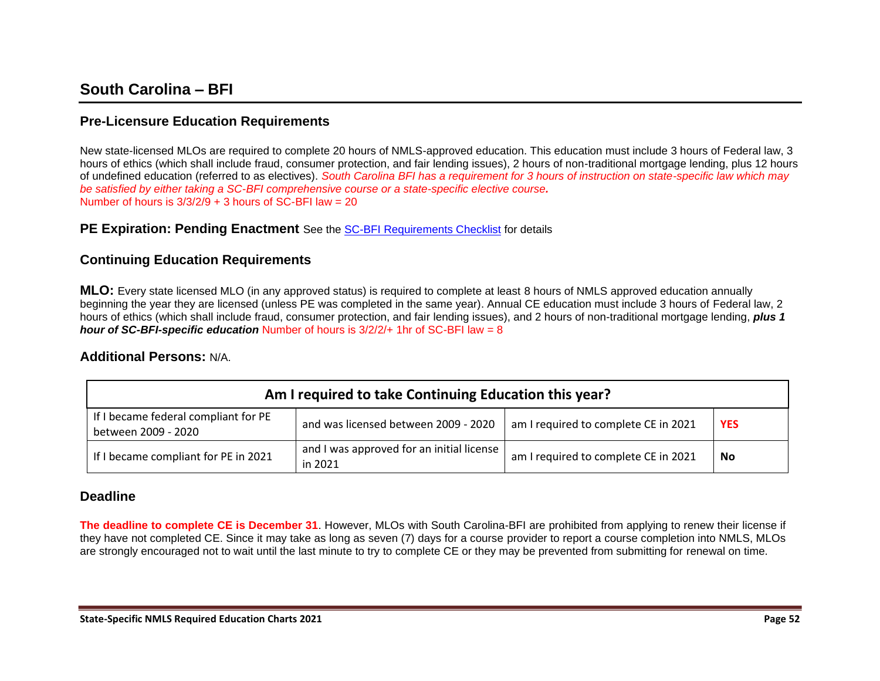New state-licensed MLOs are required to complete 20 hours of NMLS-approved education. This education must include 3 hours of Federal law, 3 hours of ethics (which shall include fraud, consumer protection, and fair lending issues), 2 hours of non-traditional mortgage lending, plus 12 hours of undefined education (referred to as electives). *South Carolina BFI has a requirement for 3 hours of instruction on state-specific law which may be satisfied by either taking a SC-BFI comprehensive course or a state-specific elective course.* Number of hours is  $3/3/2/9 + 3$  hours of SC-BFI law = 20

#### **PE Expiration: Pending Enactment** See the [SC-BFI Requirements Checklist](https://mortgage.nationwidelicensingsystem.org/slr/Pages/SCAgencies.aspx) for details

### **Continuing Education Requirements**

**MLO:** Every state licensed MLO (in any approved status) is required to complete at least 8 hours of NMLS approved education annually beginning the year they are licensed (unless PE was completed in the same year). Annual CE education must include 3 hours of Federal law, 2 hours of ethics (which shall include fraud, consumer protection, and fair lending issues), and 2 hours of non-traditional mortgage lending, *plus 1 hour of SC-BFI-specific education* Number of hours is 3/2/2/+ 1hr of SC-BFI law = 8

#### **Additional Persons:** N/A.

| Am I required to take Continuing Education this year?       |                                                      |                                      |            |
|-------------------------------------------------------------|------------------------------------------------------|--------------------------------------|------------|
| If I became federal compliant for PE<br>between 2009 - 2020 | and was licensed between 2009 - 2020                 | am I required to complete CE in 2021 | <b>YES</b> |
| If I became compliant for PE in 2021                        | and I was approved for an initial license<br>in 2021 | am I required to complete CE in 2021 | No         |

#### **Deadline**

**The deadline to complete CE is December 31**. However, MLOs with South Carolina-BFI are prohibited from applying to renew their license if they have not completed CE. Since it may take as long as seven (7) days for a course provider to report a course completion into NMLS, MLOs are strongly encouraged not to wait until the last minute to try to complete CE or they may be prevented from submitting for renewal on time.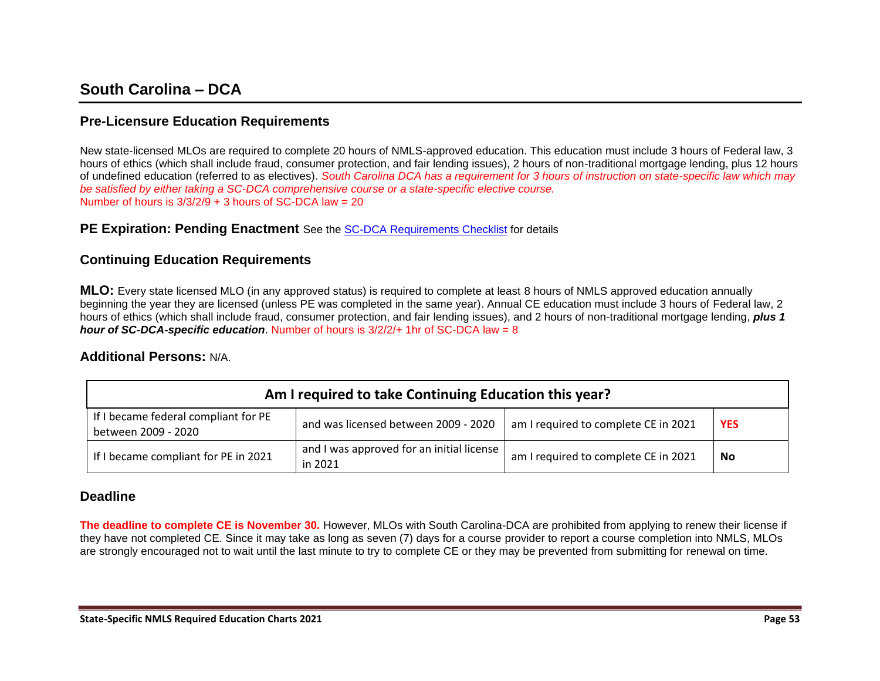New state-licensed MLOs are required to complete 20 hours of NMLS-approved education. This education must include 3 hours of Federal law, 3 hours of ethics (which shall include fraud, consumer protection, and fair lending issues), 2 hours of non-traditional mortgage lending, plus 12 hours of undefined education (referred to as electives). *South Carolina DCA has a requirement for 3 hours of instruction on state-specific law which may be satisfied by either taking a SC-DCA comprehensive course or a state-specific elective course.* Number of hours is  $3/3/2/9 + 3$  hours of SC-DCA law = 20

#### **PE Expiration: Pending Enactment** See the [SC-DCA Requirements Checklist](https://mortgage.nationwidelicensingsystem.org/slr/Pages/SCAgencies.aspx) for details

### **Continuing Education Requirements**

**MLO:** Every state licensed MLO (in any approved status) is required to complete at least 8 hours of NMLS approved education annually beginning the year they are licensed (unless PE was completed in the same year). Annual CE education must include 3 hours of Federal law, 2 hours of ethics (which shall include fraud, consumer protection, and fair lending issues), and 2 hours of non-traditional mortgage lending, *plus 1 hour of SC-DCA-specific education*. Number of hours is 3/2/2/+ 1hr of SC-DCA law = 8

#### **Additional Persons:** N/A.

| Am I required to take Continuing Education this year?       |                                                      |                                      |            |
|-------------------------------------------------------------|------------------------------------------------------|--------------------------------------|------------|
| If I became federal compliant for PE<br>between 2009 - 2020 | and was licensed between 2009 - 2020                 | am I required to complete CE in 2021 | <b>YES</b> |
| If I became compliant for PE in 2021                        | and I was approved for an initial license<br>in 2021 | am I required to complete CE in 2021 | No         |

### **Deadline**

**The deadline to complete CE is November 30.** However, MLOs with South Carolina-DCA are prohibited from applying to renew their license if they have not completed CE. Since it may take as long as seven (7) days for a course provider to report a course completion into NMLS, MLOs are strongly encouraged not to wait until the last minute to try to complete CE or they may be prevented from submitting for renewal on time.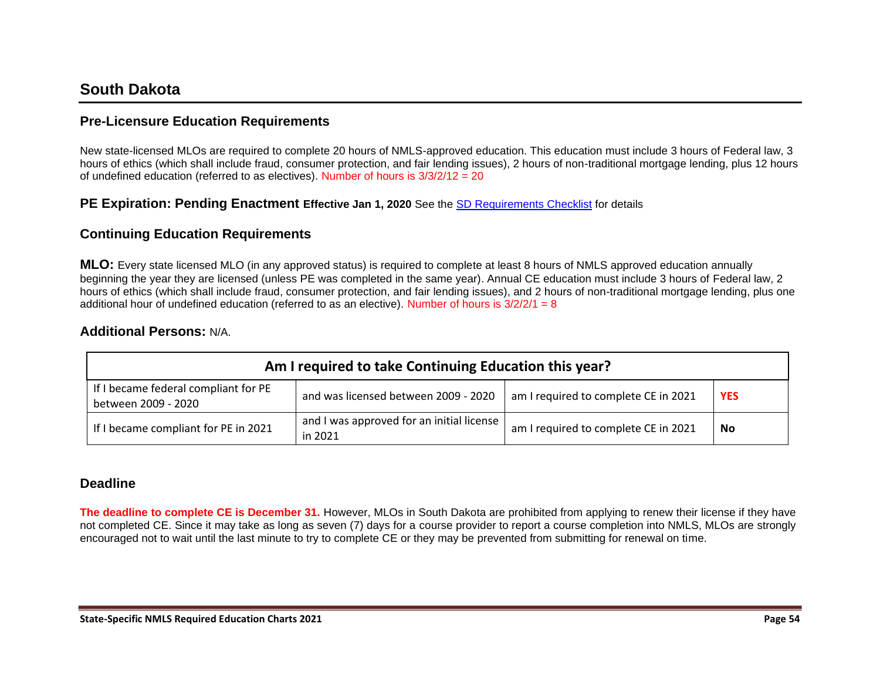## **South Dakota**

### **Pre-Licensure Education Requirements**

New state-licensed MLOs are required to complete 20 hours of NMLS-approved education. This education must include 3 hours of Federal law, 3 hours of ethics (which shall include fraud, consumer protection, and fair lending issues), 2 hours of non-traditional mortgage lending, plus 12 hours of undefined education (referred to as electives). Number of hours is  $3/3/2/12 = 20$ 

### **PE Expiration: Pending Enactment Effective Jan 1, 2020** See the [SD Requirements Checklist](https://mortgage.nationwidelicensingsystem.org/slr/Pages/DynamicLicenses.aspx?StateID=SD) for details

### **Continuing Education Requirements**

**MLO:** Every state licensed MLO (in any approved status) is required to complete at least 8 hours of NMLS approved education annually beginning the year they are licensed (unless PE was completed in the same year). Annual CE education must include 3 hours of Federal law, 2 hours of ethics (which shall include fraud, consumer protection, and fair lending issues), and 2 hours of non-traditional mortgage lending, plus one additional hour of undefined education (referred to as an elective). Number of hours is  $3/2/2/1 = 8$ 

#### **Additional Persons:** N/A.

| Am I required to take Continuing Education this year?       |                                                      |                                      |            |
|-------------------------------------------------------------|------------------------------------------------------|--------------------------------------|------------|
| If I became federal compliant for PE<br>between 2009 - 2020 | and was licensed between 2009 - 2020                 | am I required to complete CE in 2021 | <b>YES</b> |
| If I became compliant for PE in 2021                        | and I was approved for an initial license<br>in 2021 | am I required to complete CE in 2021 | No         |

### **Deadline**

**The deadline to complete CE is December 31.** However, MLOs in South Dakota are prohibited from applying to renew their license if they have not completed CE. Since it may take as long as seven (7) days for a course provider to report a course completion into NMLS, MLOs are strongly encouraged not to wait until the last minute to try to complete CE or they may be prevented from submitting for renewal on time.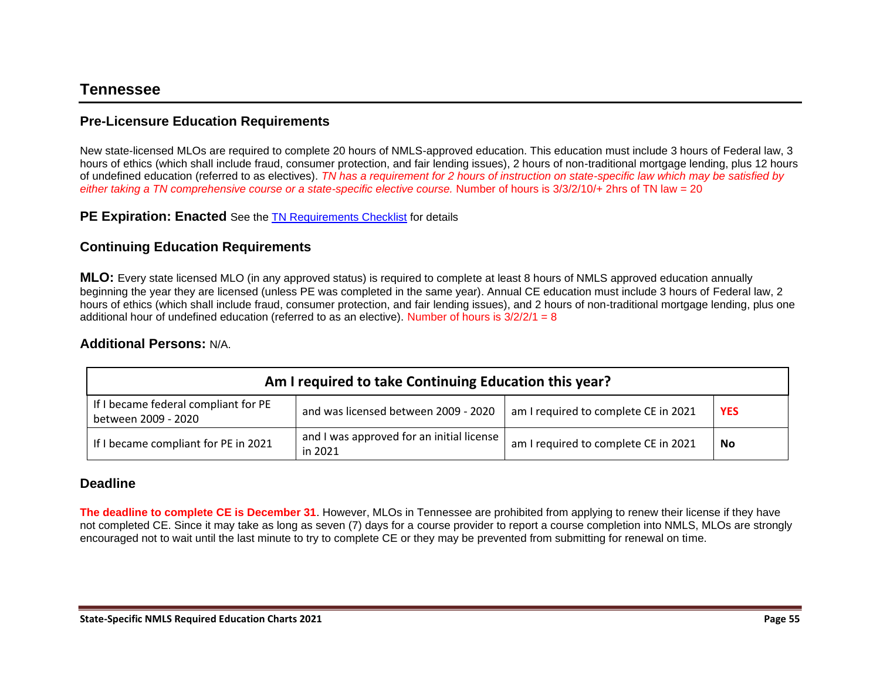### **Tennessee**

### **Pre-Licensure Education Requirements**

New state-licensed MLOs are required to complete 20 hours of NMLS-approved education. This education must include 3 hours of Federal law, 3 hours of ethics (which shall include fraud, consumer protection, and fair lending issues), 2 hours of non-traditional mortgage lending, plus 12 hours of undefined education (referred to as electives). *TN has a requirement for 2 hours of instruction on state-specific law which may be satisfied by either taking a TN comprehensive course or a state-specific elective course.* Number of hours is 3/3/2/10/+ 2hrs of TN law = 20

**PE Expiration: Enacted** See the [TN Requirements Checklist](https://mortgage.nationwidelicensingsystem.org/slr/Pages/DynamicLicenses.aspx?StateID=TN) for details

### **Continuing Education Requirements**

**MLO:** Every state licensed MLO (in any approved status) is required to complete at least 8 hours of NMLS approved education annually beginning the year they are licensed (unless PE was completed in the same year). Annual CE education must include 3 hours of Federal law, 2 hours of ethics (which shall include fraud, consumer protection, and fair lending issues), and 2 hours of non-traditional mortgage lending, plus one additional hour of undefined education (referred to as an elective). Number of hours is  $3/2/2/1 = 8$ 

#### **Additional Persons:** N/A.

| Am I required to take Continuing Education this year?       |                                                      |                                      |            |
|-------------------------------------------------------------|------------------------------------------------------|--------------------------------------|------------|
| If I became federal compliant for PE<br>between 2009 - 2020 | and was licensed between 2009 - 2020                 | am I required to complete CE in 2021 | <b>YES</b> |
| If I became compliant for PE in 2021                        | and I was approved for an initial license<br>in 2021 | am I required to complete CE in 2021 | No         |

#### **Deadline**

**The deadline to complete CE is December 31**. However, MLOs in Tennessee are prohibited from applying to renew their license if they have not completed CE. Since it may take as long as seven (7) days for a course provider to report a course completion into NMLS, MLOs are strongly encouraged not to wait until the last minute to try to complete CE or they may be prevented from submitting for renewal on time.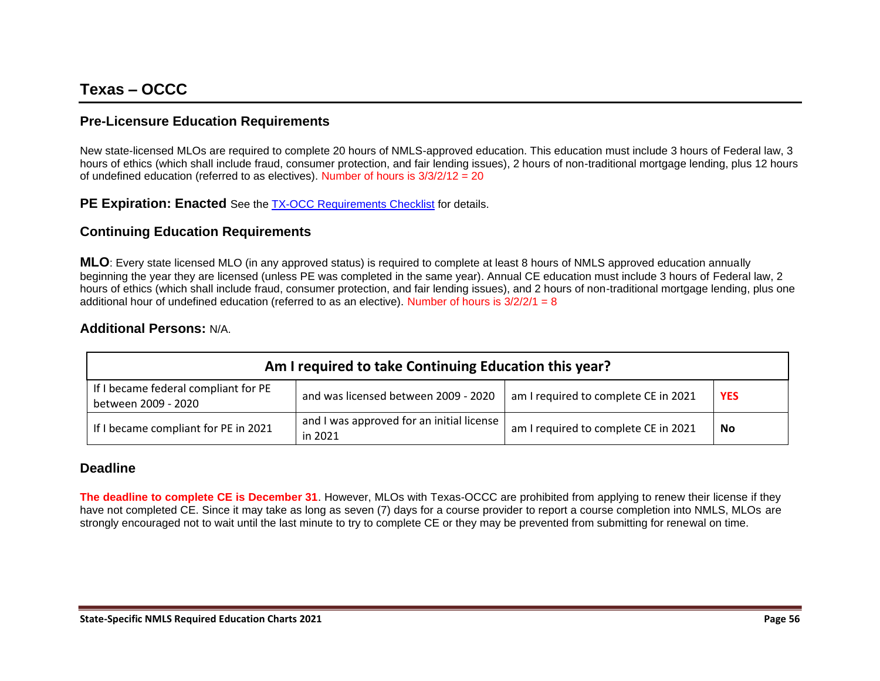New state-licensed MLOs are required to complete 20 hours of NMLS-approved education. This education must include 3 hours of Federal law, 3 hours of ethics (which shall include fraud, consumer protection, and fair lending issues), 2 hours of non-traditional mortgage lending, plus 12 hours of undefined education (referred to as electives). Number of hours is  $3/3/2/12 = 20$ 

**PE Expiration: Enacted** See the [TX-OCC Requirements Checklist](https://mortgage.nationwidelicensingsystem.org/slr/Pages/DynamicLicenses.aspx?StateID=TXOCCC) for details.

### **Continuing Education Requirements**

**MLO**: Every state licensed MLO (in any approved status) is required to complete at least 8 hours of NMLS approved education annually beginning the year they are licensed (unless PE was completed in the same year). Annual CE education must include 3 hours of Federal law, 2 hours of ethics (which shall include fraud, consumer protection, and fair lending issues), and 2 hours of non-traditional mortgage lending, plus one additional hour of undefined education (referred to as an elective). Number of hours is 3/2/2/1 = 8

### **Additional Persons:** N/A.

| Am I required to take Continuing Education this year?       |                                                      |                                      |            |
|-------------------------------------------------------------|------------------------------------------------------|--------------------------------------|------------|
| If I became federal compliant for PE<br>between 2009 - 2020 | and was licensed between 2009 - 2020                 | am I required to complete CE in 2021 | <b>YES</b> |
| If I became compliant for PE in 2021                        | and I was approved for an initial license<br>in 2021 | am I required to complete CE in 2021 | No         |

### **Deadline**

**The deadline to complete CE is December 31**. However, MLOs with Texas-OCCC are prohibited from applying to renew their license if they have not completed CE. Since it may take as long as seven (7) days for a course provider to report a course completion into NMLS, MLOs are strongly encouraged not to wait until the last minute to try to complete CE or they may be prevented from submitting for renewal on time.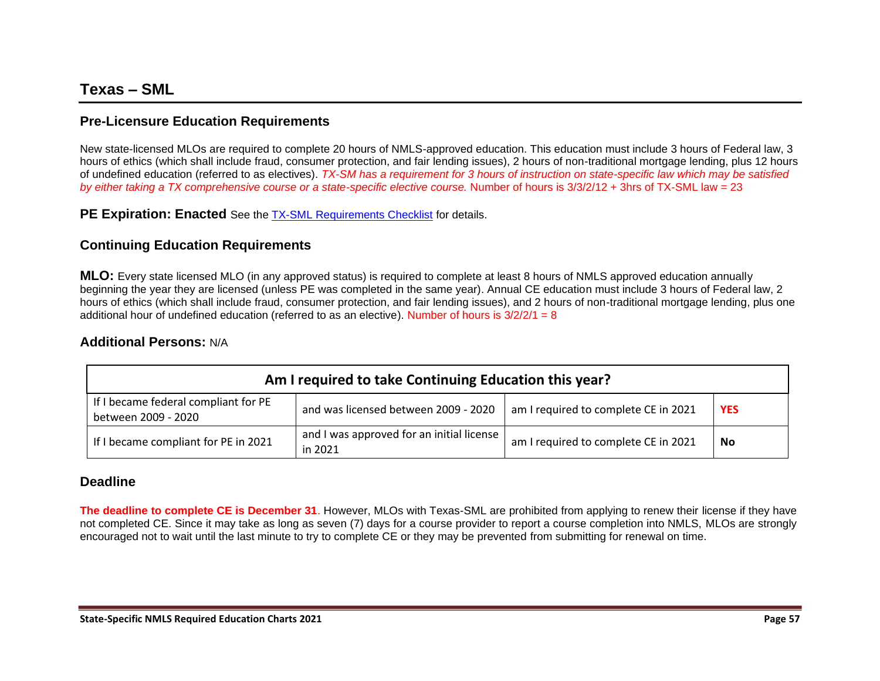New state-licensed MLOs are required to complete 20 hours of NMLS-approved education. This education must include 3 hours of Federal law, 3 hours of ethics (which shall include fraud, consumer protection, and fair lending issues), 2 hours of non-traditional mortgage lending, plus 12 hours of undefined education (referred to as electives). *TX-SM has a requirement for 3 hours of instruction on state-specific law which may be satisfied by either taking a TX comprehensive course or a state-specific elective course.* Number of hours is 3/3/2/12 + 3hrs of TX-SML law = 23

**PE Expiration: Enacted** See the [TX-SML Requirements Checklist](https://mortgage.nationwidelicensingsystem.org/slr/Pages/DynamicLicenses.aspx?StateID=TXSML) for details.

### **Continuing Education Requirements**

**MLO:** Every state licensed MLO (in any approved status) is required to complete at least 8 hours of NMLS approved education annually beginning the year they are licensed (unless PE was completed in the same year). Annual CE education must include 3 hours of Federal law, 2 hours of ethics (which shall include fraud, consumer protection, and fair lending issues), and 2 hours of non-traditional mortgage lending, plus one additional hour of undefined education (referred to as an elective). Number of hours is  $3/2/2/1 = 8$ 

### **Additional Persons:** N/A

| Am I required to take Continuing Education this year?       |                                                      |                                      |            |
|-------------------------------------------------------------|------------------------------------------------------|--------------------------------------|------------|
| If I became federal compliant for PE<br>between 2009 - 2020 | and was licensed between 2009 - 2020                 | am I required to complete CE in 2021 | <b>YES</b> |
| If I became compliant for PE in 2021                        | and I was approved for an initial license<br>in 2021 | am I required to complete CE in 2021 | <b>No</b>  |

### **Deadline**

**The deadline to complete CE is December 31**. However, MLOs with Texas-SML are prohibited from applying to renew their license if they have not completed CE. Since it may take as long as seven (7) days for a course provider to report a course completion into NMLS, MLOs are strongly encouraged not to wait until the last minute to try to complete CE or they may be prevented from submitting for renewal on time.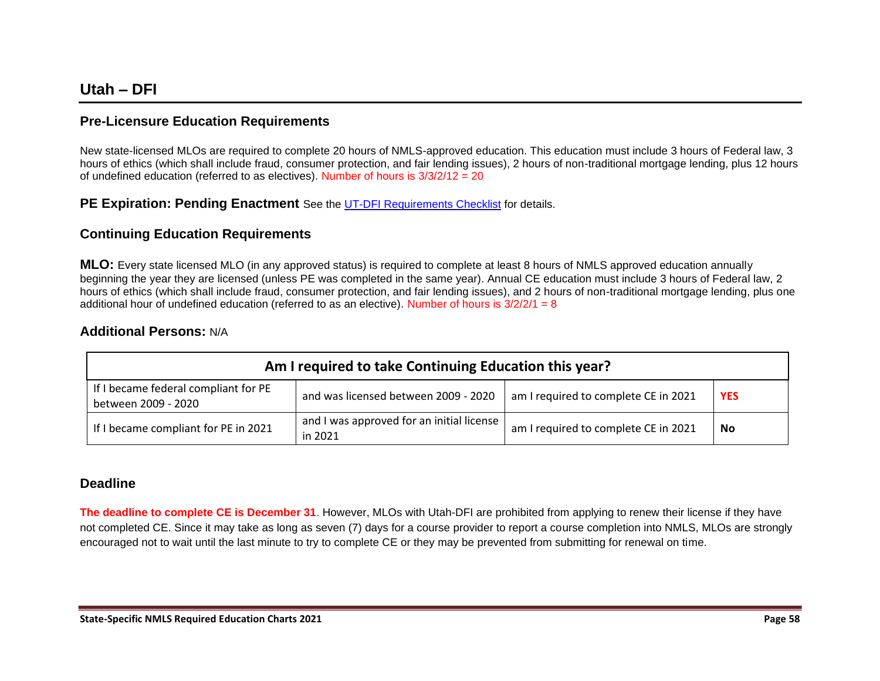New state-licensed MLOs are required to complete 20 hours of NMLS-approved education. This education must include 3 hours of Federal law, 3 hours of ethics (which shall include fraud, consumer protection, and fair lending issues), 2 hours of non-traditional mortgage lending, plus 12 hours of undefined education (referred to as electives). Number of hours is  $3/3/2/12 = 20$ 

**PE Expiration: Pending Enactment** See the [UT-DFI Requirements Checklist](https://mortgage.nationwidelicensingsystem.org/slr/Pages/DynamicLicenses.aspx?StateID=UTDFI) for details.

### **Continuing Education Requirements**

**MLO:** Every state licensed MLO (in any approved status) is required to complete at least 8 hours of NMLS approved education annually beginning the year they are licensed (unless PE was completed in the same year). Annual CE education must include 3 hours of Federal law, 2 hours of ethics (which shall include fraud, consumer protection, and fair lending issues), and 2 hours of non-traditional mortgage lending, plus one additional hour of undefined education (referred to as an elective). Number of hours is  $3/2/2/1 = 8$ 

#### **Additional Persons:** N/A

| Am I required to take Continuing Education this year?       |                                                      |                                      |            |
|-------------------------------------------------------------|------------------------------------------------------|--------------------------------------|------------|
| If I became federal compliant for PE<br>between 2009 - 2020 | and was licensed between 2009 - 2020                 | am I required to complete CE in 2021 | <b>YES</b> |
| If I became compliant for PE in 2021                        | and I was approved for an initial license<br>in 2021 | am I required to complete CE in 2021 | No         |

### **Deadline**

**The deadline to complete CE is December 31**. However, MLOs with Utah-DFI are prohibited from applying to renew their license if they have not completed CE. Since it may take as long as seven (7) days for a course provider to report a course completion into NMLS, MLOs are strongly encouraged not to wait until the last minute to try to complete CE or they may be prevented from submitting for renewal on time.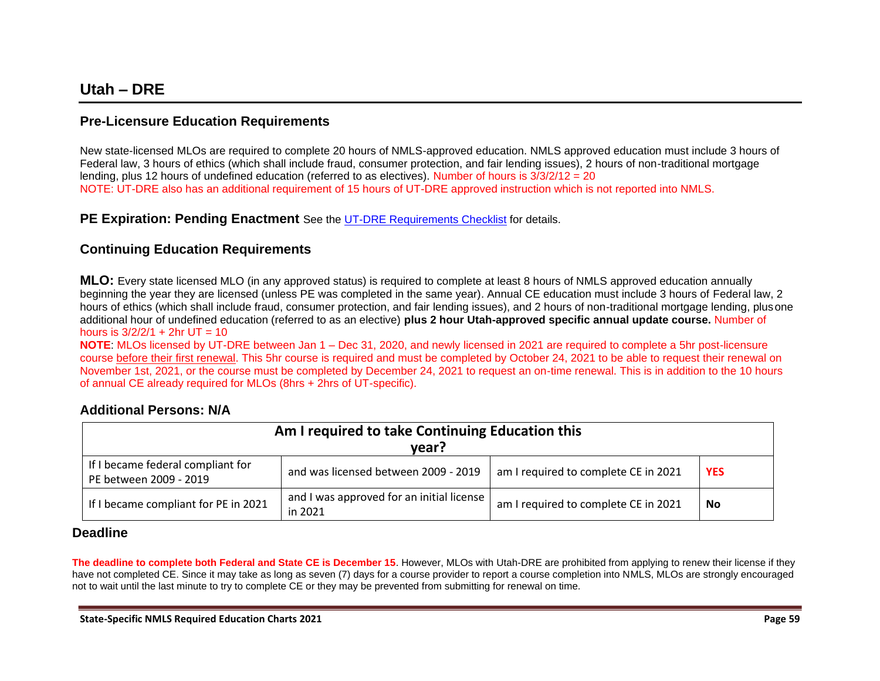New state-licensed MLOs are required to complete 20 hours of NMLS-approved education. NMLS approved education must include 3 hours of Federal law, 3 hours of ethics (which shall include fraud, consumer protection, and fair lending issues), 2 hours of non-traditional mortgage lending, plus 12 hours of undefined education (referred to as electives). Number of hours is 3/3/2/12 = 20 NOTE: UT-DRE also has an additional requirement of 15 hours of UT-DRE approved instruction which is not reported into NMLS.

#### **PE Expiration: Pending Enactment** See the [UT-DRE Requirements Checklist](https://mortgage.nationwidelicensingsystem.org/slr/Pages/DynamicLicenses.aspx?StateID=UTDRE) for details.

### **Continuing Education Requirements**

**MLO:** Every state licensed MLO (in any approved status) is required to complete at least 8 hours of NMLS approved education annually beginning the year they are licensed (unless PE was completed in the same year). Annual CE education must include 3 hours of Federal law, 2 hours of ethics (which shall include fraud, consumer protection, and fair lending issues), and 2 hours of non-traditional mortgage lending, plusone additional hour of undefined education (referred to as an elective) **plus 2 hour Utah-approved specific annual update course.** Number of hours is  $3/2/2/1 + 2$ hr UT = 10

**NOTE**: MLOs licensed by UT-DRE between Jan 1 – Dec 31, 2020, and newly licensed in 2021 are required to complete a 5hr post-licensure course before their first renewal. This 5hr course is required and must be completed by October 24, 2021 to be able to request their renewal on November 1st, 2021, or the course must be completed by December 24, 2021 to request an on-time renewal. This is in addition to the 10 hours of annual CE already required for MLOs (8hrs + 2hrs of UT-specific).

### **Additional Persons: N/A**

| Am I required to take Continuing Education this<br>vear?                                                                                   |                                      |                                      |            |
|--------------------------------------------------------------------------------------------------------------------------------------------|--------------------------------------|--------------------------------------|------------|
| If I became federal compliant for<br>PE between 2009 - 2019                                                                                | and was licensed between 2009 - 2019 | am I required to complete CE in 2021 | <b>YES</b> |
| and I was approved for an initial license<br>If I became compliant for PE in 2021<br>am I required to complete CE in 2021<br>No<br>in 2021 |                                      |                                      |            |

### **Deadline**

**The deadline to complete both Federal and State CE is December 15**. However, MLOs with Utah-DRE are prohibited from applying to renew their license if they have not completed CE. Since it may take as long as seven (7) days for a course provider to report a course completion into NMLS, MLOs are strongly encouraged not to wait until the last minute to try to complete CE or they may be prevented from submitting for renewal on time.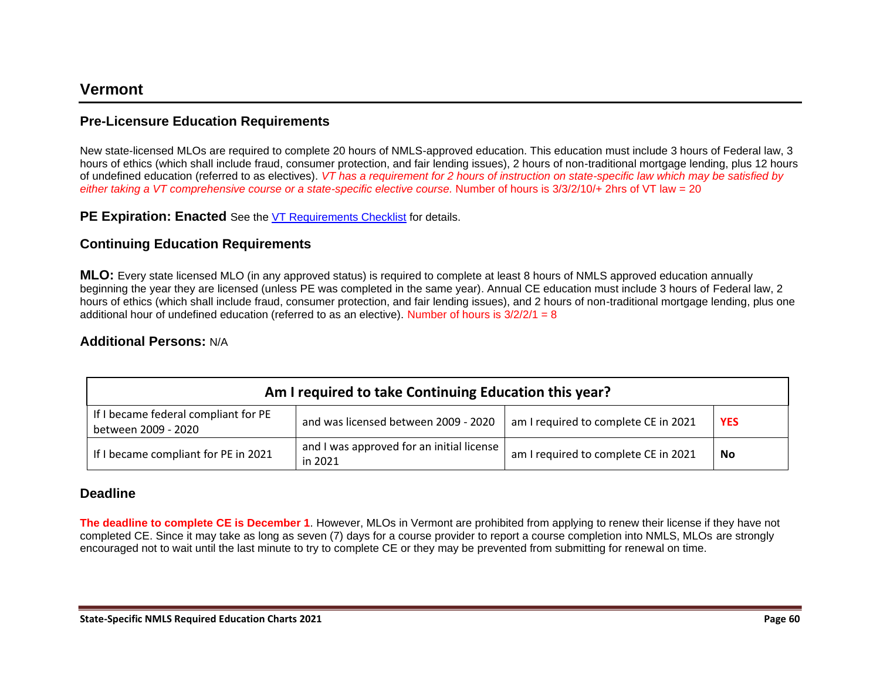New state-licensed MLOs are required to complete 20 hours of NMLS-approved education. This education must include 3 hours of Federal law, 3 hours of ethics (which shall include fraud, consumer protection, and fair lending issues), 2 hours of non-traditional mortgage lending, plus 12 hours of undefined education (referred to as electives). *VT has a requirement for 2 hours of instruction on state-specific law which may be satisfied by either taking a VT comprehensive course or a state-specific elective course.* Number of hours is 3/3/2/10/+ 2hrs of VT law = 20

**PE Expiration: Enacted** See the [VT Requirements Checklist](https://mortgage.nationwidelicensingsystem.org/slr/Pages/DynamicLicenses.aspx?StateID=VT) for details.

### **Continuing Education Requirements**

**MLO:** Every state licensed MLO (in any approved status) is required to complete at least 8 hours of NMLS approved education annually beginning the year they are licensed (unless PE was completed in the same year). Annual CE education must include 3 hours of Federal law, 2 hours of ethics (which shall include fraud, consumer protection, and fair lending issues), and 2 hours of non-traditional mortgage lending, plus one additional hour of undefined education (referred to as an elective). Number of hours is  $3/2/2/1 = 8$ 

### **Additional Persons:** N/A

| Am I required to take Continuing Education this year?       |                                                      |                                      |            |
|-------------------------------------------------------------|------------------------------------------------------|--------------------------------------|------------|
| If I became federal compliant for PE<br>between 2009 - 2020 | and was licensed between 2009 - 2020                 | am I required to complete CE in 2021 | <b>YES</b> |
| If I became compliant for PE in 2021                        | and I was approved for an initial license<br>in 2021 | am I required to complete CE in 2021 | No         |

### **Deadline**

**The deadline to complete CE is December 1**. However, MLOs in Vermont are prohibited from applying to renew their license if they have not completed CE. Since it may take as long as seven (7) days for a course provider to report a course completion into NMLS, MLOs are strongly encouraged not to wait until the last minute to try to complete CE or they may be prevented from submitting for renewal on time.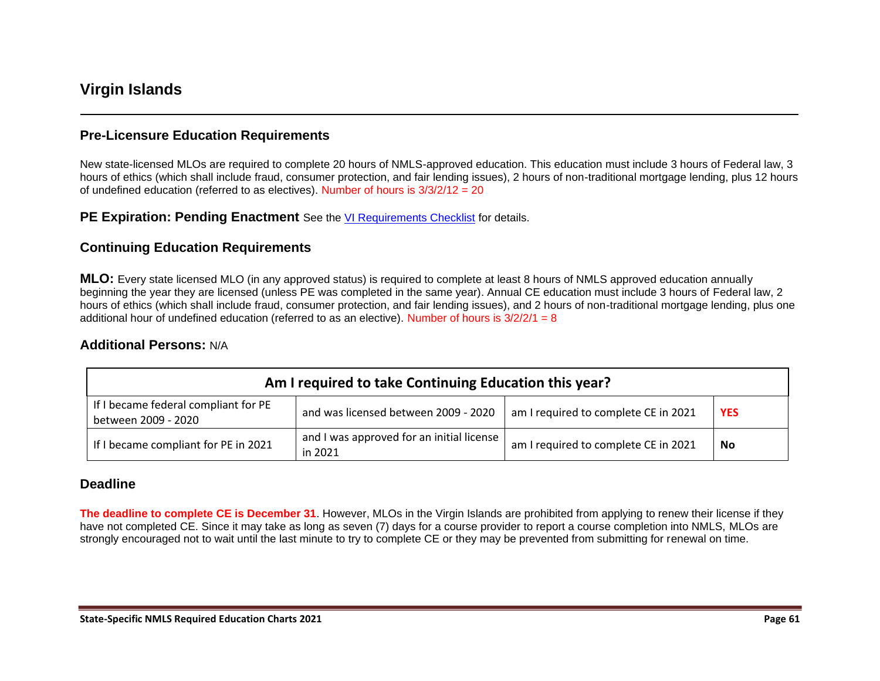## **Virgin Islands**

### **Pre-Licensure Education Requirements**

New state-licensed MLOs are required to complete 20 hours of NMLS-approved education. This education must include 3 hours of Federal law, 3 hours of ethics (which shall include fraud, consumer protection, and fair lending issues), 2 hours of non-traditional mortgage lending, plus 12 hours of undefined education (referred to as electives). Number of hours is  $3/3/2/12 = 20$ 

**PE Expiration: Pending Enactment** See the [VI Requirements Checklist](https://mortgage.nationwidelicensingsystem.org/slr/Pages/DynamicLicenses.aspx?StateID=VI) for details.

### **Continuing Education Requirements**

**MLO:** Every state licensed MLO (in any approved status) is required to complete at least 8 hours of NMLS approved education annually beginning the year they are licensed (unless PE was completed in the same year). Annual CE education must include 3 hours of Federal law, 2 hours of ethics (which shall include fraud, consumer protection, and fair lending issues), and 2 hours of non-traditional mortgage lending, plus one additional hour of undefined education (referred to as an elective). Number of hours is 3/2/2/1 = 8

#### **Additional Persons:** N/A

| Am I required to take Continuing Education this year?       |                                                      |                                      |            |
|-------------------------------------------------------------|------------------------------------------------------|--------------------------------------|------------|
| If I became federal compliant for PE<br>between 2009 - 2020 | and was licensed between 2009 - 2020                 | am I required to complete CE in 2021 | <b>YES</b> |
| If I became compliant for PE in 2021                        | and I was approved for an initial license<br>in 2021 | am I required to complete CE in 2021 | <b>No</b>  |

#### **Deadline**

**The deadline to complete CE is December 31**. However, MLOs in the Virgin Islands are prohibited from applying to renew their license if they have not completed CE. Since it may take as long as seven (7) days for a course provider to report a course completion into NMLS, MLOs are strongly encouraged not to wait until the last minute to try to complete CE or they may be prevented from submitting for renewal on time.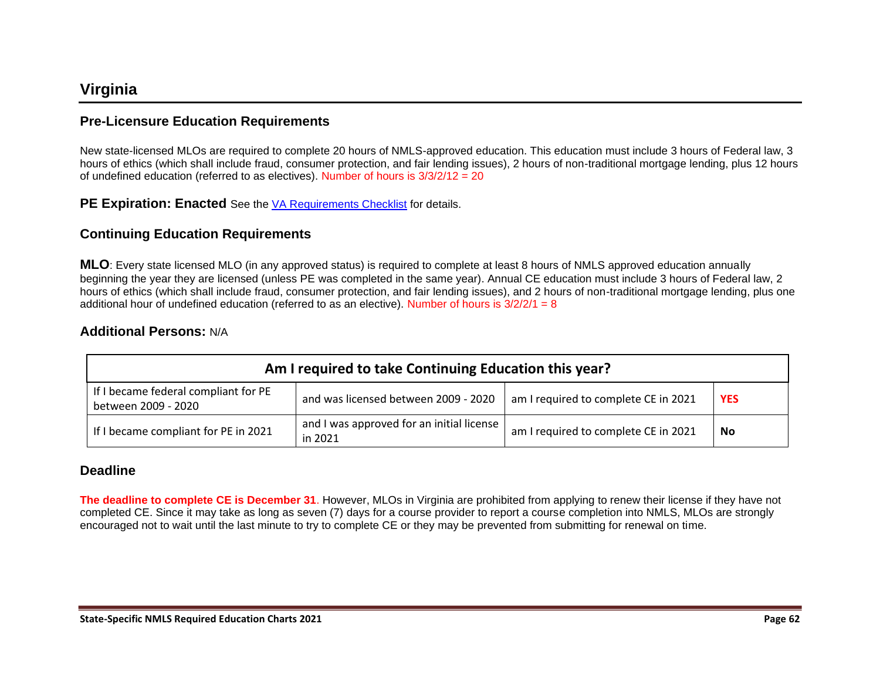New state-licensed MLOs are required to complete 20 hours of NMLS-approved education. This education must include 3 hours of Federal law, 3 hours of ethics (which shall include fraud, consumer protection, and fair lending issues), 2 hours of non-traditional mortgage lending, plus 12 hours of undefined education (referred to as electives). Number of hours is  $3/3/2/12 = 20$ 

**PE Expiration: Enacted** See the [VA Requirements Checklist](https://mortgage.nationwidelicensingsystem.org/slr/Pages/DynamicLicenses.aspx?StateID=VA) for details.

### **Continuing Education Requirements**

**MLO**: Every state licensed MLO (in any approved status) is required to complete at least 8 hours of NMLS approved education annually beginning the year they are licensed (unless PE was completed in the same year). Annual CE education must include 3 hours of Federal law, 2 hours of ethics (which shall include fraud, consumer protection, and fair lending issues), and 2 hours of non-traditional mortgage lending, plus one additional hour of undefined education (referred to as an elective). Number of hours is  $3/2/2/1 = 8$ 

### **Additional Persons:** N/A

| Am I required to take Continuing Education this year?       |                                                      |                                      |            |
|-------------------------------------------------------------|------------------------------------------------------|--------------------------------------|------------|
| If I became federal compliant for PE<br>between 2009 - 2020 | and was licensed between 2009 - 2020                 | am I required to complete CE in 2021 | <b>YES</b> |
| If I became compliant for PE in 2021                        | and I was approved for an initial license<br>in 2021 | am I required to complete CE in 2021 | No         |

### **Deadline**

**The deadline to complete CE is December 31**. However, MLOs in Virginia are prohibited from applying to renew their license if they have not completed CE. Since it may take as long as seven (7) days for a course provider to report a course completion into NMLS, MLOs are strongly encouraged not to wait until the last minute to try to complete CE or they may be prevented from submitting for renewal on time.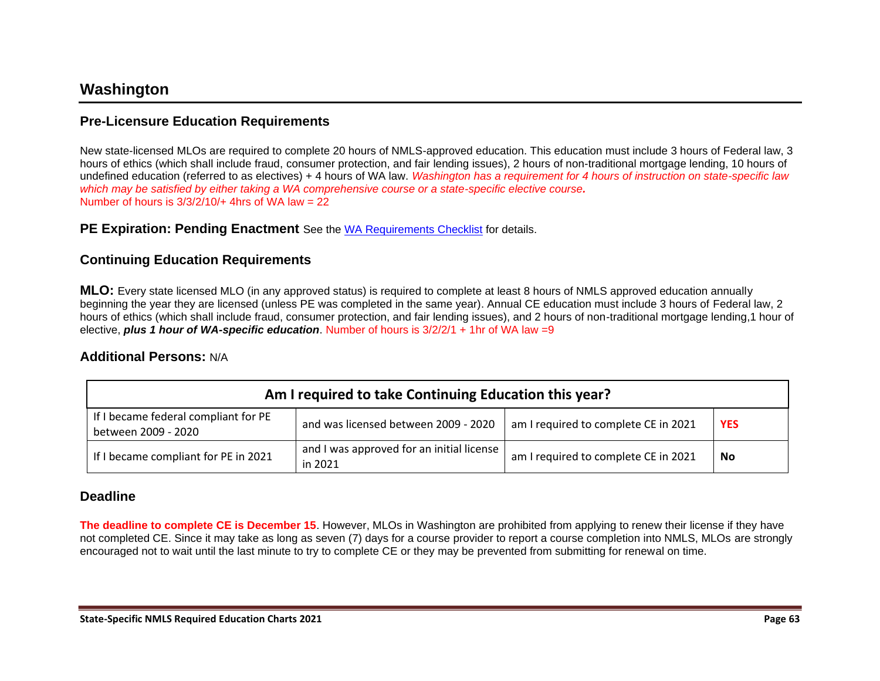## **Washington**

### **Pre-Licensure Education Requirements**

New state-licensed MLOs are required to complete 20 hours of NMLS-approved education. This education must include 3 hours of Federal law, 3 hours of ethics (which shall include fraud, consumer protection, and fair lending issues), 2 hours of non-traditional mortgage lending, 10 hours of undefined education (referred to as electives) + 4 hours of WA law. *Washington has a requirement for 4 hours of instruction on state-specific law which may be satisfied by either taking a WA comprehensive course or a state-specific elective course.* Number of hours is  $3/3/2/10/4$  4hrs of WA law = 22

**PE Expiration: Pending Enactment** See the [WA Requirements Checklist](https://mortgage.nationwidelicensingsystem.org/slr/Pages/DynamicLicenses.aspx?StateID=WA) for details.

### **Continuing Education Requirements**

**MLO:** Every state licensed MLO (in any approved status) is required to complete at least 8 hours of NMLS approved education annually beginning the year they are licensed (unless PE was completed in the same year). Annual CE education must include 3 hours of Federal law, 2 hours of ethics (which shall include fraud, consumer protection, and fair lending issues), and 2 hours of non-traditional mortgage lending,1 hour of elective, *plus 1 hour of WA-specific education*. Number of hours is 3/2/2/1 + 1hr of WA law =9

#### **Additional Persons:** N/A

| Am I required to take Continuing Education this year?       |                                                      |                                      |            |
|-------------------------------------------------------------|------------------------------------------------------|--------------------------------------|------------|
| If I became federal compliant for PE<br>between 2009 - 2020 | and was licensed between 2009 - 2020                 | am I required to complete CE in 2021 | <b>YES</b> |
| If I became compliant for PE in 2021                        | and I was approved for an initial license<br>in 2021 | am I required to complete CE in 2021 | No         |

### **Deadline**

**The deadline to complete CE is December 15**. However, MLOs in Washington are prohibited from applying to renew their license if they have not completed CE. Since it may take as long as seven (7) days for a course provider to report a course completion into NMLS, MLOs are strongly encouraged not to wait until the last minute to try to complete CE or they may be prevented from submitting for renewal on time.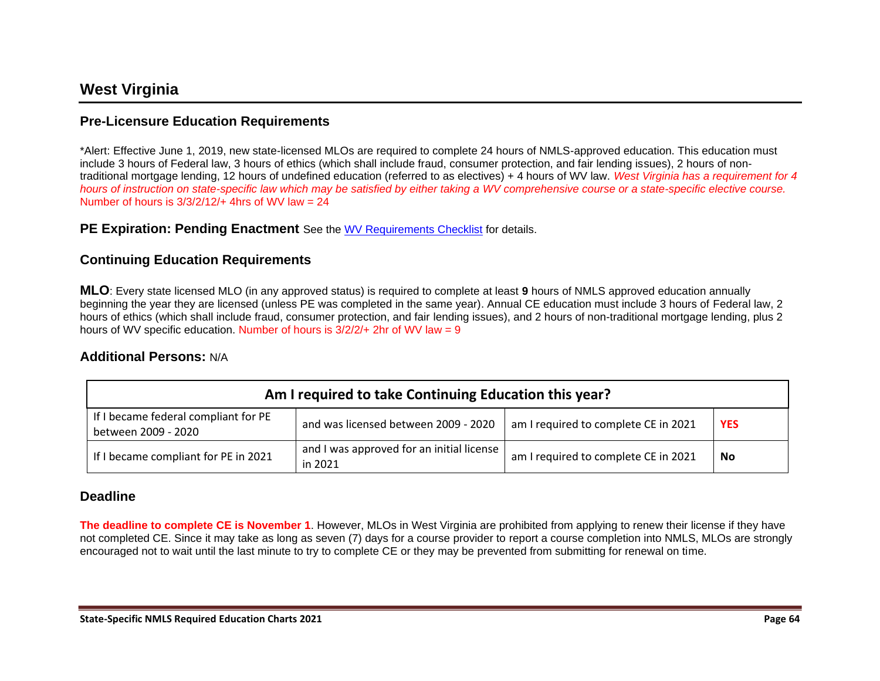## **West Virginia**

### **Pre-Licensure Education Requirements**

\*Alert: Effective June 1, 2019, new state-licensed MLOs are required to complete 24 hours of NMLS-approved education. This education must include 3 hours of Federal law, 3 hours of ethics (which shall include fraud, consumer protection, and fair lending issues), 2 hours of nontraditional mortgage lending, 12 hours of undefined education (referred to as electives) + 4 hours of WV law. *West Virginia has a requirement for 4 hours of instruction on state-specific law which may be satisfied by either taking a WV comprehensive course or a state-specific elective course.* Number of hours is  $3/3/2/12/4$  4hrs of WV law = 24

**PE Expiration: Pending Enactment** See the [WV Requirements Checklist](https://mortgage.nationwidelicensingsystem.org/slr/Pages/DynamicLicenses.aspx?StateID=WV) for details.

### **Continuing Education Requirements**

**MLO**: Every state licensed MLO (in any approved status) is required to complete at least **9** hours of NMLS approved education annually beginning the year they are licensed (unless PE was completed in the same year). Annual CE education must include 3 hours of Federal law, 2 hours of ethics (which shall include fraud, consumer protection, and fair lending issues), and 2 hours of non-traditional mortgage lending, plus 2 hours of WV specific education. Number of hours is  $3/2/2/4$  2hr of WV law = 9

#### **Additional Persons:** N/A

| Am I required to take Continuing Education this year?       |                                                      |                                      |            |
|-------------------------------------------------------------|------------------------------------------------------|--------------------------------------|------------|
| If I became federal compliant for PE<br>between 2009 - 2020 | and was licensed between 2009 - 2020                 | am I required to complete CE in 2021 | <b>YES</b> |
| If I became compliant for PE in 2021                        | and I was approved for an initial license<br>in 2021 | am I required to complete CE in 2021 | No         |

### **Deadline**

**The deadline to complete CE is November 1**. However, MLOs in West Virginia are prohibited from applying to renew their license if they have not completed CE. Since it may take as long as seven (7) days for a course provider to report a course completion into NMLS, MLOs are strongly encouraged not to wait until the last minute to try to complete CE or they may be prevented from submitting for renewal on time.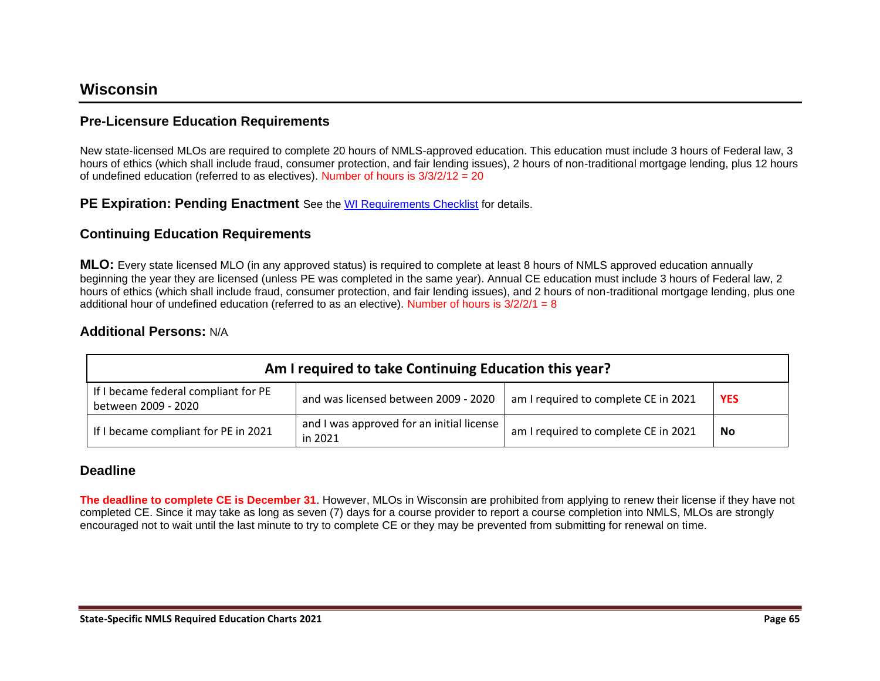## **Wisconsin**

### **Pre-Licensure Education Requirements**

New state-licensed MLOs are required to complete 20 hours of NMLS-approved education. This education must include 3 hours of Federal law, 3 hours of ethics (which shall include fraud, consumer protection, and fair lending issues), 2 hours of non-traditional mortgage lending, plus 12 hours of undefined education (referred to as electives). Number of hours is  $3/3/2/12 = 20$ 

**PE Expiration: Pending Enactment** See the [WI Requirements Checklist](https://mortgage.nationwidelicensingsystem.org/slr/Pages/DynamicLicenses.aspx?StateID=WI) for details.

### **Continuing Education Requirements**

**MLO:** Every state licensed MLO (in any approved status) is required to complete at least 8 hours of NMLS approved education annually beginning the year they are licensed (unless PE was completed in the same year). Annual CE education must include 3 hours of Federal law, 2 hours of ethics (which shall include fraud, consumer protection, and fair lending issues), and 2 hours of non-traditional mortgage lending, plus one additional hour of undefined education (referred to as an elective). Number of hours is  $3/2/2/1 = 8$ 

#### **Additional Persons:** N/A

| Am I required to take Continuing Education this year?       |                                                      |                                      |            |
|-------------------------------------------------------------|------------------------------------------------------|--------------------------------------|------------|
| If I became federal compliant for PE<br>between 2009 - 2020 | and was licensed between 2009 - 2020                 | am I required to complete CE in 2021 | <b>YES</b> |
| If I became compliant for PE in 2021                        | and I was approved for an initial license<br>in 2021 | am I required to complete CE in 2021 | No         |

### **Deadline**

**The deadline to complete CE is December 31**. However, MLOs in Wisconsin are prohibited from applying to renew their license if they have not completed CE. Since it may take as long as seven (7) days for a course provider to report a course completion into NMLS, MLOs are strongly encouraged not to wait until the last minute to try to complete CE or they may be prevented from submitting for renewal on time.